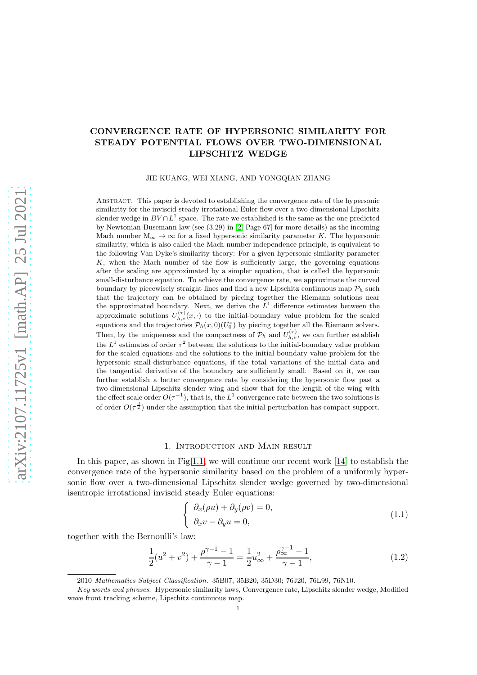# CONVERGENCE RATE OF HYPERSONIC SIMILARITY FOR STEADY POTENTIAL FLOWS OVER TWO-DIMENSIONAL LIPSCHITZ WEDGE

JIE KUANG, WEI XIANG, AND YONGQIAN ZHANG

Abstract. This paper is devoted to establishing the convergence rate of the hypersonic similarity for the inviscid steady irrotational Euler flow over a two-dimensional Lipschitz slender wedge in  $BV \cap L^1$  space. The rate we established is the same as the one predicted by Newtonian-Busemann law (see (3.29) in [\[2,](#page-48-0) Page 67] for more details) as the incoming Mach number  $M_{\infty} \to \infty$  for a fixed hypersonic similarity parameter K. The hypersonic similarity, which is also called the Mach-number independence principle, is equivalent to the following Van Dyke's similarity theory: For a given hypersonic similarity parameter K, when the Mach number of the flow is sufficiently large, the governing equations after the scaling are approximated by a simpler equation, that is called the hypersonic small-disturbance equation. To achieve the convergence rate, we approximate the curved boundary by piecewisely straight lines and find a new Lipschitz continuous map  $\mathcal{P}_h$  such that the trajectory can be obtained by piecing together the Riemann solutions near the approximated boundary. Next, we derive the  $L<sup>1</sup>$  difference estimates between the approximate solutions  $U_{h,\nu}^{(\tau)}(x, \cdot)$  to the initial-boundary value problem for the scaled equations and the trajectories  $\mathcal{P}_h(x,0)(U_0^{\nu})$  by piecing together all the Riemann solvers. Then, by the uniqueness and the compactness of  $\mathcal{P}_h$  and  $U_{h,\nu}^{(\tau)}$ , we can further establish the  $L^1$  estimates of order  $\tau^2$  between the solutions to the initial-boundary value problem for the scaled equations and the solutions to the initial-boundary value problem for the hypersonic small-disturbance equations, if the total variations of the initial data and the tangential derivative of the boundary are sufficiently small. Based on it, we can further establish a better convergence rate by considering the hypersonic flow past a two-dimensional Lipschitz slender wing and show that for the length of the wing with the effect scale order  $O(\tau^{-1})$ , that is, the  $L^1$  convergence rate between the two solutions is of order  $O(\tau^{\frac{3}{2}})$  under the assumption that the initial perturbation has compact support.

## 1. Introduction and Main result

In this paper, as shown in Fig[.1.1,](#page-1-0) we will continue our recent work [\[14\]](#page-49-0) to establish the convergence rate of the hypersonic similarity based on the problem of a uniformly hypersonic flow over a two-dimensional Lipschitz slender wedge governed by two-dimensional isentropic irrotational inviscid steady Euler equations:

<span id="page-0-0"></span>
$$
\begin{cases}\n\partial_x(\rho u) + \partial_y(\rho v) = 0, \\
\partial_x v - \partial_y u = 0,\n\end{cases}
$$
\n(1.1)

together with the Bernoulli's law:

<span id="page-0-1"></span>
$$
\frac{1}{2}(u^2 + v^2) + \frac{\rho^{\gamma - 1} - 1}{\gamma - 1} = \frac{1}{2}u_{\infty}^2 + \frac{\rho^{\gamma - 1}_{\infty} - 1}{\gamma - 1},\tag{1.2}
$$

<sup>2010</sup> Mathematics Subject Classification. 35B07, 35B20, 35D30; 76J20, 76L99, 76N10.

Key words and phrases. Hypersonic similarity laws, Convergence rate, Lipschitz slender wedge, Modified wave front tracking scheme, Lipschitz continuous map.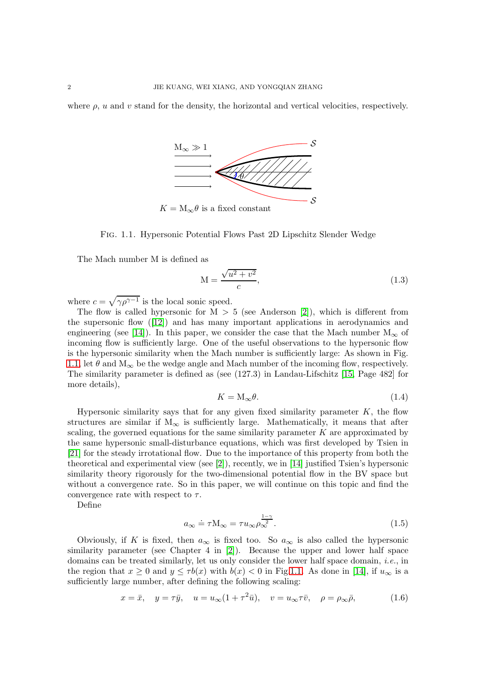where  $\rho$ , u and v stand for the density, the horizontal and vertical velocities, respectively.



<span id="page-1-0"></span>Fig. 1.1. Hypersonic Potential Flows Past 2D Lipschitz Slender Wedge

The Mach number M is defined as

$$
M = \frac{\sqrt{u^2 + v^2}}{c},\tag{1.3}
$$

where  $c = \sqrt{\gamma \rho^{\gamma - 1}}$  is the local sonic speed.

The flow is called hypersonic for  $M > 5$  (see Anderson [\[2\]](#page-48-0)), which is different from the supersonic flow([\[12\]](#page-49-1)) and has many important applications in aerodynamics and engineering (see [\[14\]](#page-49-0)). In this paper, we consider the case that the Mach number  $M_{\infty}$  of incoming flow is sufficiently large. One of the useful observations to the hypersonic flow is the hypersonic similarity when the Mach number is sufficiently large: As shown in Fig. [1.1,](#page-1-0) let  $\theta$  and  $M_{\infty}$  be the wedge angle and Mach number of the incoming flow, respectively. The similarity parameter is defined as (see (127.3) in Landau-Lifschitz [\[15,](#page-49-2) Page 482] for more details),

$$
K = \mathcal{M}_{\infty} \theta. \tag{1.4}
$$

Hypersonic similarity says that for any given fixed similarity parameter  $K$ , the flow structures are similar if  $M_{\infty}$  is sufficiently large. Mathematically, it means that after scaling, the governed equations for the same similarity parameter  $K$  are approximated by the same hypersonic small-disturbance equations, which was first developed by Tsien in [\[21\]](#page-49-3) for the steady irrotational flow. Due to the importance of this property from both the theoretical and experimental view (see [\[2\]](#page-48-0)), recently, we in [\[14\]](#page-49-0) justified Tsien's hypersonic similarity theory rigorously for the two-dimensional potential flow in the BV space but without a convergence rate. So in this paper, we will continue on this topic and find the convergence rate with respect to  $\tau$ .

Define

<span id="page-1-2"></span>
$$
a_{\infty} \doteq \tau \mathcal{M}_{\infty} = \tau u_{\infty} \rho_{\infty}^{\frac{1-\gamma}{2}}.
$$
\n(1.5)

Obviously, if K is fixed, then  $a_{\infty}$  is fixed too. So  $a_{\infty}$  is also called the hypersonic similarity parameter (see Chapter 4 in [\[2\]](#page-48-0)). Because the upper and lower half space domains can be treated similarly, let us only consider the lower half space domain, *i.e.*, in the region that  $x \ge 0$  and  $y \le \tau b(x)$  with  $b(x) < 0$  in Fig[.1.1.](#page-1-0) As done in [\[14\]](#page-49-0), if  $u_{\infty}$  is a sufficiently large number, after defining the following scaling:

<span id="page-1-1"></span>
$$
x = \bar{x}
$$
,  $y = \tau \bar{y}$ ,  $u = u_{\infty} (1 + \tau^2 \bar{u})$ ,  $v = u_{\infty} \tau \bar{v}$ ,  $\rho = \rho_{\infty} \bar{\rho}$ , (1.6)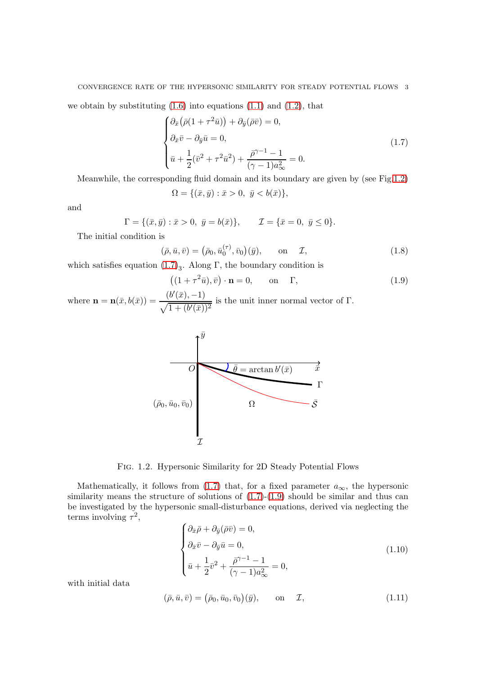### CONVERGENCE RATE OF THE HYPERSONIC SIMILARITY FOR STEADY POTENTIAL FLOWS 3

we obtain by substituting  $(1.6)$  into equations  $(1.1)$  and  $(1.2)$ , that

<span id="page-2-1"></span>
$$
\begin{cases}\n\partial_{\bar{x}}\big(\bar{\rho}(1+\tau^2\bar{u})\big)+\partial_{\bar{y}}(\bar{\rho}\bar{v})=0, \\
\partial_{\bar{x}}\bar{v}-\partial_{\bar{y}}\bar{u}=0, \\
\bar{u}+\frac{1}{2}(\bar{v}^2+\tau^2\bar{u}^2)+\frac{\bar{\rho}^{\gamma-1}-1}{(\gamma-1)a_{\infty}^2}=0.\n\end{cases}
$$
\n(1.7)

Meanwhile, the corresponding fluid domain and its boundary are given by (see Fig[.1.2\)](#page-2-0)

$$
\Omega = \{ (\bar{x}, \bar{y}) : \bar{x} > 0, \ \bar{y} < b(\bar{x}) \},
$$

and

$$
\Gamma = \{ (\bar{x}, \bar{y}) : \bar{x} > 0, \ \bar{y} = b(\bar{x}) \}, \qquad \mathcal{I} = \{ \bar{x} = 0, \ \bar{y} \le 0 \}.
$$

The initial condition is

$$
(\bar{\rho}, \bar{u}, \bar{v}) = (\bar{\rho}_0, \bar{u}_0^{(\tau)}, \bar{v}_0)(\bar{y}), \quad \text{on} \quad \mathcal{I}, \tag{1.8}
$$

which satisfies equation  $(1.7)_3$ . Along Γ, the boundary condition is

<span id="page-2-2"></span>
$$
((1+\tau^2\bar{u}), \bar{v}) \cdot \mathbf{n} = 0, \qquad \text{on} \qquad \Gamma,
$$
 (1.9)

where  $\mathbf{n} = \mathbf{n}(\bar{x}, b(\bar{x})) = \frac{(b'(\bar{x}), -1)}{\sqrt{b^2 + b^2}}$  $\sqrt{1 + (b'(\bar{x}))^2}$ is the unit inner normal vector of Γ.



<span id="page-2-0"></span>Fig. 1.2. Hypersonic Similarity for 2D Steady Potential Flows

Mathematically, it follows from [\(1.7\)](#page-2-1) that, for a fixed parameter  $a_{\infty}$ , the hypersonic similarity means the structure of solutions of  $(1.7)-(1.9)$  $(1.7)-(1.9)$  should be similar and thus can be investigated by the hypersonic small-disturbance equations, derived via neglecting the terms involving  $\tau^2$ ,

<span id="page-2-3"></span>
$$
\begin{cases}\n\partial_{\bar{x}}\bar{\rho} + \partial_{\bar{y}}(\bar{\rho}\bar{v}) = 0, \\
\partial_{\bar{x}}\bar{v} - \partial_{\bar{y}}\bar{u} = 0, \\
\bar{u} + \frac{1}{2}\bar{v}^2 + \frac{\bar{\rho}^{\gamma - 1} - 1}{(\gamma - 1)a_{\infty}^2} = 0,\n\end{cases}
$$
\n(1.10)

with initial data

<span id="page-2-4"></span>
$$
(\bar{\rho}, \bar{u}, \bar{v}) = (\bar{\rho}_0, \bar{u}_0, \bar{v}_0)(\bar{y}), \quad \text{on} \quad \mathcal{I}, \tag{1.11}
$$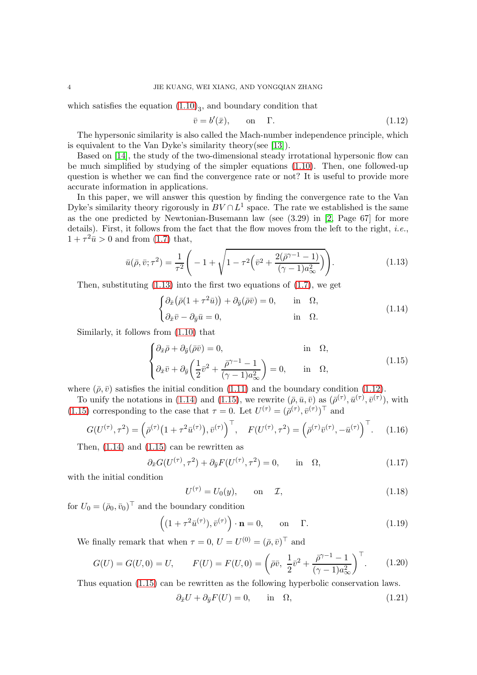which satisfies the equation  $(1.10)_3$ , and boundary condition that

<span id="page-3-1"></span>
$$
\bar{v} = b'(\bar{x}), \qquad \text{on} \qquad \Gamma. \tag{1.12}
$$

The hypersonic similarity is also called the Mach-number independence principle, which is equivalent to the Van Dyke's similarity theory(see [\[13\]](#page-49-4)).

Based on [\[14\]](#page-49-0), the study of the two-dimensional steady irrotational hypersonic flow can be much simplified by studying of the simpler equations [\(1.10\)](#page-2-3). Then, one followed-up question is whether we can find the convergence rate or not? It is useful to provide more accurate information in applications.

In this paper, we will answer this question by finding the convergence rate to the Van Dyke's similarity theory rigorously in  $BV \cap L^1$  space. The rate we established is the same as the one predicted by Newtonian-Busemann law (see (3.29) in [\[2,](#page-48-0) Page 67] for more details). First, it follows from the fact that the flow moves from the left to the right, *i.e.*,  $1 + \tau^2 \bar{u} > 0$  and from [\(1.7\)](#page-2-1) that,

<span id="page-3-0"></span>
$$
\bar{u}(\bar{\rho}, \bar{v}; \tau^2) = \frac{1}{\tau^2} \left( -1 + \sqrt{1 - \tau^2 \left( \bar{v}^2 + \frac{2(\bar{\rho}^{\gamma - 1} - 1)}{(\gamma - 1)a_{\infty}^2} \right)} \right). \tag{1.13}
$$

Then, substituting  $(1.13)$  into the first two equations of  $(1.7)$ , we get

<span id="page-3-2"></span>
$$
\begin{cases} \partial_{\bar{x}} (\bar{\rho} (1 + \tau^2 \bar{u})) + \partial_{\bar{y}} (\bar{\rho} \bar{v}) = 0, & \text{in } \Omega, \\ \partial_{\bar{x}} \bar{v} - \partial_{\bar{y}} \bar{u} = 0, & \text{in } \Omega. \end{cases}
$$
 (1.14)

Similarly, it follows from [\(1.10\)](#page-2-3) that

<span id="page-3-3"></span>
$$
\begin{cases} \partial_{\bar{x}} \bar{\rho} + \partial_{\bar{y}} (\bar{\rho} \bar{v}) = 0, & \text{in } \Omega, \\ \partial_{\bar{x}} \bar{v} + \partial_{\bar{y}} \left( \frac{1}{2} \bar{v}^2 + \frac{\bar{\rho}^{\gamma - 1} - 1}{(\gamma - 1) a_{\infty}^2} \right) = 0, & \text{in } \Omega, \end{cases}
$$
(1.15)

where  $(\bar{\rho}, \bar{v})$  satisfies the initial condition [\(1.11\)](#page-2-4) and the boundary condition [\(1.12\)](#page-3-1).

To unify the notations in [\(1.14\)](#page-3-2) and [\(1.15\)](#page-3-3), we rewrite  $(\bar{\rho}, \bar{u}, \bar{v})$  as  $(\bar{\rho}^{(\tau)}, \bar{u}^{(\tau)}, \bar{v}^{(\tau)})$ , with [\(1.15\)](#page-3-3) corresponding to the case that  $\tau = 0$ . Let  $U^{(\tau)} = (\bar{\rho}^{(\tau)}, \bar{v}^{(\tau)})^{\top}$  and

<span id="page-3-7"></span>
$$
G(U^{(\tau)}, \tau^2) = (\bar{\rho}^{(\tau)}(1 + \tau^2 \bar{u}^{(\tau)}), \bar{v}^{(\tau)})^{\top}, \quad F(U^{(\tau)}, \tau^2) = (\bar{\rho}^{(\tau)} \bar{v}^{(\tau)}, -\bar{u}^{(\tau)})^{\top}.
$$
 (1.16)

Then,  $(1.14)$  and  $(1.15)$  can be rewritten as

<span id="page-3-4"></span>
$$
\partial_{\bar{x}} G(U^{(\tau)}, \tau^2) + \partial_{\bar{y}} F(U^{(\tau)}, \tau^2) = 0, \quad \text{in} \quad \Omega,
$$
\n(1.17)

with the initial condition

<span id="page-3-9"></span>
$$
U^{(\tau)} = U_0(y), \qquad \text{on} \quad \mathcal{I}, \tag{1.18}
$$

for  $U_0 = (\bar{\rho}_0, \bar{v}_0)^\top$  and the boundary condition

<span id="page-3-5"></span>
$$
\left( (1 + \tau^2 \bar{u}^{(\tau)}), \bar{v}^{(\tau)} \right) \cdot \mathbf{n} = 0, \quad \text{on} \quad \Gamma. \tag{1.19}
$$

We finally remark that when  $\tau = 0$ ,  $U = U^{(0)} = (\bar{\rho}, \bar{v})^{\top}$  and

<span id="page-3-8"></span>
$$
G(U) = G(U,0) = U, \qquad F(U) = F(U,0) = \left(\bar{\rho}\bar{v}, \ \frac{1}{2}\bar{v}^2 + \frac{\bar{\rho}^{\gamma-1}-1}{(\gamma-1)a_{\infty}^2}\right)^{\top}.
$$
 (1.20)

Thus equation [\(1.15\)](#page-3-3) can be rewritten as the following hyperbolic conservation laws.

<span id="page-3-6"></span>
$$
\partial_{\bar{x}}U + \partial_{\bar{y}}F(U) = 0, \quad \text{in} \quad \Omega,
$$
\n(1.21)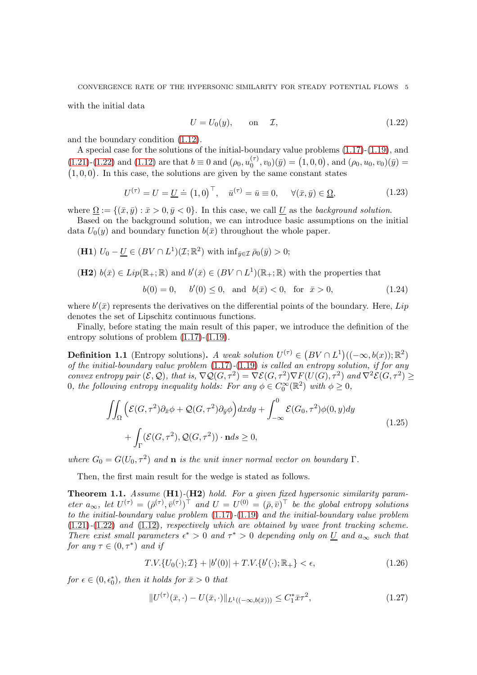with the initial data

<span id="page-4-0"></span>
$$
U = U_0(y), \qquad \text{on} \qquad \mathcal{I}, \tag{1.22}
$$

and the boundary condition [\(1.12\)](#page-3-1).

A special case for the solutions of the initial-boundary value problems [\(1.17\)](#page-3-4)-[\(1.19\)](#page-3-5), and [\(1.21\)](#page-3-6)-[\(1.22\)](#page-4-0) and [\(1.12\)](#page-3-1) are that  $b \equiv 0$  and  $(\rho_0, u_0^{(\tau)})$  $\binom{(\tau)}{0}, v_0(\bar{y}) = (1, 0, 0), \text{ and } (\rho_0, u_0, v_0)(\bar{y}) =$  $(1, 0, 0)$ . In this case, the solutions are given by the same constant states

<span id="page-4-3"></span>
$$
U^{(\tau)} = U = \underline{U} \doteq (1,0)^\top, \quad \bar{u}^{(\tau)} = \bar{u} \equiv 0, \quad \forall (\bar{x}, \bar{y}) \in \underline{\Omega}, \tag{1.23}
$$

where  $\Omega := \{(\bar{x}, \bar{y}) : \bar{x} > 0, \bar{y} < 0\}$ . In this case, we call U as the background solution.

Based on the background solution, we can introduce basic assumptions on the initial data  $U_0(y)$  and boundary function  $b(\bar{x})$  throughout the whole paper.

(H1) 
$$
U_0 - \underline{U} \in (BV \cap L^1)(\mathcal{I}; \mathbb{R}^2)
$$
 with  $\inf_{\bar{y} \in \mathcal{I}} \bar{\rho}_0(\bar{y}) > 0$ ;

(H2)  $b(\bar{x}) \in Lip(\mathbb{R}_+;\mathbb{R})$  and  $b'(\bar{x}) \in (BV \cap L^1)(\mathbb{R}_+;\mathbb{R})$  with the properties that

$$
b(0) = 0
$$
,  $b'(0) \le 0$ , and  $b(\bar{x}) < 0$ , for  $\bar{x} > 0$ , (1.24)

where  $b'(\bar{x})$  represents the derivatives on the differential points of the boundary. Here, Lip denotes the set of Lipschitz continuous functions.

Finally, before stating the main result of this paper, we introduce the definition of the entropy solutions of problem [\(1.17\)](#page-3-4)-[\(1.19\)](#page-3-5).

**Definition 1.1** (Entropy solutions). A weak solution  $U^{(\tau)} \in (BV \cap L^1)((-\infty, b(x)); \mathbb{R}^2)$ of the initial-boundary value problem  $(1.17)-(1.19)$  $(1.17)-(1.19)$  $(1.17)-(1.19)$  is called an entropy solution, if for any convex entropy pair  $(\mathcal{E}, \mathcal{Q})$ , that is,  $\nabla \mathcal{Q}(G, \tau^2) = \nabla \mathcal{E}(G, \tau^2) \nabla F(U(G), \tau^2)$  and  $\nabla^2 \mathcal{E}(G, \tau^2) \ge$ 0, the following entropy inequality holds: For any  $\phi \in C_0^{\infty}(\mathbb{R}^2)$  with  $\phi \geq 0$ ,

$$
\iint_{\Omega} \left( \mathcal{E}(G, \tau^2) \partial_{\bar{x}} \phi + \mathcal{Q}(G, \tau^2) \partial_{\bar{y}} \phi \right) dxdy + \int_{-\infty}^{0} \mathcal{E}(G_0, \tau^2) \phi(0, y) dy + \int_{\Gamma} (\mathcal{E}(G, \tau^2), \mathcal{Q}(G, \tau^2)) \cdot \mathbf{n} ds \ge 0,
$$
\n(1.25)

where  $G_0 = G(U_0, \tau^2)$  and **n** is the unit inner normal vector on boundary  $\Gamma$ .

Then, the first main result for the wedge is stated as follows.

<span id="page-4-1"></span>**Theorem 1.1.** Assume  $(H1)-(H2)$  hold. For a given fixed hypersonic similarity parameter  $a_{\infty}$ , let  $U^{(\tau)} = (\bar{\rho}^{(\tau)}, \bar{v}^{(\tau)})^{\top}$  and  $U = U^{(0)} = (\bar{\rho}, \bar{v})^{\top}$  be the global entropy solutions to the initial-boundary value problem [\(1.17\)](#page-3-4)-[\(1.19\)](#page-3-5) and the initial-boundary value problem  $(1.21)-(1.22)$  $(1.21)-(1.22)$  $(1.21)-(1.22)$  and  $(1.12)$ , respectively which are obtained by wave front tracking scheme. There exist small parameters  $\epsilon^* > 0$  and  $\tau^* > 0$  depending only on U and  $a_{\infty}$  such that for any  $\tau \in (0, \tau^*)$  and if

<span id="page-4-4"></span>
$$
T.V.\{U_0(\cdot); \mathcal{I}\} + |b'(0)| + T.V.\{b'(\cdot); \mathbb{R}_+\} < \epsilon,\tag{1.26}
$$

for  $\epsilon \in (0, \epsilon_0^*)$ , then it holds for  $\bar{x} > 0$  that

<span id="page-4-2"></span>
$$
||U^{(\tau)}(\bar{x},\cdot) - U(\bar{x},\cdot)||_{L^{1}((-\infty,b(\bar{x})))} \leq C_{1}^{*}\bar{x}\tau^{2},
$$
\n(1.27)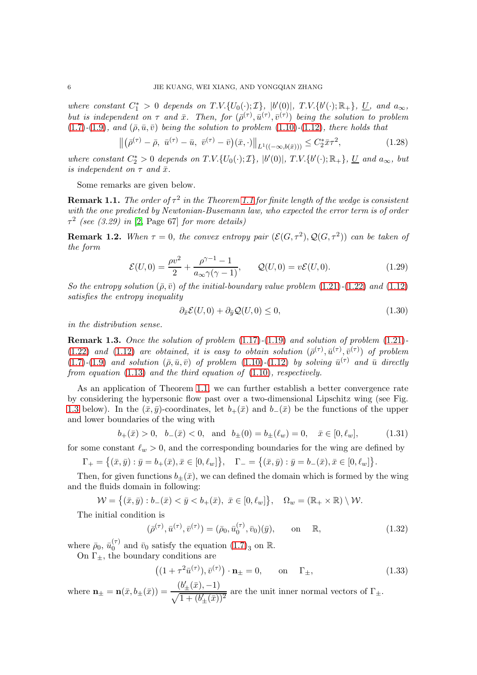where constant  $C_1^* > 0$  depends on  $T.V. \{U_0(\cdot); \mathcal{I}\}, \, [b'(0)], \, T.V. \{b'(\cdot); \mathbb{R}_+\}, \, \underline{U}, \,$  and  $a_{\infty},$ but is independent on  $\tau$  and  $\bar{x}$ . Then, for  $(\bar{\rho}^{(\tau)}, \bar{u}^{(\tau)}, \bar{v}^{(\tau)})$  being the solution to problem [\(1.7\)](#page-2-1)-[\(1.9\)](#page-2-2), and  $(\bar{\rho}, \bar{u}, \bar{v})$  being the solution to problem [\(1.10\)](#page-2-3)-[\(1.12\)](#page-3-1), there holds that

<span id="page-5-3"></span>
$$
\left\| \left( \bar{\rho}^{(\tau)} - \bar{\rho}, \ \bar{u}^{(\tau)} - \bar{u}, \ \bar{v}^{(\tau)} - \bar{v} \right) (\bar{x}, \cdot) \right\|_{L^1((-\infty, b(\bar{x})))} \leq C_2^* \bar{x} \tau^2, \tag{1.28}
$$

where constant  $C_2^* > 0$  depends on  $T.V. \{U_0(\cdot); \mathcal{I}\}, |b'(0)|, T.V. \{b'(\cdot); \mathbb{R}_+\}, \underline{U}$  and  $a_{\infty}$ , but is independent on  $\tau$  and  $\bar{x}$ .

Some remarks are given below.

**Remark [1.1](#page-4-1).** The order of  $\tau^2$  in the Theorem 1.1 for finite length of the wedge is consistent with the one predicted by Newtonian-Busemann law, who expected the error term is of order  $\tau^2$  (see (3.29) in [\[2,](#page-48-0) Page 67] for more details)

**Remark 1.2.** When  $\tau = 0$ , the convex entropy pair  $(\mathcal{E}(G, \tau^2), \mathcal{Q}(G, \tau^2))$  can be taken of the form

$$
\mathcal{E}(U,0) = \frac{\rho v^2}{2} + \frac{\rho^{\gamma - 1} - 1}{a_{\infty} \gamma (\gamma - 1)}, \qquad \mathcal{Q}(U,0) = v\mathcal{E}(U,0). \tag{1.29}
$$

So the entropy solution  $(\bar{\rho}, \bar{v})$  of the initial-boundary value problem  $(1.21)-(1.22)$  $(1.21)-(1.22)$  $(1.21)-(1.22)$  and  $(1.12)$ satisfies the entropy inequality

$$
\partial_{\bar{x}} \mathcal{E}(U,0) + \partial_{\bar{y}} \mathcal{Q}(U,0) \le 0, \tag{1.30}
$$

in the distribution sense.

**Remark 1.3.** Once the solution of problem  $(1.17)-(1.19)$  $(1.17)-(1.19)$  $(1.17)-(1.19)$  and solution of problem  $(1.21)$ -[\(1.22\)](#page-4-0) and [\(1.12\)](#page-3-1) are obtained, it is easy to obtain solution  $(\bar{\rho}^{(\tau)}, \bar{u}^{(\tau)}, \bar{v}^{(\tau)})$  of problem  $(1.7)-(1.9)$  $(1.7)-(1.9)$  $(1.7)-(1.9)$  and solution  $(\bar{\rho}, \bar{u}, \bar{v})$  of problem  $(1.10)-(1.12)$  $(1.10)-(1.12)$  $(1.10)-(1.12)$  by solving  $\bar{u}^{(\tau)}$  and  $\bar{u}$  directly from equation [\(1.13\)](#page-3-0) and the third equation of [\(1.10\)](#page-2-3), respectively.

As an application of Theorem [1.1,](#page-4-1) we can further establish a better convergence rate by considering the hypersonic flow past over a two-dimensional Lipschitz wing (see Fig. [1.3](#page-6-0) below). In the  $(\bar{x}, \bar{y})$ -coordinates, let  $b_{+}(\bar{x})$  and  $b_{-}(\bar{x})$  be the functions of the upper and lower boundaries of the wing with

<span id="page-5-2"></span>
$$
b_{+}(\bar{x}) > 0
$$
,  $b_{-}(\bar{x}) < 0$ , and  $b_{\pm}(0) = b_{\pm}(\ell_{w}) = 0$ ,  $\bar{x} \in [0, \ell_{w}]$ , (1.31)

for some constant  $\ell_w > 0$ , and the corresponding boundaries for the wing are defined by

$$
\Gamma_+ = \big\{ (\bar{x}, \bar{y}) : \bar{y} = b_+(\bar{x}), \bar{x} \in [0, \ell_w] \big\}, \quad \Gamma_- = \big\{ (\bar{x}, \bar{y}) : \bar{y} = b_-(\bar{x}), \bar{x} \in [0, \ell_w] \big\}.
$$

Then, for given functions  $b_{+}(\bar{x})$ , we can defined the domain which is formed by the wing and the fluids domain in following:

$$
\mathcal{W} = \{ (\bar{x}, \bar{y}) : b_{-}(\bar{x}) < \bar{y} < b_{+}(\bar{x}), \ \bar{x} \in [0, \ell_{w}] \}, \quad \Omega_{w} = (\mathbb{R}_{+} \times \mathbb{R}) \setminus \mathcal{W}.
$$

The initial condition is

<span id="page-5-0"></span>
$$
(\bar{\rho}^{(\tau)}, \bar{u}^{(\tau)}, \bar{v}^{(\tau)}) = (\bar{\rho}_0, \bar{u}_0^{(\tau)}, \bar{v}_0)(\bar{y}), \quad \text{on} \quad \mathbb{R}, \tag{1.32}
$$

where  $\bar{\rho}_0$ ,  $\bar{u}_0^{(\tau)}$  $\binom{\tau}{0}$  and  $\bar{v}_0$  satisfy the equation  $(1.7)_3$  on  $\mathbb{R}$ .

On  $\Gamma_{\pm}$ , the boundary conditions are

<span id="page-5-1"></span>
$$
((1+\tau^2\bar{u}^{(\tau)}),\bar{v}^{(\tau)})\cdot\mathbf{n}_{\pm}=0,\qquad\text{on}\qquad\Gamma_{\pm},\tag{1.33}
$$

where  $\mathbf{n}_{\pm} = \mathbf{n}(\bar{x}, b_{\pm}(\bar{x})) = \frac{(b'_{\pm}(\bar{x}), -1)}{\sqrt{1 + (b'_{\pm}(\bar{x}))}}$  $\frac{\sqrt{1 + (b'_\pm(\bar{x}))^2}}{\sqrt{1 + (b'_\pm(\bar{x}))^2}}$  are the unit inner normal vectors of  $\Gamma_\pm$ .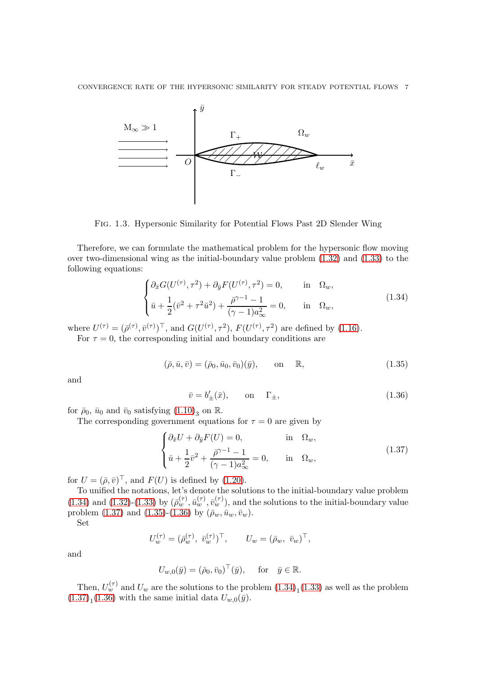

<span id="page-6-0"></span>Fig. 1.3. Hypersonic Similarity for Potential Flows Past 2D Slender Wing

Therefore, we can formulate the mathematical problem for the hypersonic flow moving over two-dimensional wing as the initial-boundary value problem [\(1.32\)](#page-5-0) and [\(1.33\)](#page-5-1) to the following equations:

<span id="page-6-1"></span>
$$
\begin{cases} \partial_{\bar{x}} G(U^{(\tau)}, \tau^2) + \partial_{\bar{y}} F(U^{(\tau)}, \tau^2) = 0, & \text{in } \Omega_w, \\ \bar{u} + \frac{1}{2} (\bar{v}^2 + \tau^2 \bar{u}^2) + \frac{\bar{\rho}^{\gamma - 1} - 1}{(\gamma - 1) a_{\infty}^2} = 0, & \text{in } \Omega_w, \end{cases}
$$
(1.34)

where  $U^{(\tau)} = (\bar{\rho}^{(\tau)}, \bar{v}^{(\tau)})^{\top}$ , and  $G(U^{(\tau)}, \tau^2)$ ,  $F(U^{(\tau)}, \tau^2)$  are defined by [\(1.16\)](#page-3-7).

For  $\tau = 0$ , the corresponding initial and boundary conditions are

<span id="page-6-3"></span>
$$
(\bar{\rho}, \bar{u}, \bar{v}) = (\bar{\rho}_0, \bar{u}_0, \bar{v}_0)(\bar{y}),
$$
 on  $\mathbb{R},$  (1.35)

and

<span id="page-6-4"></span>
$$
\bar{v} = b'_{\pm}(\bar{x}), \qquad \text{on} \quad \Gamma_{\pm}, \tag{1.36}
$$

for  $\bar{\rho}_0$ ,  $\bar{u}_0$  and  $\bar{v}_0$  satisfying  $(1.10)_3$  on  $\mathbb{R}$ .

The corresponding government equations for  $\tau = 0$  are given by

<span id="page-6-2"></span>
$$
\begin{cases} \partial_{\bar{x}}U + \partial_{\bar{y}}F(U) = 0, & \text{in } \Omega_w, \\ \bar{u} + \frac{1}{2}\bar{v}^2 + \frac{\bar{\rho}^{\gamma - 1} - 1}{(\gamma - 1)a_{\infty}^2} = 0, & \text{in } \Omega_w, \end{cases}
$$
(1.37)

for  $U = (\bar{\rho}, \bar{v})^{\top}$ , and  $F(U)$  is defined by [\(1.20\)](#page-3-8).

To unified the notations, let's denote the solutions to the initial-boundary value problem [\(1.34\)](#page-6-1) and [\(1.32\)](#page-5-0)-[\(1.33\)](#page-5-1) by  $(\bar{\rho}_w^{(\tau)}, \bar{u}_w^{(\tau)}, \bar{v}_w^{(\tau)})$ , and the solutions to the initial-boundary value problem [\(1.37\)](#page-6-2) and [\(1.35\)](#page-6-3)-[\(1.36\)](#page-6-4) by  $(\bar{\rho}_w, \bar{u}_w, \bar{v}_w)$ .

Set

$$
U_w^{(\tau)} = (\bar{\rho}_w^{(\tau)}, \ \bar{v}_w^{(\tau)})^{\top}, \qquad U_w = (\bar{\rho}_w, \ \bar{v}_w)^{\top},
$$

and

$$
U_{w,0}(\bar{y}) = (\bar{\rho}_0, \bar{v}_0)^\top(\bar{y}), \quad \text{for} \quad \bar{y} \in \mathbb{R}.
$$

Then,  $U_w^{(\tau)}$  and  $U_w$  are the solutions to the problem  $(1.34)_1 (1.33)$  $(1.34)_1 (1.33)$  as well as the problem  $(1.37)<sub>1</sub>(1.36)$  $(1.37)<sub>1</sub>(1.36)$  $(1.37)<sub>1</sub>(1.36)$  with the same initial data  $U_{w,0}(\bar{y})$ .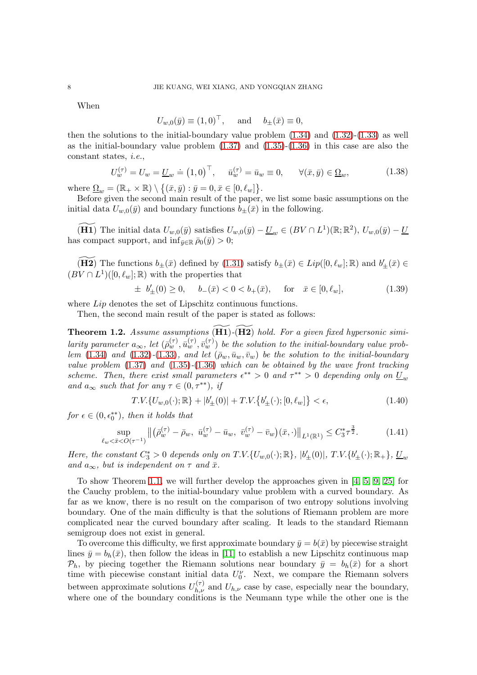When

$$
U_{w,0}(\bar{y}) \equiv (1,0)^\top, \quad \text{and} \quad b_{\pm}(\bar{x}) \equiv 0,
$$

then the solutions to the initial-boundary value problem  $(1.34)$  and  $(1.32)-(1.33)$  $(1.32)-(1.33)$  as well as the initial-boundary value problem  $(1.37)$  and  $(1.35)-(1.36)$  $(1.35)-(1.36)$  in this case are also the constant states, i.e.,

$$
U_w^{(\tau)} = U_w = \underline{U}_w = (1,0)^\top, \quad \bar{u}_w^{(\tau)} = \bar{u}_w \equiv 0, \qquad \forall (\bar{x}, \bar{y}) \in \underline{\Omega}_w,\tag{1.38}
$$

where  $\underline{\Omega}_w = (\mathbb{R}_+ \times \mathbb{R}) \setminus \{ (\bar{x}, \bar{y}) : \bar{y} = 0, \bar{x} \in [0, \ell_w] \}.$ 

Before given the second main result of the paper, we list some basic assumptions on the initial data  $U_{w,0}(\bar{y})$  and boundary functions  $b_{\pm}(\bar{x})$  in the following.

 $\widetilde{H1)}$  The initial data  $U_{w,0}(\bar{y})$  satisfies  $U_{w,0}(\bar{y}) - \underline{U}_w \in (BV \cap L^1)(\mathbb{R}; \mathbb{R}^2)$ ,  $U_{w,0}(\bar{y}) - \underline{U}_w$ has compact support, and  $\inf_{\bar{y}\in\mathbb{R}}\bar{\rho}_0(\bar{y})>0;$ 

 $\widetilde{H2)}$  The functions  $b_{\pm}(\bar{x})$  defined by  $(1.31)$  satisfy  $b_{\pm}(\bar{x}) \in Lip([0, \ell_w]; \mathbb{R})$  and  $b'_{\pm}(\bar{x}) \in$  $(BV \cap L<sup>1</sup>)([0, \ell_w]; \mathbb{R})$  with the properties that

$$
\pm b'_{\pm}(0) \ge 0, \quad b_{-}(\bar{x}) < 0 < b_{+}(\bar{x}), \quad \text{for} \quad \bar{x} \in [0, \ell_{w}], \tag{1.39}
$$

where *Lip* denotes the set of Lipschitz continuous functions.

Then, the second main result of the paper is stated as follows:

<span id="page-7-0"></span>**Theorem 1.2.** Assume assumptions  $(H1)-(H2)$  hold. For a given fixed hypersonic similarity parameter  $a_{\infty}$ , let  $(\bar{\rho}_w^{(\tau)}, \bar{u}_w^{(\tau)}, \bar{v}_w^{(\tau)})$  be the solution to the initial-boundary value prob-lem [\(1.34\)](#page-6-1) and [\(1.32\)](#page-5-0)-[\(1.33\)](#page-5-1), and let  $(\bar{\rho}_w, \bar{u}_w, \bar{v}_w)$  be the solution to the initial-boundary value problem  $(1.37)$  and  $(1.35)-(1.36)$  $(1.35)-(1.36)$  $(1.35)-(1.36)$  which can be obtained by the wave front tracking scheme. Then, there exist small parameters  $\epsilon^{**} > 0$  and  $\tau^{**} > 0$  depending only on  $\underline{U}_w$ and  $a_{\infty}$  such that for any  $\tau \in (0, \tau^{**}),$  if

<span id="page-7-1"></span>
$$
T.V.\{U_{w,0}(\cdot);\mathbb{R}\}+|b'_{\pm}(0)|+T.V.\{b'_{\pm}(\cdot);[0,\ell_w]\}<\epsilon,\tag{1.40}
$$

 $for \epsilon \in (0, \epsilon_0^{**}), then it holds that$ 

<span id="page-7-2"></span>
$$
\sup_{\ell_w < \bar{x} < O(\tau^{-1})} \left\| \left( \bar{\rho}_w^{(\tau)} - \bar{\rho}_w, \ \bar{u}_w^{(\tau)} - \bar{u}_w, \ \bar{v}_w^{(\tau)} - \bar{v}_w \right) (\bar{x}, \cdot) \right\|_{L^1(\mathbb{R}^1)} \le C_3^* \tau^{\frac{3}{2}}.\tag{1.41}
$$

Here, the constant  $C_3^* > 0$  depends only on T.V.{ $U_{w,0}(\cdot)$ ; R},  $|b'_{\pm}(0)|$ , T.V.{ $b'_{\pm}(\cdot)$ ; R<sub>+</sub>},  $\underline{U}_w$ and  $a_{\infty}$ , but is independent on  $\tau$  and  $\bar{x}$ .

To show Theorem [1.1,](#page-4-1) we will further develop the approaches given in [\[4,](#page-48-1) [5,](#page-48-2) [9,](#page-48-3) [25\]](#page-49-5) for the Cauchy problem, to the initial-boundary value problem with a curved boundary. As far as we know, there is no result on the comparison of two entropy solutions involving boundary. One of the main difficulty is that the solutions of Riemann problem are more complicated near the curved boundary after scaling. It leads to the standard Riemann semigroup does not exist in general.

To overcome this difficulty, we first approximate boundary  $\bar{y} = b(\bar{x})$  by piecewise straight lines  $\bar{y} = b_h(\bar{x})$ , then follow the ideas in [\[11\]](#page-49-6) to establish a new Lipschitz continuous map  $\mathcal{P}_h$ , by piecing together the Riemann solutions near boundary  $\bar{y} = b_h(\bar{x})$  for a short time with piecewise constant initial data  $U_0^{\nu}$ . Next, we compare the Riemann solvers between approximate solutions  $U_{h,\nu}^{(\tau)}$  and  $U_{h,\nu}$  case by case, especially near the boundary, where one of the boundary conditions is the Neumann type while the other one is the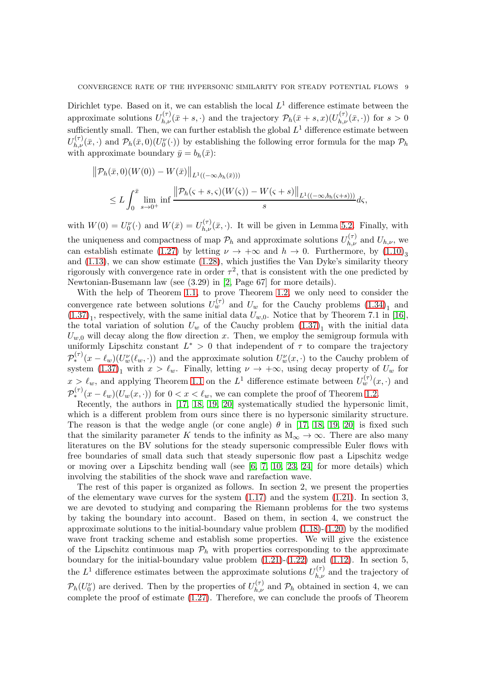Dirichlet type. Based on it, we can establish the local  $L^1$  difference estimate between the approximate solutions  $U_{h,\nu}^{(\tau)}(\bar{x}+s,\cdot)$  and the trajectory  $\mathcal{P}_h(\bar{x}+s,x)(U_{h,\nu}^{(\tau)}(\bar{x},\cdot))$  for  $s>0$ sufficiently small. Then, we can further establish the global  $L^1$  difference estimate between  $U_{h,\nu}^{(\tau)}(\bar{x},\cdot)$  and  $\mathcal{P}_h(\bar{x},0)(U_0^{\nu}(\cdot))$  by establishing the following error formula for the map  $\mathcal{P}_h$ with approximate boundary  $\bar{y} = b_h(\bar{x})$ :

$$
\|\mathcal{P}_h(\bar{x},0)(W(0)) - W(\bar{x})\|_{L^1((-\infty,b_h(\bar{x})))}
$$
  
 
$$
\leq L \int_0^{\bar{x}} \lim_{s \to 0^+} \inf \frac{\|\mathcal{P}_h(s+s,\varsigma)(W(\varsigma)) - W(\varsigma+s)\|_{L^1((-\infty,b_h(\varsigma+s)))}}{s} d\varsigma,
$$

with  $W(0) = U_0^{\nu}(\cdot)$  and  $W(\bar{x}) = U_{h,\nu}^{(\tau)}(\bar{x},\cdot)$ . It will be given in Lemma [5.2.](#page-30-0) Finally, with the uniqueness and compactness of map  $\mathcal{P}_h$  and approximate solutions  $U_{h,\nu}^{(\tau)}$  and  $U_{h,\nu}$ , we can establish estimate [\(1.27\)](#page-4-2) by letting  $\nu \to +\infty$  and  $h \to 0$ . Furthermore, by [\(1.10\)](#page-2-3)<sub>3</sub> and [\(1.13\)](#page-3-0), we can show estimate [\(1.28\)](#page-5-3), which justifies the Van Dyke's similarity theory rigorously with convergence rate in order  $\tau^2$ , that is consistent with the one predicted by Newtonian-Busemann law (see (3.29) in [\[2,](#page-48-0) Page 67] for more details).

With the help of Theorem [1.1,](#page-4-1) to prove Theorem [1.2,](#page-7-0) we only need to consider the convergence rate between solutions  $U_w^{(\tau)}$  and  $U_w$  for the Cauchy problems  $(1.34)_1$  and  $(1.37)<sub>1</sub>$  $(1.37)<sub>1</sub>$ , respectively, with the same initial data  $U<sub>w,0</sub>$ . Notice that by Theorem 7.1 in [\[16\]](#page-49-7), the total variation of solution  $U_w$  of the Cauchy problem  $(1.37)_1$  with the initial data  $U_{w,0}$  will decay along the flow direction x. Then, we employ the semigroup formula with uniformly Lipschitz constant  $L^* > 0$  that independent of  $\tau$  to compare the trajectory  $\mathcal{P}_*^{(\tau)}(x-\ell_w)(U_w^{\nu}(\ell_w,\cdot))$  and the approximate solution  $U_w^{\nu}(x,\cdot)$  to the Cauchy problem of system  $(1.37)<sub>1</sub>$  with  $x > \ell_w$ . Finally, letting  $\nu \to +\infty$ , using decay property of  $U_w$  for  $x > \ell_w$ , and applying Theorem [1.1](#page-4-1) on the  $L^1$  difference estimate between  $U_w^{(\tau)}(x, \cdot)$  and  $\mathcal{P}_{*}^{(\tau)}(x-\ell_w)(U_w(x,\cdot))$  for  $0 < x < \ell_w$ , we can complete the proof of Theorem [1.2.](#page-7-0)

Recently, the authors in [\[17,](#page-49-8) [18,](#page-49-9) [19,](#page-49-10) [20\]](#page-49-11) systematically studied the hypersonic limit, which is a different problem from ours since there is no hypersonic similarity structure. The reason is that the wedge angle (or cone angle)  $\theta$  in [\[17,](#page-49-8) [18,](#page-49-9) [19,](#page-49-10) [20\]](#page-49-11) is fixed such that the similarity parameter K tends to the infinity as  $M_{\infty} \to \infty$ . There are also many literatures on the BV solutions for the steady supersonic compressible Euler flows with free boundaries of small data such that steady supersonic flow past a Lipschitz wedge or moving over a Lipschitz bending wall (see  $[6, 7, 10, 23, 24]$  $[6, 7, 10, 23, 24]$  $[6, 7, 10, 23, 24]$  $[6, 7, 10, 23, 24]$  $[6, 7, 10, 23, 24]$  for more details) which involving the stabilities of the shock wave and rarefaction wave.

The rest of this paper is organized as follows. In section 2, we present the properties of the elementary wave curves for the system  $(1.17)$  and the system  $(1.21)$ . In section 3, we are devoted to studying and comparing the Riemann problems for the two systems by taking the boundary into account. Based on them, in section 4, we construct the approximate solutions to the initial-boundary value problem  $(1.18)-(1.20)$  $(1.18)-(1.20)$  by the modified wave front tracking scheme and establish some properties. We will give the existence of the Lipschitz continuous map  $\mathcal{P}_h$  with properties corresponding to the approximate boundary for the initial-boundary value problem  $(1.21)-(1.22)$  $(1.21)-(1.22)$  and  $(1.12)$ . In section 5, the  $L^1$  difference estimates between the approximate solutions  $U_{h,\nu}^{(\tau)}$  and the trajectory of  $\mathcal{P}_h(U_0^{\nu})$  are derived. Then by the properties of  $U_{h,\nu}^{(\tau)}$  and  $\mathcal{P}_h$  obtained in section 4, we can complete the proof of estimate [\(1.27\)](#page-4-2). Therefore, we can conclude the proofs of Theorem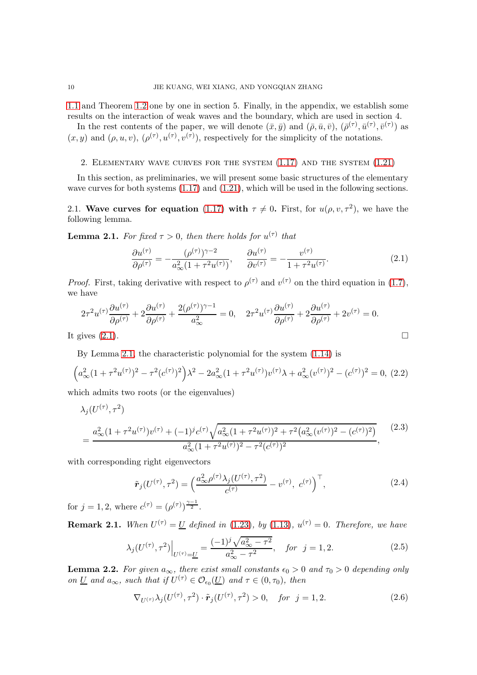[1.1](#page-4-1) and Theorem [1.2](#page-7-0) one by one in section 5. Finally, in the appendix, we establish some results on the interaction of weak waves and the boundary, which are used in section 4.

In the rest contents of the paper, we will denote  $(\bar{x}, \bar{y})$  and  $(\bar{\rho}, \bar{u}, \bar{v}), (\bar{\rho}^{(\tau)}, \bar{u}^{(\tau)}, \bar{v}^{(\tau)})$  as  $(x, y)$  and  $(\rho, u, v)$ ,  $(\rho^{(\tau)}, u^{(\tau)}, v^{(\tau)})$ , respectively for the simplicity of the notations.

# 2. Elementary wave curves for the system [\(1.17\)](#page-3-4) and the system [\(1.21\)](#page-3-6)

In this section, as preliminaries, we will present some basic structures of the elementary wave curves for both systems  $(1.17)$  and  $(1.21)$ , which will be used in the following sections.

2.1. Wave curves for equation [\(1.17\)](#page-3-4) with  $\tau \neq 0$ . First, for  $u(\rho, v, \tau^2)$ , we have the following lemma.

<span id="page-9-1"></span>**Lemma 2.1.** For fixed  $\tau > 0$ , then there holds for  $u^{(\tau)}$  that

<span id="page-9-0"></span>
$$
\frac{\partial u^{(\tau)}}{\partial \rho^{(\tau)}} = -\frac{(\rho^{(\tau)})^{\gamma - 2}}{a_{\infty}^2 (1 + \tau^2 u^{(\tau)})}, \quad \frac{\partial u^{(\tau)}}{\partial v^{(\tau)}} = -\frac{v^{(\tau)}}{1 + \tau^2 u^{(\tau)}}.
$$
(2.1)

*Proof.* First, taking derivative with respect to  $\rho^{(\tau)}$  and  $v^{(\tau)}$  on the third equation in [\(1.7\)](#page-2-1), we have

$$
2\tau^2 u^{(\tau)} \frac{\partial u^{(\tau)}}{\partial \rho^{(\tau)}} + 2 \frac{\partial u^{(\tau)}}{\partial \rho^{(\tau)}} + \frac{2(\rho^{(\tau)})^{\gamma - 1}}{a_{\infty}^2} = 0, \quad 2\tau^2 u^{(\tau)} \frac{\partial u^{(\tau)}}{\partial \rho^{(\tau)}} + 2 \frac{\partial u^{(\tau)}}{\partial \rho^{(\tau)}} + 2v^{(\tau)} = 0.
$$

It gives  $(2.1)$ .

By Lemma [2.1,](#page-9-1) the characteristic polynomial for the system [\(1.14\)](#page-3-2) is

<span id="page-9-2"></span>
$$
\left(a_{\infty}^2(1+\tau^2 u^{(\tau)})^2 - \tau^2 (c^{(\tau)})^2\right)\lambda^2 - 2a_{\infty}^2(1+\tau^2 u^{(\tau)})v^{(\tau)}\lambda + a_{\infty}^2 (v^{(\tau)})^2 - (c^{(\tau)})^2 = 0, (2.2)
$$

which admits two roots (or the eigenvalues)

$$
\lambda_j(U^{(\tau)}, \tau^2)
$$
\n
$$
= \frac{a_{\infty}^2 (1 + \tau^2 u^{(\tau)}) v^{(\tau)} + (-1)^j c^{(\tau)} \sqrt{a_{\infty}^2 (1 + \tau^2 u^{(\tau)})^2 + \tau^2 (a_{\infty}^2 (v^{(\tau)})^2 - (c^{(\tau)})^2)}}{a_{\infty}^2 (1 + \tau^2 u^{(\tau)})^2 - \tau^2 (c^{(\tau)})^2},
$$
\n(2.3)

with corresponding right eigenvectors

$$
\tilde{\boldsymbol{r}}_{j}(U^{(\tau)},\tau^{2}) = \left(\frac{a_{\infty}^{2}\rho^{(\tau)}\lambda_{j}(U^{(\tau)},\tau^{2})}{c^{(\tau)}} - v^{(\tau)}, c^{(\tau)}\right)^{\top},
$$
\n(2.4)

for  $j = 1, 2$ , where  $c^{(\tau)} = (\rho^{(\tau)})^{\frac{\gamma - 1}{2}}$ .

**Remark 2.1.** When  $U^{(\tau)} = U$  defined in [\(1.23\)](#page-4-3), by [\(1.13\)](#page-3-0),  $u^{(\tau)} = 0$ . Therefore, we have

$$
\lambda_j(U^{(\tau)}, \tau^2)\Big|_{U^{(\tau)} = \underline{U}} = \frac{(-1)^j \sqrt{a_{\infty}^2 - \tau^2}}{a_{\infty}^2 - \tau^2}, \quad \text{for } j = 1, 2. \tag{2.5}
$$

<span id="page-9-3"></span>**Lemma 2.2.** For given  $a_{\infty}$ , there exist small constants  $\epsilon_0 > 0$  and  $\tau_0 > 0$  depending only on <u>U</u> and  $a_{\infty}$ , such that if  $U^{(\tau)} \in \mathcal{O}_{\epsilon_0}(\underline{U})$  and  $\tau \in (0, \tau_0)$ , then

$$
\nabla_{U^{(\tau)}} \lambda_j(U^{(\tau)}, \tau^2) \cdot \tilde{\boldsymbol{r}}_j(U^{(\tau)}, \tau^2) > 0, \quad \text{for } j = 1, 2. \tag{2.6}
$$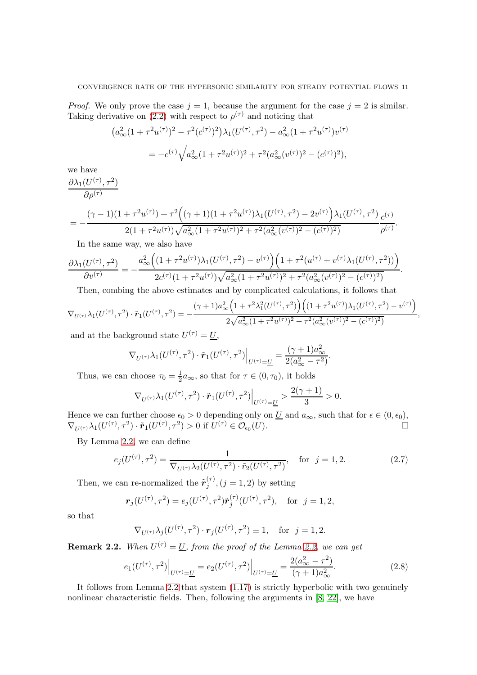*Proof.* We only prove the case  $j = 1$ , because the argument for the case  $j = 2$  is similar. Taking derivative on [\(2.2\)](#page-9-2) with respect to  $\rho^{(\tau)}$  and noticing that

$$
\begin{aligned} \left(a_{\infty}^2 (1 + \tau^2 u^{(\tau)})^2 - \tau^2 (c^{(\tau)})^2 \right) \lambda_1 (U^{(\tau)}, \tau^2) - a_{\infty}^2 (1 + \tau^2 u^{(\tau)}) v^{(\tau)} \\ &= -c^{(\tau)} \sqrt{a_{\infty}^2 (1 + \tau^2 u^{(\tau)})^2 + \tau^2 (a_{\infty}^2 (v^{(\tau)})^2 - (c^{(\tau)})^2)}, \end{aligned}
$$

we have  $\partial\lambda_1(U^{(\tau)},\tau^2)$ 

$$
\overline{\partial \rho^{(\tau)}} = \frac{(\gamma - 1)(1 + \tau^2 u^{(\tau)}) + \tau^2 ((\gamma + 1)(1 + \tau^2 u^{(\tau)}) \lambda_1 (U^{(\tau)}, \tau^2) - 2v^{(\tau)}) \lambda_1 (U^{(\tau)}, \tau^2)}{2(1 + \tau^2 u^{(\tau)}) \sqrt{a_{\infty}^2 (1 + \tau^2 u^{(\tau)})^2 + \tau^2 (a_{\infty}^2 (v^{(\tau)})^2 - (c^{(\tau)})^2)}} \frac{c^{(\tau)}}{\rho^{(\tau)}}.
$$

In the same way, we also have

$$
\frac{\partial \lambda_1(U^{(\tau)},\tau^2)}{\partial v^{(\tau)}} = -\frac{a_{\infty}^2 \left( (1+\tau^2 u^{(\tau)}) \lambda_1(U^{(\tau)},\tau^2) - v^{(\tau)} \right) \left( 1+\tau^2 (u^{(\tau)}+v^{(\tau)} \lambda_1(U^{(\tau)},\tau^2)) \right)}{2c^{(\tau)}(1+\tau^2 u^{(\tau)}) \sqrt{a_{\infty}^2 (1+\tau^2 u^{(\tau)})^2 + \tau^2 (a_{\infty}^2 (v^{(\tau)})^2 - (c^{(\tau)})^2)}}.
$$

Then, combing the above estimates and by complicated calculations, it follows that

$$
\nabla_{U^{(\tau)}} \lambda_1(U^{(\tau)}, \tau^2) \cdot \tilde{\mathbf{r}}_1(U^{(\tau)}, \tau^2) = -\frac{(\gamma + 1)a_{\infty}^2 \left(1 + \tau^2 \lambda_1^2(U^{(\tau)}, \tau^2)\right) \left((1 + \tau^2 u^{(\tau)}) \lambda_1(U^{(\tau)}, \tau^2) - v^{(\tau)}\right)}{2\sqrt{a_{\infty}^2 (1 + \tau^2 u^{(\tau)})^2 + \tau^2 (a_{\infty}^2 (v^{(\tau)})^2 - (c^{(\tau)})^2)}}
$$
,  
and at the background state  $I^{[(\tau)} - II$ 

and at the background state  $U$  $(\tau) = \underline{U},$ 

$$
\nabla_{U^{(\tau)}}\lambda_1(U^{(\tau)},\tau^2)\cdot\tilde{\boldsymbol{r}}_1(U^{(\tau)},\tau^2)\Big|_{U^{(\tau)}=\underline{U}}=\frac{(\gamma+1)a_\infty^2}{2(a_\infty^2-\tau^2)}
$$

Thus, we can choose  $\tau_0 = \frac{1}{2}$  $\frac{1}{2}a_{\infty}$ , so that for  $\tau \in (0, \tau_0)$ , it holds

$$
\nabla_{U^{(\tau)}}\lambda_1(U^{(\tau)},\tau^2)\cdot\tilde{r}_1(U^{(\tau)},\tau^2)\Big|_{U^{(\tau)}=\underline{U}}>\frac{2(\gamma+1)}{3}>0.
$$

Hence we can further choose  $\epsilon_0 > 0$  depending only on  $\underline{U}$  and  $a_{\infty}$ , such that for  $\epsilon \in (0, \epsilon_0)$ ,  $\nabla_{U^{(\tau)}}\lambda_1(U^{(\tau)},\tau^2)\cdot\tilde{\boldsymbol{r}}_1(U^{(\tau)},\tau^2)>0 \text{ if } U^{(\tau)}\in\mathcal{O}_{\epsilon_0}(\underline{U}).$ 

By Lemma [2.2,](#page-9-3) we can define

$$
e_j(U^{(\tau)}, \tau^2) = \frac{1}{\nabla_{U^{(\tau)}} \lambda_2(U^{(\tau)}, \tau^2) \cdot \tilde{r}_2(U^{(\tau)}, \tau^2)}, \quad \text{for } j = 1, 2.
$$
 (2.7)

.

Then, we can re-normalized the  $\tilde{r}_i^{(\tau)}$  $j^{(1)}$ ,  $(j = 1, 2)$  by setting

$$
\mathbf{r}_j(U^{(\tau)}, \tau^2) = e_j(U^{(\tau)}, \tau^2) \tilde{\mathbf{r}}_j^{(\tau)}(U^{(\tau)}, \tau^2), \text{ for } j = 1, 2,
$$

so that

$$
\nabla_{U^{(\tau)}} \lambda_j(U^{(\tau)}, \tau^2) \cdot \mathbf{r}_j(U^{(\tau)}, \tau^2) \equiv 1, \text{ for } j = 1, 2.
$$

<span id="page-10-0"></span>**Remark 2.2.** When  $U^{(\tau)} = U$ , from the proof of the Lemma [2.2,](#page-9-3) we can get

$$
e_1(U^{(\tau)}, \tau^2)\Big|_{U^{(\tau)} = \underline{U}} = e_2(U^{(\tau)}, \tau^2)\Big|_{U^{(\tau)} = \underline{U}} = \frac{2(a_{\infty}^2 - \tau^2)}{(\gamma + 1)a_{\infty}^2}.
$$
\n(2.8)

It follows from Lemma [2.2](#page-9-3) that system [\(1.17\)](#page-3-4) is strictly hyperbolic with two genuinely nonlinear characteristic fields. Then, following the arguments in [\[8,](#page-48-7) [22\]](#page-49-14), we have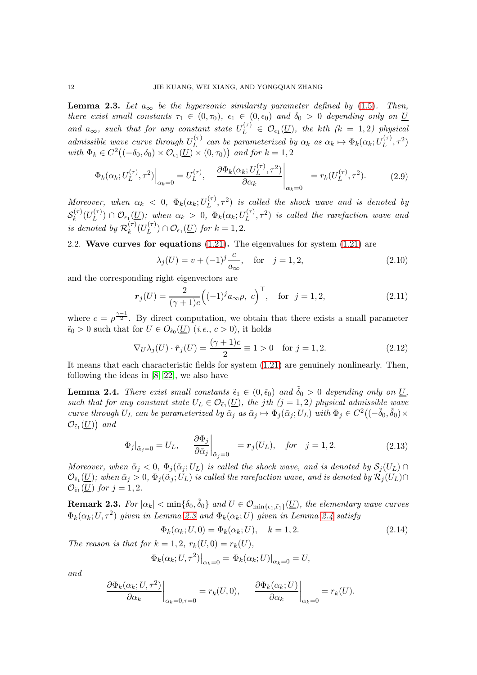<span id="page-11-0"></span>**Lemma 2.3.** Let  $a_{\infty}$  be the hypersonic similarity parameter defined by [\(1.5\)](#page-1-2). Then, there exist small constants  $\tau_1 \in (0, \tau_0)$ ,  $\epsilon_1 \in (0, \epsilon_0)$  and  $\delta_0 > 0$  depending only on U and  $a_{\infty}$ , such that for any constant state  $U_L^{(\tau)} \in \mathcal{O}_{\epsilon_1}(\underline{U})$ , the kth  $(k = 1, 2)$  physical admissible wave curve through  $U_L^{(\tau)}$  $L_L^{(\tau)}$  can be parameterized by  $\alpha_k$  as  $\alpha_k \mapsto \Phi_k(\alpha_k; U_L^{(\tau)})$  $L^{(\tau)}, \tau^2)$ with  $\Phi_k \in C^2((-\delta_0, \delta_0) \times \mathcal{O}_{\epsilon_1}(\underline{U}) \times (0, \tau_0))$  and for  $k = 1, 2$ 

<span id="page-11-3"></span>
$$
\Phi_k(\alpha_k; U_L^{(\tau)}, \tau^2)\Big|_{\alpha_k=0} = U_L^{(\tau)}, \quad \frac{\partial \Phi_k(\alpha_k; U_L^{(\tau)}, \tau^2)}{\partial \alpha_k}\Big|_{\alpha_k=0} = r_k(U_L^{(\tau)}, \tau^2). \tag{2.9}
$$

Moreover, when  $\alpha_k < 0$ ,  $\Phi_k(\alpha_k; U_L^{(\tau)})$  $\mathcal{L}_{L}^{(\tau)}$ ,  $\tau^2$ ) is called the shock wave and is denoted by  $\mathcal{S}_k^{(\tau)}$  $\lambda_k^{(\tau)}(U_L^{(\tau)})$  $\mathcal{O}_{\epsilon_1}(\mathcal{I}) \cap \mathcal{O}_{\epsilon_1}(\underline{U});$  when  $\alpha_k > 0$ ,  $\Phi_k(\alpha_k; U_L^{(\tau)})$  $L^{(\tau)}$ ,  $\tau^2$ ) is called the rarefaction wave and is denoted by  $\mathcal{R}_k^{(\tau)}$  $_k^{(\tau)}(U_L^{(\tau)}$  $\mathcal{O}_{\epsilon_1}(\underline{U})$  for  $k=1,2$ .

# 2.2. Wave curves for equations  $(1.21)$ . The eigenvalues for system  $(1.21)$  are

$$
\lambda_j(U) = v + (-1)^j \frac{c}{a_{\infty}}, \quad \text{for} \quad j = 1, 2,
$$
\n(2.10)

and the corresponding right eigenvectors are

$$
r_j(U) = \frac{2}{(\gamma + 1)c} \left( (-1)^j a_{\infty} \rho, \ c \right)^{\top}, \quad \text{for} \ \ j = 1, 2, \tag{2.11}
$$

where  $c = \rho^{\frac{\gamma-1}{2}}$ . By direct computation, we obtain that there exists a small parameter  $\tilde{\epsilon}_0 > 0$  such that for  $U \in O_{\tilde{\epsilon}_0}(\underline{U})$  (*i.e.*,  $c > 0$ ), it holds

$$
\nabla_U \lambda_j(U) \cdot \tilde{\boldsymbol{r}}_j(U) = \frac{(\gamma + 1)c}{2} \equiv 1 > 0 \quad \text{for } j = 1, 2.
$$
 (2.12)

It means that each characteristic fields for system [\(1.21\)](#page-3-6) are genuinely nonlinearly. Then, following the ideas in [\[8,](#page-48-7) [22\]](#page-49-14), we also have

<span id="page-11-1"></span>**Lemma 2.4.** There exist small constants  $\tilde{\epsilon}_1 \in (0, \tilde{\epsilon}_0)$  and  $\tilde{\delta}_0 > 0$  depending only on U, such that for any constant state  $U_L \in \mathcal{O}_{\tilde{e}_1}(\underline{U})$ , the jth  $(j = 1, 2)$  physical admissible wave curve through  $U_L$  can be parameterized by  $\tilde{\alpha}_j$  as  $\tilde{\alpha}_j \mapsto \Phi_j(\tilde{\alpha}_j; U_L)$  with  $\Phi_j \in C^2((-\tilde{\delta}_0, \tilde{\delta}_0) \times$  $\mathcal{O}_{\tilde\epsilon_1}(\underline{U})$  and

<span id="page-11-4"></span>
$$
\Phi_j|_{\tilde{\alpha}_j=0} = U_L, \qquad \frac{\partial \Phi_j}{\partial \tilde{\alpha}_j}\bigg|_{\tilde{\alpha}_j=0} = \mathbf{r}_j(U_L), \quad \text{for} \quad j=1,2. \tag{2.13}
$$

Moreover, when  $\tilde{\alpha}_j < 0$ ,  $\Phi_j(\tilde{\alpha}_j; U_L)$  is called the shock wave, and is denoted by  $S_j(U_L) \cap$  $\mathcal{O}_{\tilde{e}_1}(\underline{U})$ ; when  $\tilde{\alpha}_j > 0$ ,  $\Phi_j(\tilde{\alpha}_j;U_L)$  is called the rarefaction wave, and is denoted by  $\mathcal{R}_j(U_L) \cap$  $\mathcal{O}_{\tilde{\epsilon}_1}(\underline{U})$  for  $j = 1, 2$ .

**Remark 2.3.** For  $|\alpha_k| < \min\{\delta_0, \tilde{\delta}_0\}$  and  $U \in \mathcal{O}_{\min\{\epsilon_1, \tilde{\epsilon}_1\}}(\underline{U})$ , the elementary wave curves  $\Phi_k(\alpha_k; U, \tau^2)$  given in Lemma [2.3](#page-11-0) and  $\Phi_k(\alpha_k; U)$  given in Lemma [2.4](#page-11-1) satisfy

<span id="page-11-2"></span>
$$
\Phi_k(\alpha_k; U, 0) = \Phi_k(\alpha_k; U), \quad k = 1, 2. \tag{2.14}
$$

The reason is that for  $k = 1, 2, r_k(U, 0) = r_k(U)$ ,

$$
\Phi_k(\alpha_k; U, \tau^2)|_{\alpha_k=0} = \Phi_k(\alpha_k; U)|_{\alpha_k=0} = U,
$$

and

$$
\left. \frac{\partial \Phi_k(\alpha_k; U, \tau^2)}{\partial \alpha_k} \right|_{\alpha_k = 0, \tau = 0} = r_k(U, 0), \quad \left. \frac{\partial \Phi_k(\alpha_k; U)}{\partial \alpha_k} \right|_{\alpha_k = 0} = r_k(U).
$$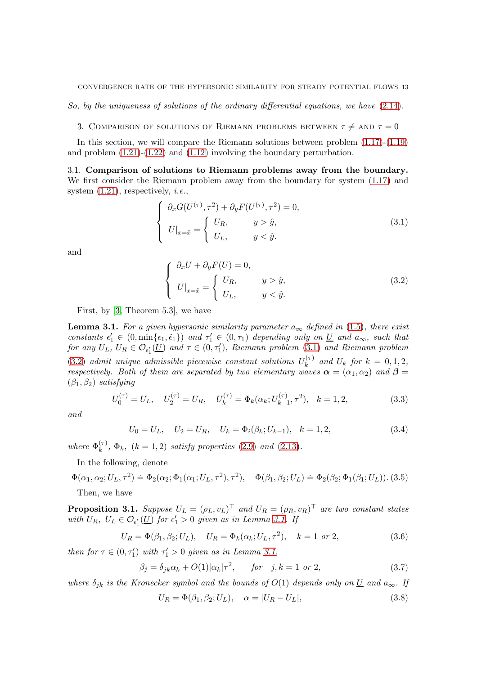So, by the uniqueness of solutions of the ordinary differential equations, we have [\(2.14\)](#page-11-2).

3. COMPARISON OF SOLUTIONS OF RIEMANN PROBLEMS BETWEEN  $\tau \neq AND \tau = 0$ 

In this section, we will compare the Riemann solutions between problem [\(1.17\)](#page-3-4)-[\(1.19\)](#page-3-5) and problem [\(1.21\)](#page-3-6)-[\(1.22\)](#page-4-0) and [\(1.12\)](#page-3-1) involving the boundary perturbation.

3.1. Comparison of solutions to Riemann problems away from the boundary. We first consider the Riemann problem away from the boundary for system [\(1.17\)](#page-3-4) and system  $(1.21)$ , respectively, *i.e.*,

<span id="page-12-0"></span>
$$
\begin{cases}\n\partial_x G(U^{(\tau)}, \tau^2) + \partial_y F(U^{(\tau)}, \tau^2) = 0, \\
U|_{x=\hat{x}} = \begin{cases}\nU_R, & y > \hat{y}, \\
U_L, & y < \hat{y}.\n\end{cases} (3.1)
$$

and

<span id="page-12-1"></span>
$$
\begin{cases}\n\partial_x U + \partial_y F(U) = 0, \\
U|_{x=\hat{x}} = \begin{cases}\nU_R, & y > \hat{y}, \\
U_L, & y < \hat{y}.\n\end{cases}
$$
\n(3.2)

First, by [\[3,](#page-48-8) Theorem 5.3], we have

<span id="page-12-2"></span>**Lemma 3.1.** For a given hypersonic similarity parameter  $a_{\infty}$  defined in [\(1.5\)](#page-1-2), there exist constants  $\epsilon'_1 \in (0, \min\{\epsilon_1, \tilde{\epsilon}_1\})$  and  $\tau'_1 \in (0, \tau_1)$  depending only on  $\underline{U}$  and  $a_{\infty}$ , such that for any  $U_L$ ,  $U_R \in \mathcal{O}_{\epsilon'_1}(\underline{U})$  and  $\tau \in (0, \tau'_1)$ , Riemann problem  $(3.1)$  and Riemann problem [\(3.2\)](#page-12-1) admit unique admissible piecewise constant solutions  $U_k^{(\tau)}$  $k_k^{(\tau)}$  and  $U_k$  for  $k = 0, 1, 2,$ respectively. Both of them are separated by two elementary waves  $\alpha = (\alpha_1, \alpha_2)$  and  $\beta =$  $(\beta_1, \beta_2)$  satisfying

$$
U_0^{(\tau)} = U_L, \quad U_2^{(\tau)} = U_R, \quad U_k^{(\tau)} = \Phi_k(\alpha_k; U_{k-1}^{(\tau)}, \tau^2), \quad k = 1, 2,
$$
\n(3.3)

and

<span id="page-12-6"></span>
$$
U_0 = U_L, \quad U_2 = U_R, \quad U_k = \Phi_i(\beta_k; U_{k-1}), \quad k = 1, 2,
$$
\n(3.4)

where  $\Phi_k^{(\tau)}$  $\mathcal{L}_{k}^{(\tau)}$ ,  $\Phi_{k}$ ,  $(k = 1, 2)$  satisfy properties [\(2.9\)](#page-11-3) and [\(2.13\)](#page-11-4).

In the following, denote

 $\Phi(\alpha_1, \alpha_2; U_L, \tau^2) \doteq \Phi_2(\alpha_2; \Phi_1(\alpha_1; U_L, \tau^2), \tau^2), \quad \Phi(\beta_1, \beta_2; U_L) \doteq \Phi_2(\beta_2; \Phi_1(\beta_1; U_L)).$  (3.5) Then, we have

<span id="page-12-5"></span>**Proposition 3.1.** Suppose  $U_L = (\rho_L, v_L)^\top$  and  $U_R = (\rho_R, v_R)^\top$  are two constant states with  $U_R$ ,  $U_L \in \mathcal{O}_{\epsilon'_1}(\underline{U})$  for  $\epsilon'_1 > 0$  given as in Lemma [3.1.](#page-12-2) If

$$
U_R = \Phi(\beta_1, \beta_2; U_L), \quad U_R = \Phi_k(\alpha_k; U_L, \tau^2), \quad k = 1 \text{ or } 2,
$$
 (3.6)

then for  $\tau \in (0, \tau'_1)$  with  $\tau'_1 > 0$  given as in Lemma [3.1,](#page-12-2)

<span id="page-12-3"></span>
$$
\beta_j = \delta_{jk}\alpha_k + O(1)|\alpha_k|\tau^2, \quad \text{for} \quad j, k = 1 \text{ or } 2,\tag{3.7}
$$

where  $\delta_{jk}$  is the Kronecker symbol and the bounds of  $O(1)$  depends only on  $\underline{U}$  and  $a_{\infty}$ . If

<span id="page-12-4"></span>
$$
U_R = \Phi(\beta_1, \beta_2; U_L), \quad \alpha = |U_R - U_L|,\tag{3.8}
$$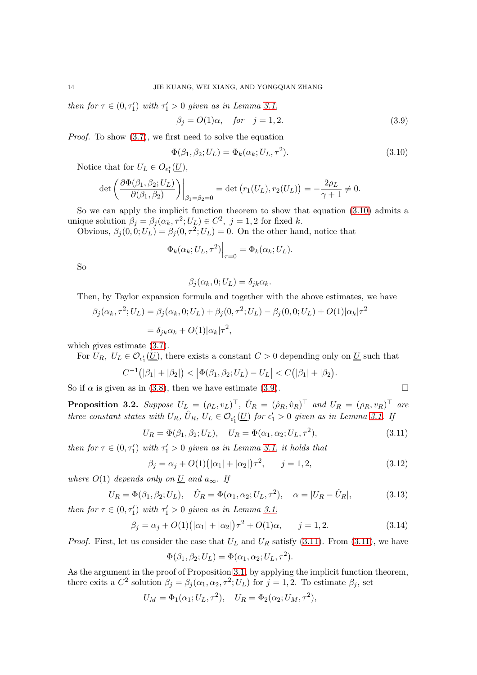then for  $\tau \in (0, \tau'_1)$  with  $\tau'_1 > 0$  given as in Lemma [3.1,](#page-12-2)

<span id="page-13-1"></span>
$$
\beta_j = O(1)\alpha, \quad \text{for} \quad j = 1, 2. \tag{3.9}
$$

Proof. To show [\(3.7\)](#page-12-3), we first need to solve the equation

<span id="page-13-0"></span>
$$
\Phi(\beta_1, \beta_2; U_L) = \Phi_k(\alpha_k; U_L, \tau^2). \tag{3.10}
$$

Notice that for  $U_L \in O_{\epsilon_1^*}(\underline{U}),$ 

$$
\det\left(\frac{\partial\Phi(\beta_1,\beta_2;U_L)}{\partial(\beta_1,\beta_2)}\right)\Big|_{\beta_1=\beta_2=0}=\det\left(r_1(U_L),r_2(U_L)\right)=-\frac{2\rho_L}{\gamma+1}\neq 0.
$$

So we can apply the implicit function theorem to show that equation [\(3.10\)](#page-13-0) admits a unique solution  $\beta_j = \beta_j(\alpha_k, \tau^2; U_L) \in C^2$ ,  $j = 1, 2$  for fixed k.

Obvious,  $\beta_j(0,0;U_L) = \beta_j(0,\tau^2;U_L) = 0$ . On the other hand, notice that

$$
\Phi_k(\alpha_k; U_L, \tau^2)\Big|_{\tau=0} = \Phi_k(\alpha_k; U_L).
$$

So

$$
\beta_j(\alpha_k, 0; U_L) = \delta_{jk}\alpha_k.
$$

Then, by Taylor expansion formula and together with the above estimates, we have

$$
\beta_j(\alpha_k, \tau^2; U_L) = \beta_j(\alpha_k, 0; U_L) + \beta_j(0, \tau^2; U_L) - \beta_j(0, 0; U_L) + O(1)|\alpha_k|\tau^2
$$
  
=  $\delta_{jk}\alpha_k + O(1)|\alpha_k|\tau^2$ ,

which gives estimate [\(3.7\)](#page-12-3).

For  $U_R$ ,  $U_L \in \mathcal{O}_{\epsilon'_1}(\underline{U})$ , there exists a constant  $C > 0$  depending only on  $\underline{U}$  such that

$$
C^{-1}(|\beta_1|+|\beta_2|)<|\Phi(\beta_1,\beta_2;U_L)-U_L|
$$

So if  $\alpha$  is given as in [\(3.8\)](#page-12-4), then we have estimate [\(3.9\)](#page-13-1).

<span id="page-13-6"></span>**Proposition 3.2.** Suppose  $U_L = (\rho_L, v_L)^\top$ ,  $\hat{U}_R = (\hat{\rho}_R, \hat{v}_R)^\top$  and  $U_R = (\rho_R, v_R)^\top$  are three constant states with  $U_R$ ,  $\hat{U}_R$ ,  $U_L \in \mathcal{O}_{\epsilon'_1}(\underline{U})$  for  $\epsilon'_1 > 0$  given as in Lemma [3.1.](#page-12-2) If

<span id="page-13-2"></span>
$$
U_R = \Phi(\beta_1, \beta_2; U_L), \quad U_R = \Phi(\alpha_1, \alpha_2; U_L, \tau^2), \tag{3.11}
$$

then for  $\tau \in (0, \tau'_1)$  with  $\tau'_1 > 0$  given as in Lemma [3.1,](#page-12-2) it holds that

<span id="page-13-3"></span>
$$
\beta_j = \alpha_j + O(1) \big( |\alpha_1| + |\alpha_2| \big) \tau^2, \qquad j = 1, 2, \tag{3.12}
$$

where  $O(1)$  depends only on <u>U</u> and  $a_{\infty}$ . If

<span id="page-13-4"></span>
$$
U_R = \Phi(\beta_1, \beta_2; U_L), \quad \hat{U}_R = \Phi(\alpha_1, \alpha_2; U_L, \tau^2), \quad \alpha = |U_R - \hat{U}_R|,
$$
\n(3.13)

then for  $\tau \in (0, \tau'_1)$  with  $\tau'_1 > 0$  given as in Lemma [3.1,](#page-12-2)

<span id="page-13-5"></span>
$$
\beta_j = \alpha_j + O(1) \left( |\alpha_1| + |\alpha_2| \right) \tau^2 + O(1)\alpha, \qquad j = 1, 2. \tag{3.14}
$$

*Proof.* First, let us consider the case that  $U_L$  and  $U_R$  satisfy [\(3.11\)](#page-13-2). From (3.11), we have

$$
\Phi(\beta_1, \beta_2; U_L) = \Phi(\alpha_1, \alpha_2; U_L, \tau^2).
$$

As the argument in the proof of Proposition [3.1,](#page-12-5) by applying the implicit function theorem, there exits a  $C^2$  solution  $\beta_j = \beta_j(\alpha_1, \alpha_2, \tau^2; U_L)$  for  $j = 1, 2$ . To estimate  $\beta_j$ , set

$$
U_M = \Phi_1(\alpha_1; U_L, \tau^2), \quad U_R = \Phi_2(\alpha_2; U_M, \tau^2),
$$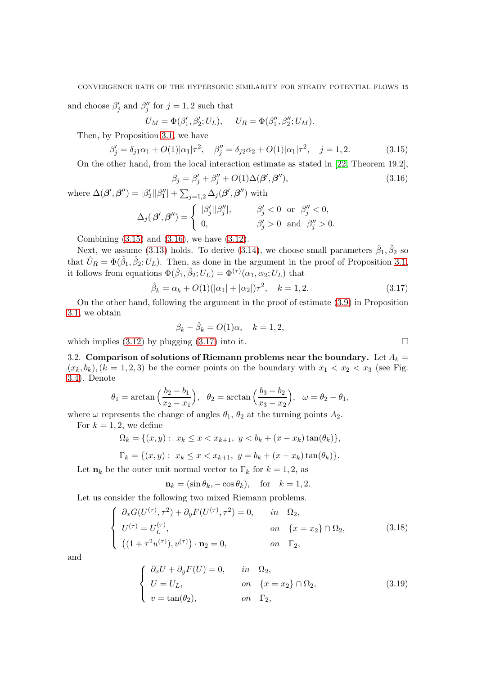and choose  $\beta'_j$  and  $\beta''_j$  for  $j = 1, 2$  such that

$$
U_M = \Phi(\beta'_1, \beta'_2; U_L), \quad U_R = \Phi(\beta''_1, \beta''_2; U_M).
$$

Then, by Proposition [3.1,](#page-12-5) we have

<span id="page-14-0"></span>
$$
\beta_j' = \delta_{j1}\alpha_1 + O(1)|\alpha_1|\tau^2, \quad \beta_j'' = \delta_{j2}\alpha_2 + O(1)|\alpha_1|\tau^2, \quad j = 1, 2. \tag{3.15}
$$

On the other hand, from the local interaction estimate as stated in [\[22,](#page-49-14) Theorem 19.2],

<span id="page-14-1"></span>
$$
\beta_j = \beta'_j + \beta''_j + O(1)\Delta(\beta', \beta''),\tag{3.16}
$$

 $\overline{0}$ .

where 
$$
\Delta(\boldsymbol{\beta}', \boldsymbol{\beta}'') = |\beta_2'||\beta_1''| + \sum_{j=1,2} \Delta_j(\boldsymbol{\beta}', \boldsymbol{\beta}'')
$$
 with  $\Delta_j(\boldsymbol{\beta}', \boldsymbol{\beta}'') = \begin{cases} |\beta_j'||\beta_j''|, & \beta_j' < 0 \text{ or } \beta_j'' < 0, \\ 0, & \beta_j' > 0 \text{ and } \beta_j'' > 0 \end{cases}$ 

Combining [\(3.15\)](#page-14-0) and [\(3.16\)](#page-14-1), we have [\(3.12\)](#page-13-3).

Next, we assume [\(3.13\)](#page-13-4) holds. To derive [\(3.14\)](#page-13-5), we choose small parameters  $\hat{\beta}_1, \hat{\beta}_2$  so that  $\hat{U}_R = \Phi(\hat{\beta}_1, \hat{\beta}_2; U_L)$ . Then, as done in the argument in the proof of Proposition [3.1,](#page-12-5) it follows from equations  $\Phi(\hat{\beta}_1, \hat{\beta}_2; U_L) = \Phi^{(\tau)}(\alpha_1, \alpha_2; U_L)$  that

<span id="page-14-2"></span>
$$
\hat{\beta}_k = \alpha_k + O(1)(|\alpha_1| + |\alpha_2|)\tau^2, \quad k = 1, 2. \tag{3.17}
$$

On the other hand, following the argument in the proof of estimate [\(3.9\)](#page-13-1) in Proposition [3.1,](#page-12-5) we obtain

$$
\beta_k - \hat{\beta}_k = O(1)\alpha, \quad k = 1, 2,
$$

which implies  $(3.12)$  by plugging  $(3.17)$  into it.

3.2. Comparison of solutions of Riemann problems near the boundary. Let  $A_k =$  $(x_k, b_k)$ ,  $(k = 1, 2, 3)$  be the corner points on the boundary with  $x_1 < x_2 < x_3$  (see Fig. [3.4\)](#page-15-0). Denote

$$
\theta_1 = \arctan\left(\frac{b_2 - b_1}{x_2 - x_1}\right), \quad \theta_2 = \arctan\left(\frac{b_3 - b_2}{x_3 - x_2}\right), \quad \omega = \theta_2 - \theta_1,
$$

where  $\omega$  represents the change of angles  $\theta_1$ ,  $\theta_2$  at the turning points  $A_2$ .

For  $k = 1, 2$ , we define

$$
\Omega_k = \{(x, y) : x_k \le x < x_{k+1}, \ y < b_k + (x - x_k) \tan(\theta_k) \},
$$

$$
\Gamma_k = \{(x, y): x_k \le x < x_{k+1}, y = b_k + (x - x_k) \tan(\theta_k) \}.
$$

Let  $n_k$  be the outer unit normal vector to  $\Gamma_k$  for  $k = 1, 2$ , as

$$
\mathbf{n}_k = (\sin \theta_k, -\cos \theta_k), \quad \text{for} \quad k = 1, 2.
$$

Let us consider the following two mixed Riemann problems.

<span id="page-14-3"></span>
$$
\begin{cases}\n\partial_x G(U^{(\tau)}, \tau^2) + \partial_y F(U^{(\tau)}, \tau^2) = 0, & \text{in } \Omega_2, \\
U^{(\tau)} = U_L^{(\tau)}, & \text{on } \{x = x_2\} \cap \Omega_2, \\
((1 + \tau^2 u^{(\tau)}), v^{(\tau)}) \cdot \mathbf{n}_2 = 0, & \text{on } \Gamma_2,\n\end{cases}
$$
\n(3.18)

and

<span id="page-14-4"></span>
$$
\begin{cases}\n\partial_x U + \partial_y F(U) = 0, & in \quad \Omega_2, \\
U = U_L, & on \quad \{x = x_2\} \cap \Omega_2, \\
v = \tan(\theta_2), & on \quad \Gamma_2,\n\end{cases}
$$
\n(3.19)

$$
\Box
$$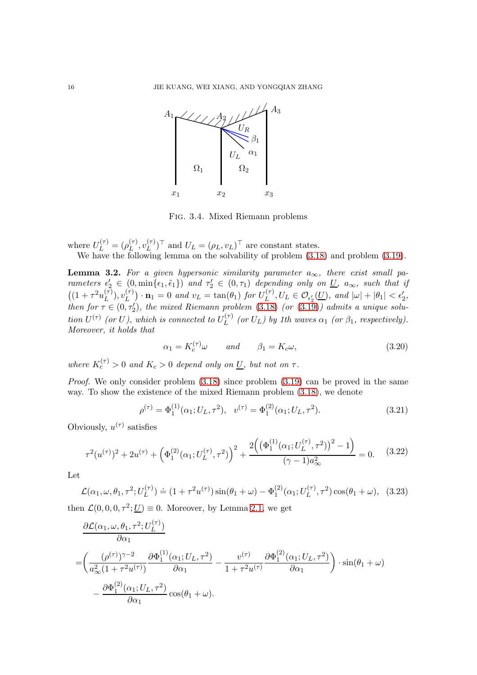

<span id="page-15-0"></span>Fig. 3.4. Mixed Riemann problems

where  $U_L^{(\tau)} = (\rho_L^{(\tau)}$  $_L^{(\tau)}, v_L^{(\tau)}$  $(L^{(\tau)})^{\top}$  and  $U_L = (\rho_L, v_L)^{\top}$  are constant states. We have the following lemma on the solvability of problem [\(3.18\)](#page-14-3) and problem [\(3.19\)](#page-14-4).

<span id="page-15-2"></span>**Lemma 3.2.** For a given hypersonic similarity parameter  $a_{\infty}$ , there exist small parameters  $\epsilon'_2 \in (0, \min\{\epsilon_1, \tilde{\epsilon}_1\})$  and  $\tau'_2 \in (0, \tau_1)$  depending only on  $\underline{U}$ ,  $a_{\infty}$ , such that if  $((1 + \tau^2 u_L^{(\tau)})$  $\binom{(\tau)}{L},v_L^{(\tau)}$  $\binom{(\tau)}{L} \cdot \mathbf{n}_1 = 0$  and  $v_L = \tan(\theta_1)$  for  $U_L^{(\tau)}$  $\mathcal{L}_L^{(\tau)}, U_L \in \mathcal{O}_{\epsilon'_2}(\underline{U}), \text{ and } |\omega| + |\theta_1| < \epsilon'_2,$ then for  $\tau \in (0, \tau_2')$ , the mixed Riemann problem [\(3.18\)](#page-14-3) (or [\(3.19\)](#page-14-4)) admits a unique solution  $U^{(\tau)}$  (or U), which is connected to  $U_L^{(\tau)}$  $L^{(T)}$  (or  $U_L$ ) by 1th waves  $\alpha_1$  (or  $\beta_1$ , respectively). Moreover, it holds that

<span id="page-15-1"></span>
$$
\alpha_1 = K_c^{(\tau)} \omega \qquad \text{and} \qquad \beta_1 = K_c \omega,
$$
\n(3.20)

where  $K_c^{(\tau)} > 0$  and  $K_c > 0$  depend only on  $\underline{U}$ , but not on  $\tau$ .

*Proof.* We only consider problem  $(3.18)$  since problem  $(3.19)$  can be proved in the same way. To show the existence of the mixed Riemann problem [\(3.18\)](#page-14-3), we denote

$$
\rho^{(\tau)} = \Phi_1^{(1)}(\alpha_1; U_L, \tau^2), \quad v^{(\tau)} = \Phi_1^{(2)}(\alpha_1; U_L, \tau^2). \tag{3.21}
$$

Obviously,  $u^{(\tau)}$  satisfies

$$
\tau^2(u^{(\tau)})^2 + 2u^{(\tau)} + \left(\Phi_1^{(2)}(\alpha_1; U_L^{(\tau)}, \tau^2)\right)^2 + \frac{2\left(\left(\Phi_1^{(1)}(\alpha_1; U_L^{(\tau)}, \tau^2)\right)^2 - 1\right)}{(\gamma - 1)a_{\infty}^2} = 0.
$$
 (3.22)

Let

$$
\mathcal{L}(\alpha_1, \omega, \theta_1, \tau^2; U_L^{(\tau)}) \doteq (1 + \tau^2 u^{(\tau)}) \sin(\theta_1 + \omega) - \Phi_1^{(2)}(\alpha_1; U_L^{(\tau)}, \tau^2) \cos(\theta_1 + \omega), \tag{3.23}
$$

then  $\mathcal{L}(0, 0, 0, \tau^2; \underline{U}) \equiv 0$ . Moreover, by Lemma [2.1,](#page-9-1) we get

$$
\frac{\partial \mathcal{L}(\alpha_1, \omega, \theta_1, \tau^2; U_L^{(\tau)})}{\partial \alpha_1} \n= \left( \frac{(\rho^{(\tau)})^{\gamma - 2}}{a_{\infty}^2 (1 + \tau^2 u^{(\tau)})} \frac{\partial \Phi_1^{(1)}(\alpha_1; U_L, \tau^2)}{\partial \alpha_1} - \frac{v^{(\tau)}}{1 + \tau^2 u^{(\tau)}} \frac{\partial \Phi_1^{(2)}(\alpha_1; U_L, \tau^2)}{\partial \alpha_1} \right) \cdot \sin(\theta_1 + \omega) \n- \frac{\partial \Phi_1^{(2)}(\alpha_1; U_L, \tau^2)}{\partial \alpha_1} \cos(\theta_1 + \omega).
$$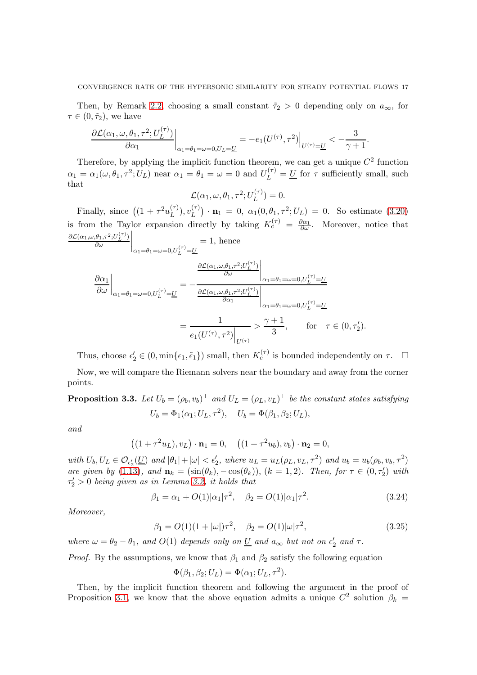Then, by Remark [2.2,](#page-10-0) choosing a small constant  $\tilde{\tau}_2 > 0$  depending only on  $a_{\infty}$ , for  $\tau \in (0, \tilde{\tau}_2)$ , we have

$$
\frac{\partial \mathcal{L}(\alpha_1,\omega,\theta_1,\tau^2;U_L^{(\tau)})}{\partial \alpha_1}\bigg|_{\alpha_1=\theta_1=\omega=0,U_L=\underline{U}}=-e_1(U^{(\tau)},\tau^2)\bigg|_{U^{(\tau)}=\underline{U}}<-\frac{3}{\gamma+1}.
$$

Therefore, by applying the implicit function theorem, we can get a unique  $C^2$  function  $\alpha_1 = \alpha_1(\omega, \theta_1, \tau^2; U_L)$  near  $\alpha_1 = \theta_1 = \omega = 0$  and  $U_L^{(\tau)} = \underline{U}$  for  $\tau$  sufficiently small, such that

$$
\mathcal{L}(\alpha_1, \omega, \theta_1, \tau^2; U_L^{(\tau)}) = 0.
$$

Finally, since  $((1 + \tau^2 u_L^{(\tau)})$  $\binom{(\tau)}{L},v_L^{(\tau)}$  $\mathbf{u}_L^{(\tau)}$   $\cdot$   $\mathbf{n}_1 = 0$ ,  $\alpha_1(0, \theta_1, \tau^2; U_L) = 0$ . So estimate [\(3.20\)](#page-15-1) is from the Taylor expansion directly by taking  $K_c^{(\tau)} = \frac{\partial \alpha_1}{\partial \omega}$ . Moreover, notice that  $\partial\mathcal{L}(\alpha_1,\omega,\theta_1,\tau^2;U_L^{(\tau)})$ ∂ω  $\overline{\phantom{a}}$  $= 1$ , hence

$$
\frac{\partial \alpha_1}{\partial \omega}\Big|_{\alpha_1=\theta_1=\omega=0, U_L^{(\tau)}=\underline{U}} = -\frac{\frac{\partial \mathcal{L}(\alpha_1,\omega,\theta_1,\tau^2;U_L^{(\tau)})}{\partial \omega}\Big|_{\alpha_1=\theta_1=\omega=0, U_L^{(\tau)}=\underline{U}}}{\frac{\partial \mathcal{L}(\alpha_1,\omega,\theta_1,\tau^2;U_L^{(\tau)})}{\partial \alpha_1}\Big|_{\alpha_1=\theta_1=\omega=0, U_L^{(\tau)}=\underline{U}}}
$$

$$
=\frac{1}{e_1(U^{(\tau)},\tau^2)\Big|_{U^{(\tau)}}} > \frac{\gamma+1}{3}, \quad \text{for} \quad \tau \in (0,\tau_2').
$$

Thus, choose  $\epsilon'_2 \in (0, \min\{\epsilon_1, \tilde{\epsilon}_1\})$  small, then  $K_c^{(\tau)}$  is bounded independently on  $\tau$ .  $\Box$ 

Now, we will compare the Riemann solvers near the boundary and away from the corner points.

**Proposition 3.3.** Let  $U_b = (\rho_b, v_b)^{\top}$  and  $U_L = (\rho_L, v_L)^{\top}$  be the constant states satisfying  $U_b = \Phi_1(\alpha_1; U_L, \tau^2), \quad U_b = \Phi(\beta_1, \beta_2; U_L),$ 

and

$$
((1 + \tau^2 u_L), v_L) \cdot \mathbf{n}_1 = 0, \quad ((1 + \tau^2 u_b), v_b) \cdot \mathbf{n}_2 = 0,
$$

with  $U_b, U_L \in \mathcal{O}_{\epsilon'_2}(\underline{U})$  and  $|\theta_1| + |\omega| < \epsilon'_2$ , where  $u_L = u_L(\rho_L, v_L, \tau^2)$  and  $u_b = u_b(\rho_b, v_b, \tau^2)$ are given by [\(1.13\)](#page-3-0), and  $\mathbf{n}_k = (\sin(\theta_k), -\cos(\theta_k)), (k = 1, 2)$ . Then, for  $\tau \in (0, \tau_2')$  with  $\tau'_2 > 0$  being given as in Lemma [3.2,](#page-15-2) it holds that

<span id="page-16-0"></span>
$$
\beta_1 = \alpha_1 + O(1)|\alpha_1|\tau^2, \quad \beta_2 = O(1)|\alpha_1|\tau^2.
$$
 (3.24)

Moreover,

<span id="page-16-1"></span>
$$
\beta_1 = O(1)(1 + |\omega|)\tau^2, \quad \beta_2 = O(1)|\omega|\tau^2,
$$
\n(3.25)

where  $\omega = \theta_2 - \theta_1$ , and  $O(1)$  depends only on <u>U</u> and  $a_{\infty}$  but not on  $\epsilon'_2$  and  $\tau$ .

*Proof.* By the assumptions, we know that  $\beta_1$  and  $\beta_2$  satisfy the following equation

$$
\Phi(\beta_1, \beta_2; U_L) = \Phi(\alpha_1; U_L, \tau^2).
$$

Then, by the implicit function theorem and following the argument in the proof of Proposition [3.1,](#page-12-5) we know that the above equation admits a unique  $C^2$  solution  $\beta_k =$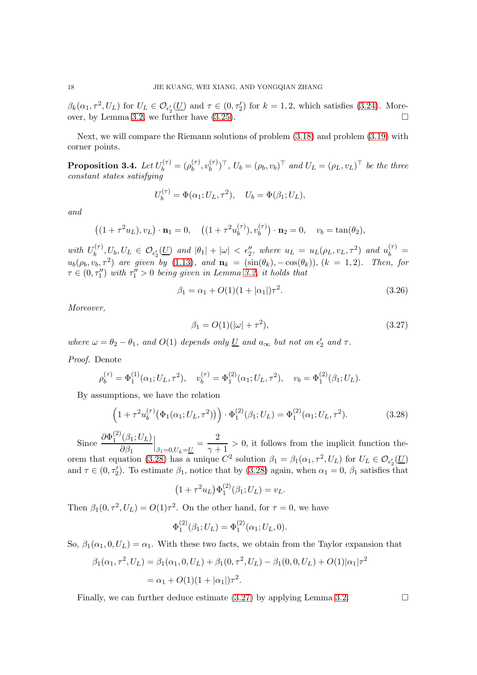$\beta_k(\alpha_1, \tau^2, U_L)$  for  $U_L \in \mathcal{O}_{\epsilon'_2}(\underline{U})$  and  $\tau \in (0, \tau'_2)$  for  $k = 1, 2$ , which satisfies [\(3.24\)](#page-16-0). More-over, by Lemma [3.2,](#page-15-2) we further have  $(3.25)$ .

Next, we will compare the Riemann solutions of problem [\(3.18\)](#page-14-3) and problem [\(3.19\)](#page-14-4) with corner points.

<span id="page-17-2"></span>Proposition 3.4. Let  $U_b^{(\tau)}=(\rho_b^{(\tau)}$  $\binom{(\tau)}{b},v_b^{(\tau)}$  $(b^{(\tau)})^{\top}, U_b = (\rho_b, v_b)^{\top}$  and  $U_L = (\rho_L, v_L)^{\top}$  be the three constant states satisfying

$$
U_b^{(\tau)} = \Phi(\alpha_1; U_L, \tau^2), \quad U_b = \Phi(\beta_1; U_L),
$$

and

$$
((1 + \tau^2 u_L), v_L) \cdot \mathbf{n}_1 = 0
$$
,  $((1 + \tau^2 u_b^{(\tau)}), v_b^{(\tau)}) \cdot \mathbf{n}_2 = 0$ ,  $v_b = \tan(\theta_2)$ ,

with  $U_h^{(\tau)}$  $\epsilon_b^{(\tau)}$ ,  $U_b$ ,  $U_L \in \mathcal{O}_{\epsilon'_2}(\underline{U})$  and  $|\theta_1| + |\omega| < \epsilon''_2$ , where  $u_L = u_L(\rho_L, v_L, \tau^2)$  and  $u_b^{(\tau)} =$  $u_b(\rho_b, v_b, \tau^2)$  are given by [\(1.13\)](#page-3-0), and  $\mathbf{n}_k = (\sin(\theta_k), -\cos(\theta_k)), (k = 1, 2)$ . Then, for  $\tau \in (0, \tau''_1)$  with  $\tau''_1 > 0$  being given in Lemma [3.2,](#page-15-2) it holds that

$$
\beta_1 = \alpha_1 + O(1)(1 + |\alpha_1|)\tau^2.
$$
\n(3.26)

Moreover,

<span id="page-17-1"></span>
$$
\beta_1 = O(1)(|\omega| + \tau^2),\tag{3.27}
$$

where  $\omega = \theta_2 - \theta_1$ , and  $O(1)$  depends only <u>U</u> and  $a_{\infty}$  but not on  $\epsilon'_2$  and  $\tau$ .

## Proof. Denote

$$
\rho_b^{(\tau)} = \Phi_1^{(1)}(\alpha_1; U_L, \tau^2), \quad v_b^{(\tau)} = \Phi_1^{(2)}(\alpha_1; U_L, \tau^2), \quad v_b = \Phi_1^{(2)}(\beta_1; U_L).
$$

By assumptions, we have the relation

<span id="page-17-0"></span>
$$
\left(1+\tau^2 u_b^{(\tau)}\big(\Phi_1(\alpha_1;U_L,\tau^2)\big)\right)\cdot\Phi_1^{(2)}(\beta_1;U_L)=\Phi_1^{(2)}(\alpha_1;U_L,\tau^2). \tag{3.28}
$$

Since  $\frac{\partial \Phi_1^{(2)}}{1}$  $\frac{1}{1}^{(2)}(\beta_1;U_L)$  $\partial \beta_1$  $\Big|_{\beta_1=0,U_L=\underline{U}}=\frac{2}{\gamma+1}$  $\frac{2}{\gamma+1} > 0$ , it follows from the implicit function the-orem that equation [\(3.28\)](#page-17-0) has a unique  $C^2$  solution  $\beta_1 = \beta_1(\alpha_1, \tau^2, U_L)$  for  $U_L \in \mathcal{O}_{\epsilon'_2}(\underline{U})$ and  $\tau \in (0, \tau'_2)$ . To estimate  $\beta_1$ , notice that by [\(3.28\)](#page-17-0) again, when  $\alpha_1 = 0$ ,  $\beta_1$  satisfies that

$$
(1 + \tau^2 u_L) \Phi_1^{(2)}(\beta_1; U_L) = v_L.
$$

Then  $\beta_1(0, \tau^2, U_L) = O(1)\tau^2$ . On the other hand, for  $\tau = 0$ , we have

$$
\Phi_1^{(2)}(\beta_1; U_L) = \Phi_1^{(2)}(\alpha_1; U_L, 0).
$$

So,  $\beta_1(\alpha_1, 0, U_L) = \alpha_1$ . With these two facts, we obtain from the Taylor expansion that

$$
\beta_1(\alpha_1, \tau^2, U_L) = \beta_1(\alpha_1, 0, U_L) + \beta_1(0, \tau^2, U_L) - \beta_1(0, 0, U_L) + O(1)|\alpha_1|\tau^2
$$
  
=  $\alpha_1 + O(1)(1 + |\alpha_1|)\tau^2$ .

Finally, we can further deduce estimate [\(3.27\)](#page-17-1) by applying Lemma [3.2.](#page-15-2)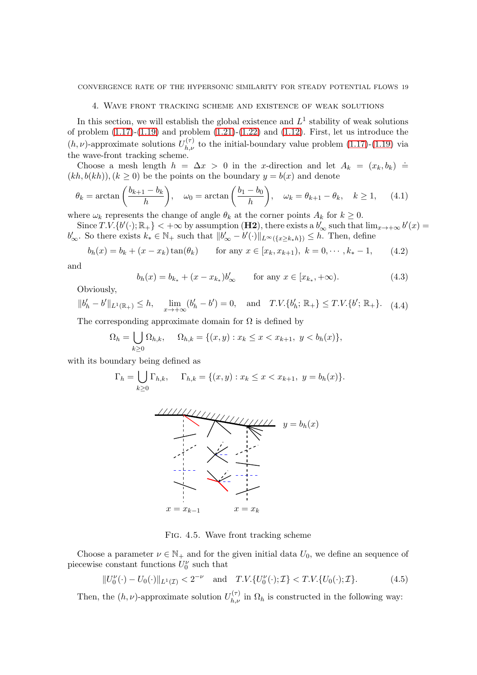## 4. Wave front tracking scheme and existence of weak solutions

In this section, we will establish the global existence and  $L^1$  stability of weak solutions of problem  $(1.17)-(1.19)$  $(1.17)-(1.19)$  and problem  $(1.21)-(1.22)$  $(1.21)-(1.22)$  and  $(1.12)$ . First, let us introduce the  $(h, \nu)$ -approximate solutions  $U_{h,\nu}^{(\tau)}$  to the initial-boundary value problem [\(1.17\)](#page-3-4)-[\(1.19\)](#page-3-5) via the wave-front tracking scheme.

Choose a mesh length  $h = \Delta x > 0$  in the x-direction and let  $A_k = (x_k, b_k) \doteq$  $(kh, b(kh)), (k \ge 0)$  be the points on the boundary  $y = b(x)$  and denote

$$
\theta_k = \arctan\left(\frac{b_{k+1} - b_k}{h}\right), \quad \omega_0 = \arctan\left(\frac{b_1 - b_0}{h}\right), \quad \omega_k = \theta_{k+1} - \theta_k, \quad k \ge 1, \tag{4.1}
$$

where  $\omega_k$  represents the change of angle  $\theta_k$  at the corner points  $A_k$  for  $k \geq 0$ .

Since  $T.V.\{b'(\cdot);\mathbb{R}_+\}$  <  $+\infty$  by assumption (H2), there exists a  $b'_\infty$  such that  $\lim_{x\to+\infty} b'(x)$  =  $b'_\infty$ . So there exists  $k_* \in \mathbb{N}_+$  such that  $||b'_\infty - b'(\cdot)||_{L^\infty({x \ge k_*}h)} \le h$ . Then, define

<span id="page-18-0"></span>
$$
b_h(x) = b_k + (x - x_k) \tan(\theta_k) \qquad \text{for any } x \in [x_k, x_{k+1}), \ k = 0, \cdots, k_* - 1,
$$
 (4.2)

and

<span id="page-18-1"></span>
$$
b_h(x) = b_{k_*} + (x - x_{k_*})b'_{\infty} \qquad \text{for any } x \in [x_{k_*}, +\infty). \tag{4.3}
$$

Obviously,

<span id="page-18-2"></span>
$$
||b'_h - b'||_{L^1(\mathbb{R}_+)} \le h, \quad \lim_{x \to +\infty} (b'_h - b') = 0, \quad \text{and} \quad T.V. \{b'_h; \mathbb{R}_+\} \le T.V. \{b'; \mathbb{R}_+\}.
$$
 (4.4)

The corresponding approximate domain for  $\Omega$  is defined by

$$
\Omega_h = \bigcup_{k \ge 0} \Omega_{h,k}, \quad \Omega_{h,k} = \{(x, y) : x_k \le x < x_{k+1}, \ y < b_h(x)\},
$$

with its boundary being defined as

$$
\Gamma_h = \bigcup_{k \ge 0} \Gamma_{h,k}, \quad \Gamma_{h,k} = \{(x, y) : x_k \le x < x_{k+1}, \ y = b_h(x)\}.
$$



Fig. 4.5. Wave front tracking scheme

Choose a parameter  $\nu \in \mathbb{N}_+$  and for the given initial data  $U_0$ , we define an sequence of piecewise constant functions  $U_0^{\nu}$  such that

<span id="page-18-3"></span>
$$
||U_0^{\nu}(\cdot) - U_0(\cdot)||_{L^1(\mathcal{I})} < 2^{-\nu} \quad \text{and} \quad T.V. \{U_0^{\nu}(\cdot); \mathcal{I}\} < T.V. \{U_0(\cdot); \mathcal{I}\}.\tag{4.5}
$$

Then, the  $(h, \nu)$ -approximate solution  $U_{h,\nu}^{(\tau)}$  in  $\Omega_h$  is constructed in the following way: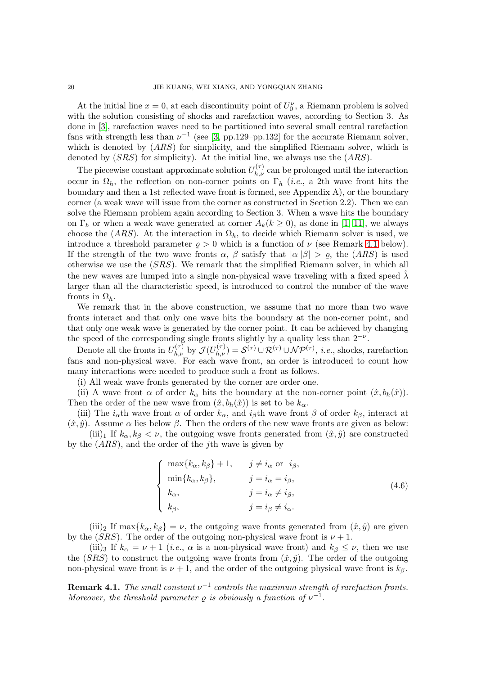At the initial line  $x = 0$ , at each discontinuity point of  $U_0^{\nu}$ , a Riemann problem is solved with the solution consisting of shocks and rarefaction waves, according to Section 3. As done in [\[3\]](#page-48-8), rarefaction waves need to be partitioned into several small central rarefaction fans with strength less than  $\nu^{-1}$  (see [\[3,](#page-48-8) pp.129–pp.132] for the accurate Riemann solver, which is denoted by  $(ARS)$  for simplicity, and the simplified Riemann solver, which is denoted by  $(SRS)$  for simplicity). At the initial line, we always use the  $(ARS)$ .

The piecewise constant approximate solution  $U_{h,\nu}^{(\tau)}$  can be prolonged until the interaction occur in  $\Omega_h$ , the reflection on non-corner points on  $\Gamma_h$  (*i.e.*, a 2th wave front hits the boundary and then a 1st reflected wave front is formed, see Appendix A), or the boundary corner (a weak wave will issue from the corner as constructed in Section 2.2). Then we can solve the Riemann problem again according to Section 3. When a wave hits the boundary on  $\Gamma_h$  or when a weak wave generated at corner  $A_k(k \geq 0)$ , as done in [\[1,](#page-48-9) [11\]](#page-49-6), we always choose the (ARS). At the interaction in  $\Omega_h$ , to decide which Riemann solver is used, we introduce a threshold parameter  $\rho > 0$  which is a function of  $\nu$  (see Remark [4.1](#page-19-0) below). If the strength of the two wave fronts  $\alpha$ ,  $\beta$  satisfy that  $|\alpha||\beta| > \rho$ , the  $(ARS)$  is used otherwise we use the (SRS). We remark that the simplified Riemann solver, in which all the new waves are lumped into a single non-physical wave traveling with a fixed speed  $\lambda$ larger than all the characteristic speed, is introduced to control the number of the wave fronts in  $\Omega_h$ .

We remark that in the above construction, we assume that no more than two wave fronts interact and that only one wave hits the boundary at the non-corner point, and that only one weak wave is generated by the corner point. It can be achieved by changing the speed of the corresponding single fronts slightly by a quality less than  $2^{-\nu}$ .

Denote all the fronts in  $U_{h,\nu}^{(\tau)}$  by  $\mathcal{J}(U_{h,\nu}^{(\tau)}) = \mathcal{S}^{(\tau)} \cup \mathcal{R}^{(\tau)} \cup \mathcal{NP}^{(\tau)}$ , *i.e.*, shocks, rarefaction fans and non-physical wave. For each wave front, an order is introduced to count how many interactions were needed to produce such a front as follows.

(i) All weak wave fronts generated by the corner are order one.

(ii) A wave front  $\alpha$  of order  $k_{\alpha}$  hits the boundary at the non-corner point  $(\hat{x}, b_h(\hat{x}))$ . Then the order of the new wave from  $(\hat{x}, b_h(\hat{x}))$  is set to be  $k_\alpha$ .

(iii) The  $i_{\alpha}$ th wave front  $\alpha$  of order  $k_{\alpha}$ , and  $i_{\beta}$ th wave front  $\beta$  of order  $k_{\beta}$ , interact at  $(\hat{x}, \hat{y})$ . Assume  $\alpha$  lies below  $\beta$ . Then the orders of the new wave fronts are given as below:

(iii)<sub>1</sub> If  $k_{\alpha}, k_{\beta} < \nu$ , the outgoing wave fronts generated from  $(\hat{x}, \hat{y})$  are constructed by the  $(ARS)$ , and the order of the *j*th wave is given by

$$
\begin{cases}\n\max\{k_{\alpha}, k_{\beta}\} + 1, & j \neq i_{\alpha} \text{ or } i_{\beta}, \\
\min\{k_{\alpha}, k_{\beta}\}, & j = i_{\alpha} = i_{\beta}, \\
k_{\alpha}, & j = i_{\alpha} \neq i_{\beta}, \\
k_{\beta}, & j = i_{\beta} \neq i_{\alpha}.\n\end{cases}
$$
\n(4.6)

 $(iii)_2$  If max $\{k_\alpha, k_\beta\} = \nu$ , the outgoing wave fronts generated from  $(\hat{x}, \hat{y})$  are given by the (SRS). The order of the outgoing non-physical wave front is  $\nu + 1$ .

(iii)<sub>3</sub> If  $k_{\alpha} = \nu + 1$  (*i.e.*,  $\alpha$  is a non-physical wave front) and  $k_{\beta} \leq \nu$ , then we use the (SRS) to construct the outgoing wave fronts from  $(\hat{x}, \hat{y})$ . The order of the outgoing non-physical wave front is  $\nu + 1$ , and the order of the outgoing physical wave front is  $k_{\beta}$ .

<span id="page-19-0"></span>**Remark 4.1.** The small constant  $\nu^{-1}$  controls the maximum strength of rarefaction fronts. Moreover, the threshold parameter  $\rho$  is obviously a function of  $\nu^{-1}$ .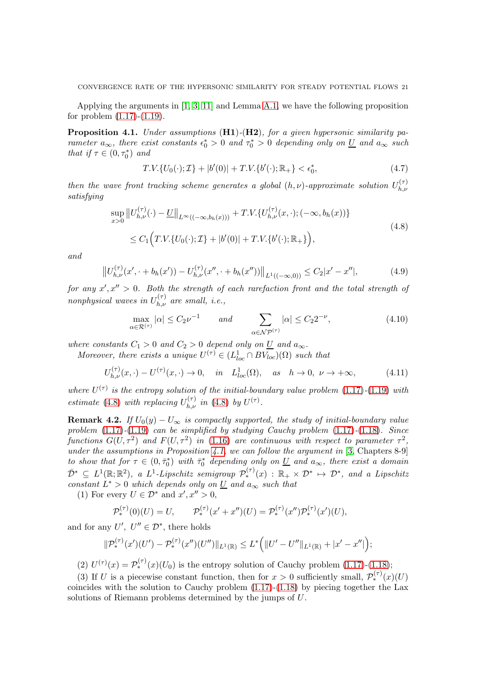Applying the arguments in [\[1,](#page-48-9) [3,](#page-48-8) [11\]](#page-49-6) and Lemma [A.1,](#page-46-0) we have the following proposition for problem  $(1.17)-(1.19)$  $(1.17)-(1.19)$ .

<span id="page-20-1"></span>**Proposition 4.1.** Under assumptions  $(H1)-(H2)$ , for a given hypersonic similarity parameter  $a_{\infty}$ , there exist constants  $\epsilon_0^* > 0$  and  $\tau_0^* > 0$  depending only on  $\underline{U}$  and  $a_{\infty}$  such that if  $\tau \in (0, \tau_0^*)$  and

$$
T.V.\{U_0(\cdot); \mathcal{I}\} + |b'(0)| + T.V.\{b'(\cdot); \mathbb{R}_+\} < \epsilon_0^*,\tag{4.7}
$$

then the wave front tracking scheme generates a global  $(h, \nu)$ -approximate solution  $U_{h,\nu}^{(\tau)}$  $_{h,\nu}$ satisfying

<span id="page-20-0"></span>
$$
\sup_{x>0} ||U_{h,\nu}^{(\tau)}(\cdot) - \underline{U}||_{L^{\infty}((-\infty,b_h(x)))} + T.V.\{U_{h,\nu}^{(\tau)}(x,\cdot);(-\infty,b_h(x))\}
$$
\n
$$
\leq C_1 \Big( T.V.\{U_0(\cdot); \mathcal{I}\} + |b'(0)| + T.V.\{b'(\cdot); \mathbb{R}_+\} \Big),
$$
\n(4.8)

and

$$
\left\|U_{h,\nu}^{(\tau)}(x',\cdot+b_h(x')) - U_{h,\nu}^{(\tau)}(x'',\cdot+b_h(x''))\right\|_{L^1((-\infty,0))} \leq C_2|x'-x''|,\tag{4.9}
$$

for any  $x', x'' > 0$ . Both the strength of each rarefaction front and the total strength of nonphysical waves in  $U_{h,\nu}^{(\tau)}$  are small, i.e.,

<span id="page-20-3"></span>
$$
\max_{\alpha \in \mathcal{R}^{(\tau)}} |\alpha| \le C_2 \nu^{-1} \qquad \text{and} \qquad \sum_{\alpha \in \mathcal{N} \mathcal{P}^{(\tau)}} |\alpha| \le C_2 2^{-\nu}, \tag{4.10}
$$

where constants  $C_1 > 0$  and  $C_2 > 0$  depend only on  $\underline{U}$  and  $a_{\infty}$ .

Moreover, there exists a unique  $U^{(\tau)} \in (L^1_{loc} \cap BV_{loc})(\Omega)$  such that

$$
U_{h,\nu}^{(\tau)}(x,\cdot) - U^{(\tau)}(x,\cdot) \to 0, \quad \text{in} \quad L_{loc}^{1}(\Omega), \quad \text{as} \quad h \to 0, \ \nu \to +\infty,\tag{4.11}
$$

where  $U^{(\tau)}$  is the entropy solution of the initial-boundary value problem [\(1.17\)](#page-3-4)-[\(1.19\)](#page-3-5) with estimate [\(4.8\)](#page-20-0) with replacing  $U_{h,\nu}^{(\tau)}$  in (4.8) by  $U^{(\tau)}$ .

<span id="page-20-2"></span>**Remark 4.2.** If  $U_0(y) - U_{\infty}$  is compactly supported, the study of initial-boundary value problem  $(1.17)$ - $(1.19)$  can be simplified by studying Cauchy problem  $(1.17)$ - $(1.18)$ . Since functions  $G(U, \tau^2)$  and  $F(U, \tau^2)$  in [\(1.16\)](#page-3-7) are continuous with respect to parameter  $\tau^2$ , under the assumptions in Proposition [4.1,](#page-20-1) we can follow the argument in  $[3,$  Chapters 8-9 $]$ to show that for  $\tau \in (0, \bar{\tau}_0^*)$  with  $\bar{\tau}_0^*$  depending only on  $\underline{U}$  and  $a_{\infty}$ , there exist a domain  $\overline{\mathcal{D}}^*$   $\subseteq L^1(\mathbb{R}; \mathbb{R}^2)$ , a  $L^1$ -Lipschitz semigroup  $\mathcal{P}_*^{(\tau)}(x)$  :  $\mathbb{R}_+ \times \mathcal{D}^* \mapsto \mathcal{D}^*$ , and a Lipschitz constant  $L^* > 0$  which depends only on  $\underline{U}$  and  $a_{\infty}$  such that

(1) For every  $U \in \mathcal{D}^*$  and  $x', x'' > 0$ ,

$$
\mathcal{P}_*^{(\tau)}(0)(U) = U, \qquad \mathcal{P}_*^{(\tau)}(x' + x'')(U) = \mathcal{P}_*^{(\tau)}(x'')\mathcal{P}_*^{(\tau)}(x')(U),
$$

and for any  $U', U'' \in \mathcal{D}^*$ , there holds

$$
\|\mathcal{P}_{*}^{(\tau)}(x')(U')-\mathcal{P}_{*}^{(\tau)}(x'')(U'')\|_{L^{1}(\mathbb{R})}\leq L^{*}\Big(\|U'-U''\|_{L^{1}(\mathbb{R})}+|x'-x''|\Big);
$$

(2)  $U^{(\tau)}(x) = \mathcal{P}_{*}^{(\tau)}(x)(U_0)$  is the entropy solution of Cauchy problem [\(1.17\)](#page-3-4)-[\(1.18\)](#page-3-9);

(3) If U is a piecewise constant function, then for  $x > 0$  sufficiently small,  $\mathcal{P}_*^{(\tau)}(x)(U)$ coincides with the solution to Cauchy problem  $(1.17)-(1.18)$  $(1.17)-(1.18)$  by piecing together the Lax solutions of Riemann problems determined by the jumps of U.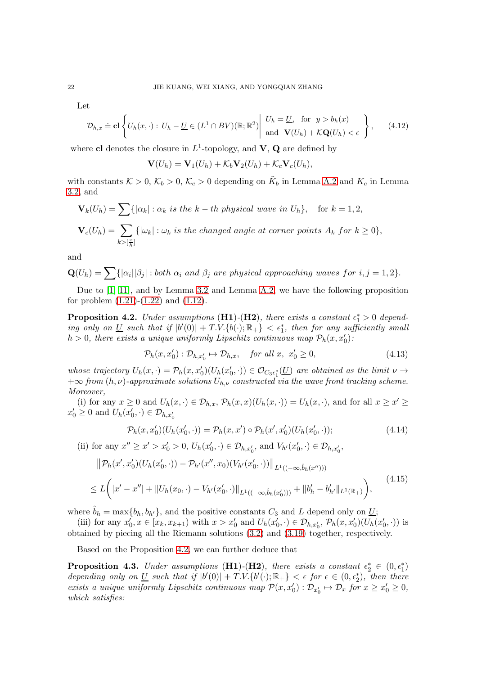Let

$$
\mathcal{D}_{h,x} \doteq \mathbf{cl}\left\{U_h(x,\cdot): U_h - \underline{U} \in (L^1 \cap BV)(\mathbb{R};\mathbb{R}^2) \middle| \begin{array}{l} U_h = \underline{U}, \text{ for } y > b_h(x) \\ \text{and } \mathbf{V}(U_h) + \mathcal{K}\mathbf{Q}(U_h) < \epsilon \end{array} \right\},\tag{4.12}
$$

where cl denotes the closure in  $L^1$ -topology, and  $V$ , Q are defined by

$$
\mathbf{V}(U_h) = \mathbf{V}_1(U_h) + \mathcal{K}_b \mathbf{V}_2(U_h) + \mathcal{K}_c \mathbf{V}_c(U_h),
$$

with constants  $K > 0$ ,  $K_b > 0$ ,  $K_c > 0$  depending on  $\tilde{K}_b$  in Lemma [A.2](#page-47-0) and  $K_c$  in Lemma [3.2,](#page-15-2) and

$$
\mathbf{V}_k(U_h) = \sum \{ |\alpha_k| : \alpha_k \text{ is the } k-th \text{ physical wave in } U_h \}, \text{ for } k = 1, 2,
$$
  

$$
\mathbf{V}_c(U_h) = \sum_{k > [\frac{p}{h}]} \{ |\omega_k| : \omega_k \text{ is the changed angle at corner points } A_k \text{ for } k \ge 0 \},
$$

and

 $\mathbf{Q}(U_h) = \sum \{|\alpha_i||\beta_j| : both \; \alpha_i \; and \; \beta_j \; are \; physical \; approaching \; waves \; for \; i,j=1,2 \}.$ 

Due to [\[1,](#page-48-9) [11\]](#page-49-6), and by Lemma [3.2](#page-15-2) and Lemma [A.2,](#page-47-0) we have the following proposition for problem  $(1.21)$ - $(1.22)$  and  $(1.12)$ .

<span id="page-21-0"></span>**Proposition 4.2.** Under assumptions (**H1**)-(**H2**), there exists a constant  $\epsilon_1^* > 0$  depending only on <u>U</u> such that if  $|b'(0)| + T.V.\{b(\cdot); \mathbb{R}_+\} < \epsilon_1^*$ , then for any sufficiently small  $h > 0$ , there exists a unique uniformly Lipschitz continuous map  $\mathcal{P}_h(x, x_0')$ :

$$
\mathcal{P}_h(x, x'_0) : \mathcal{D}_{h, x'_0} \mapsto \mathcal{D}_{h, x}, \quad \text{for all } x, \ x'_0 \ge 0,
$$
\n
$$
(4.13)
$$

whose trajectory  $U_h(x, \cdot) = \mathcal{P}_h(x, x_0')(U_h(x_0', \cdot)) \in \mathcal{O}_{C_3 \epsilon_1^*}(\underline{U})$  are obtained as the limit  $\nu \to$  $+\infty$  from  $(h, \nu)$ -approximate solutions  $U_{h, \nu}$  constructed via the wave front tracking scheme. Moreover,

(i) for any  $x \geq 0$  and  $U_h(x, \cdot) \in \mathcal{D}_{h,x}$ ,  $\mathcal{P}_h(x,x)(U_h(x, \cdot)) = U_h(x, \cdot)$ , and for all  $x \geq x' \geq$  $x'_0 \geq 0$  and  $U_h(x'_0, \cdot) \in \mathcal{D}_{h,x'_0}$ 

$$
\mathcal{P}_h(x, x_0')(U_h(x_0', \cdot)) = \mathcal{P}_h(x, x') \circ \mathcal{P}_h(x', x_0')(U_h(x_0', \cdot)); \tag{4.14}
$$

(ii) for any  $x'' \ge x' > x'_0 > 0$ ,  $U_h(x'_0, \cdot) \in \mathcal{D}_{h,x'_0}$ , and  $V_{h'}(x'_0, \cdot) \in \mathcal{D}_{h,x'_0}$ ,

$$
\|\mathcal{P}_h(x',x'_0)(U_h(x'_0,\cdot)) - \mathcal{P}_{h'}(x'',x_0)(V_{h'}(x'_0,\cdot))\|_{L^1((-\infty,\hat{b}_h(x'')))}\leq L\bigg(\|x'-x''\| + \|U_h(x_0,\cdot) - V_{h'}(x'_0,\cdot)\|_{L^1((-\infty,\hat{b}_h(x'_0)))} + \|b'_h - b'_{h'}\|_{L^1(\mathbb{R}_+)}\bigg),
$$
\n(4.15)

where  $\hat{b}_h = \max\{b_h, b_{h'}\}$ , and the positive constants  $C_3$  and L depend only on U;

(iii) for any  $x'_0, x \in [x_k, x_{k+1})$  with  $x > x'_0$  and  $U_h(x'_0, \cdot) \in \mathcal{D}_{h,x'_0}, \mathcal{P}_h(x, x'_0)(U_h(x'_0, \cdot))$  is obtained by piecing all the Riemann solutions [\(3.2\)](#page-12-1) and [\(3.19\)](#page-14-4) together, respectively.

Based on the Proposition [4.2,](#page-21-0) we can further deduce that

<span id="page-21-1"></span>**Proposition 4.3.** Under assumptions (H1)-(H2), there exists a constant  $\epsilon_2^* \in (0, \epsilon_1^*)$ depending only on  $\underline{U}$  such that if  $|b'(0)| + T.V.\{b'(\cdot);\mathbb{R}_+\} < \epsilon$  for  $\epsilon \in (0,\epsilon_2^*)$ , then there exists a unique uniformly Lipschitz continuous map  $\mathcal{P}(x, x_0') : \mathcal{D}_{x_0'} \mapsto \mathcal{D}_x$  for  $x \geq x_0' \geq 0$ , which satisfies: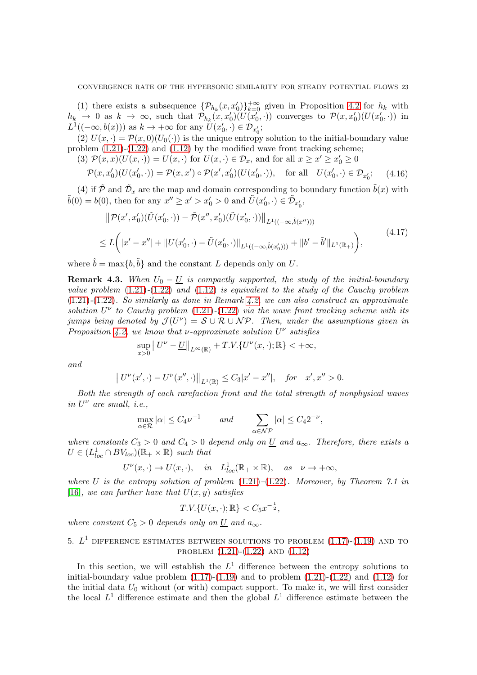(1) there exists a subsequence  $\{\mathcal{P}_{h_k}(x, x_0')\}_{k=0}^{+\infty}$  given in Proposition [4.2](#page-21-0) for  $h_k$  with  $h_k \to 0$  as  $k \to \infty$ , such that  $\mathcal{P}_{h_k}(x, x'_0)(\overline{U(x'_0, \cdot)})$  converges to  $\mathcal{P}(x, x'_0)(\overline{U(x'_0, \cdot)})$  in  $L^1((-\infty, b(x)))$  as  $k \to +\infty$  for any  $U(x'_0, \cdot) \in \mathcal{D}_{x'_0};$ 

(2)  $U(x, \cdot) = \mathcal{P}(x, 0)(U_0(\cdot))$  is the unique entropy solution to the initial-boundary value problem  $(1.21)-(1.22)$  $(1.21)-(1.22)$  and  $(1.12)$  by the modified wave front tracking scheme;

(3)  $\mathcal{P}(x,x)(U(x,\cdot)) = U(x,\cdot)$  for  $U(x,\cdot) \in \mathcal{D}_x$ , and for all  $x \geq x' \geq x'_0 \geq 0$ 

$$
\mathcal{P}(x, x_0')(U(x_0', \cdot)) = \mathcal{P}(x, x') \circ \mathcal{P}(x', x_0')(U(x_0', \cdot)), \quad \text{for all} \quad U(x_0', \cdot) \in \mathcal{D}_{x_0'}; \tag{4.16}
$$

(4) if  $\tilde{\mathcal{P}}$  and  $\tilde{\mathcal{D}}_x$  are the map and domain corresponding to boundary function  $\tilde{b}(x)$  with  $\tilde{b}(0) = b(0)$ , then for any  $x'' \ge x' > x'_0 > 0$  and  $\tilde{U}(x'_0, \cdot) \in \tilde{\mathcal{D}}_{x'_0}$ ,

$$
\|\mathcal{P}(x',x'_0)(\tilde{U}(x'_0,\cdot)) - \tilde{\mathcal{P}}(x'',x'_0)(\tilde{U}(x'_0,\cdot))\|_{L^1((-\infty,\hat{b}(x'')))}\leq L\bigg(|x'-x''| + \|U(x'_0,\cdot) - \tilde{U}(x'_0,\cdot)\|_{L^1((-\infty,\hat{b}(x'_0)))} + \|b' - \tilde{b}'\|_{L^1(\mathbb{R}_+)}\bigg),
$$
\n(4.17)

where  $\hat{b} = \max\{b, \tilde{b}\}\$ and the constant L depends only on U.

<span id="page-22-0"></span>**Remark 4.3.** When  $U_0 - U$  is compactly supported, the study of the initial-boundary value problem  $(1.21)$ - $(1.22)$  and  $(1.12)$  is equivalent to the study of the Cauchy problem  $(1.21)-(1.22)$  $(1.21)-(1.22)$  $(1.21)-(1.22)$ . So similarly as done in Remark [4.2,](#page-20-2) we can also construct an approximate solution  $U^{\nu}$  to Cauchy problem [\(1.21\)](#page-3-6)-[\(1.22\)](#page-4-0) via the wave front tracking scheme with its jumps being denoted by  $\mathcal{J}(U^{\nu}) = \mathcal{S} \cup \mathcal{R} \cup \mathcal{NP}$ . Then, under the assumptions given in Proposition [4.2,](#page-21-0) we know that  $\nu$ -approximate solution  $U^{\nu}$  satisfies

$$
\sup_{x>0} ||U^{\nu}-\underline{U}||_{L^{\infty}(\mathbb{R})} + T.V.\{U^{\nu}(x,\cdot);\mathbb{R}\}<+\infty,
$$

and

$$
||U^{\nu}(x',\cdot)-U^{\nu}(x'',\cdot)||_{L^{1}(\mathbb{R})}\leq C_{3}|x'-x''|,\quad\text{for}\quad x',x''>0.
$$

Both the strength of each rarefaction front and the total strength of nonphysical waves in  $U^{\nu}$  are small, i.e.,

$$
\max_{\alpha \in \mathcal{R}} |\alpha| \le C_4 \nu^{-1} \quad \text{and} \quad \sum_{\alpha \in \mathcal{NP}} |\alpha| \le C_4 2^{-\nu},
$$

where constants  $C_3 > 0$  and  $C_4 > 0$  depend only on  $\underline{U}$  and  $a_{\infty}$ . Therefore, there exists a  $U \in (L^1_{loc} \cap BV_{loc})(\mathbb{R}_+ \times \mathbb{R})$  such that

$$
U^{\nu}(x,\cdot) \to U(x,\cdot),
$$
 in  $L^{1}_{loc}(\mathbb{R}_{+} \times \mathbb{R}),$  as  $\nu \to +\infty$ ,

where U is the entropy solution of problem  $(1.21)-(1.22)$  $(1.21)-(1.22)$  $(1.21)-(1.22)$ . Moreover, by Theorem 7.1 in [\[16\]](#page-49-7), we can further have that  $U(x, y)$  satisfies

$$
T.V.\{U(x,\cdot);\mathbb{R}\} < C_5x^{-\frac{1}{2}},
$$

where constant  $C_5 > 0$  depends only on U and  $a_{\infty}$ .

# 5.  $L^1$  difference estimates between solutions to problem  $(1.17)-(1.19)$  $(1.17)-(1.19)$  $(1.17)-(1.19)$  and to problem [\(1.21\)](#page-3-6)-[\(1.22\)](#page-4-0) and [\(1.12\)](#page-3-1)

In this section, we will establish the  $L^1$  difference between the entropy solutions to initial-boundary value problem  $(1.17)$ - $(1.19)$  and to problem  $(1.21)$ - $(1.22)$  and  $(1.12)$  for the initial data  $U_0$  without (or with) compact support. To make it, we will first consider the local  $L^1$  difference estimate and then the global  $L^1$  difference estimate between the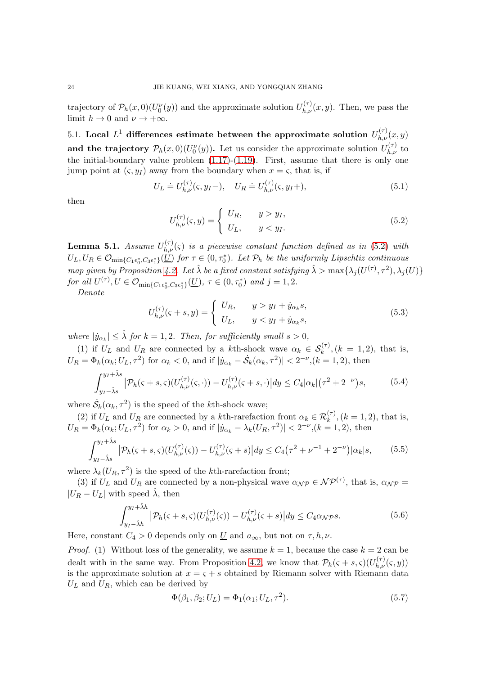trajectory of  $\mathcal{P}_h(x,0)(U_0^{\nu}(y))$  and the approximate solution  $U_{h,\nu}^{(\tau)}(x,y)$ . Then, we pass the limit  $h \to 0$  and  $\nu \to +\infty$ .

5.1. Local  $L^1$  differences estimate between the approximate solution  $U_{h,\nu}^{(\tau)}(x,y)$ and the trajectory  $\mathcal{P}_h(x,0)(U_0^{\nu}(y))$ . Let us consider the approximate solution  $U_{h,\nu}^{(\tau)}$  to the initial-boundary value problem  $(1.17)-(1.19)$  $(1.17)-(1.19)$ . First, assume that there is only one jump point at  $(\varsigma, y_I)$  away from the boundary when  $x = \varsigma$ , that is, if

<span id="page-23-4"></span>
$$
U_L \doteq U_{h,\nu}^{(\tau)}(\varsigma, y_I -), \quad U_R \doteq U_{h,\nu}^{(\tau)}(\varsigma, y_I +), \tag{5.1}
$$

then

<span id="page-23-0"></span>
$$
U_{h,\nu}^{(\tau)}(\varsigma,y) = \begin{cases} U_R, & y > y_I, \\ U_L, & y < y_I. \end{cases}
$$
\n(5.2)

<span id="page-23-5"></span>**Lemma 5.1.** Assume  $U_{h,\nu}^{(\tau)}(\varsigma)$  is a piecewise constant function defined as in [\(5.2\)](#page-23-0) with  $U_L, U_R \in \mathcal{O}_{\text{min}\{C_1\epsilon_0^*, C_3\epsilon_1^*\}}(\underline{U})$  for  $\tau \in (0, \tau_0^*)$ . Let  $\mathcal{P}_h$  be the uniformly Lipschtiz continuous map given by Proposition [4.2.](#page-21-0) Let  $\hat{\lambda}$  be a fixed constant satisfying  $\hat{\lambda} > \max\{\lambda_j(U^{(\tau)}, \tau^2), \lambda_j(U)\}$ for all  $U^{(\tau)}, U \in \mathcal{O}_{\min\{C_1\epsilon_0^*, C_3\epsilon_1^*\}}(\underline{U}), \tau \in (0, \tau_0^*)$  and  $j = 1, 2$ .

Denote

<span id="page-23-2"></span>
$$
U_{h,\nu}^{(\tau)}(\varsigma + s, y) = \begin{cases} U_R, & y > y_I + \dot{y}_{\alpha_k} s, \\ U_L, & y < y_I + \dot{y}_{\alpha_k} s, \end{cases}
$$
(5.3)

where  $|\dot{y}_{\alpha_k}| \leq \hat{\lambda}$  for  $k = 1, 2$ . Then, for sufficiently small  $s > 0$ ,

(1) if  $U_L$  and  $U_R$  are connected by a kth-shock wave  $\alpha_k \in S_k^{(\tau)}$ ,  $(k = 1, 2)$ , that is,  $U_R = \Phi_k(\alpha_k; U_L, \tau^2)$  for  $\alpha_k < 0$ , and if  $|\dot{y}_{\alpha_k} - \dot{S}_k(\alpha_k, \tau^2)| < 2^{-\nu}$ ,  $(k = 1, 2)$ , then

$$
\int_{y_I - \hat{\lambda}s}^{y_I + \hat{\lambda}s} |\mathcal{P}_h(\varsigma + s, \varsigma)(U_{h,\nu}^{(\tau)}(\varsigma, \cdot)) - U_{h,\nu}^{(\tau)}(\varsigma + s, \cdot)| dy \le C_4 |\alpha_k| (\tau^2 + 2^{-\nu})s,
$$
(5.4)

where  $\dot{S}_k(\alpha_k, \tau^2)$  is the speed of the *k*th-shock wave;

(2) if  $U_L$  and  $U_R$  are connected by a kth-rarefaction front  $\alpha_k \in \mathcal{R}_k^{(\tau)}$ ,  $(k = 1, 2)$ , that is,  $U_R = \Phi_k(\alpha_k; U_L, \tau^2)$  for  $\alpha_k > 0$ , and if  $|\dot{y}_{\alpha_k} - \lambda_k(U_R, \tau^2)| < 2^{-\nu}$ ,  $(k = 1, 2)$ , then

<span id="page-23-3"></span>
$$
\int_{y_I - \hat{\lambda}s}^{y_I + \hat{\lambda}s} |\mathcal{P}_h(\varsigma + s, \varsigma)(U_{h,\nu}^{(\tau)}(\varsigma)) - U_{h,\nu}^{(\tau)}(\varsigma + s)| dy \le C_4(\tau^2 + \nu^{-1} + 2^{-\nu})|\alpha_k|s,\tag{5.5}
$$

where  $\lambda_k(U_R, \tau^2)$  is the speed of the kth-rarefaction front;

(3) if  $U_L$  and  $U_R$  are connected by a non-physical wave  $\alpha_{\mathcal{NP}} \in \mathcal{NP}^{(\tau)}$ , that is,  $\alpha_{\mathcal{NP}} =$  $|U_R - U_L|$  with speed  $\lambda$ , then

$$
\int_{y_I - \hat{\lambda}h}^{y_I + \hat{\lambda}h} |\mathcal{P}_h(\varsigma + s, \varsigma)(U_{h,\nu}^{(\tau)}(\varsigma)) - U_{h,\nu}^{(\tau)}(\varsigma + s)| dy \le C_4 \alpha_{\mathcal{N}} \mathcal{P}^s. \tag{5.6}
$$

Here, constant  $C_4 > 0$  depends only on  $\underline{U}$  and  $a_{\infty}$ , but not on  $\tau, h, \nu$ .

*Proof.* (1) Without loss of the generality, we assume  $k = 1$ , because the case  $k = 2$  can be dealt with in the same way. From Proposition [4.2,](#page-21-0) we know that  $\mathcal{P}_h(\varsigma + s, \varsigma)(U_{h,\nu}^{(\tau)}(\varsigma, y))$ is the approximate solution at  $x = \varsigma + s$  obtained by Riemann solver with Riemann data  $U_L$  and  $U_R$ , which can be derived by

<span id="page-23-1"></span>
$$
\Phi(\beta_1, \beta_2; U_L) = \Phi_1(\alpha_1; U_L, \tau^2). \tag{5.7}
$$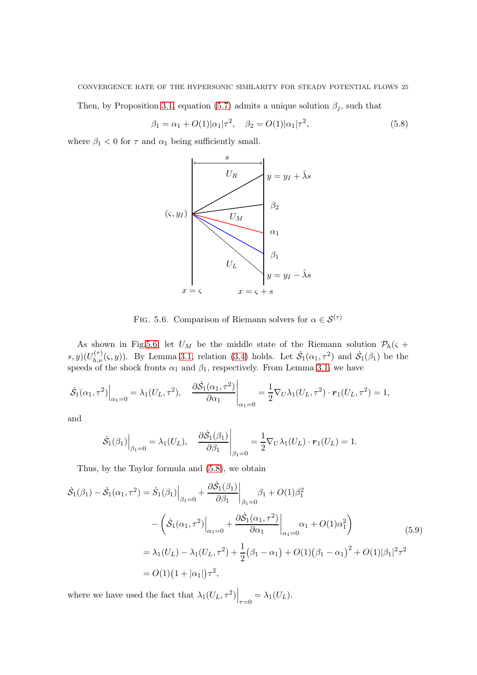#### CONVERGENCE RATE OF THE HYPERSONIC SIMILARITY FOR STEADY POTENTIAL FLOWS 25

Then, by Proposition [3.1,](#page-12-5) equation [\(5.7\)](#page-23-1) admits a unique solution  $\beta_j$ , such that

<span id="page-24-1"></span>
$$
\beta_1 = \alpha_1 + O(1)|\alpha_1|\tau^2, \quad \beta_2 = O(1)|\alpha_1|\tau^2,
$$
\n(5.8)

where  $\beta_1 < 0$  for  $\tau$  and  $\alpha_1$  being sufficiently small.



<span id="page-24-0"></span>FIG. 5.6. Comparison of Riemann solvers for  $\alpha \in \mathcal{S}^{(\tau)}$ 

As shown in Fig[.5.6,](#page-24-0) let  $U_M$  be the middle state of the Riemann solution  $\mathcal{P}_h(\varsigma +$  $(s, y)(U_{h,\nu}^{(\tau)}(\varsigma, y))$ . By Lemma [3.1,](#page-12-2) relation [\(3.4\)](#page-12-6) holds. Let  $\dot{S}_1(\alpha_1, \tau^2)$  and  $\dot{S}_1(\beta_1)$  be the speeds of the shock fronts  $\alpha_1$  and  $\beta_1$ , respectively. From Lemma [3.1,](#page-12-2) we have

$$
\left. \dot{\mathcal{S}}_1(\alpha_1, \tau^2) \right|_{\alpha_1=0} = \lambda_1(U_L, \tau^2), \quad \left. \frac{\partial \dot{\mathcal{S}}_1(\alpha_1, \tau^2)}{\partial \alpha_1} \right|_{\alpha_1=0} = \frac{1}{2} \nabla_U \lambda_1(U_L, \tau^2) \cdot \mathbf{r}_1(U_L, \tau^2) = 1,
$$

and

$$
\dot{\mathcal{S}}_1(\beta_1)\Big|_{\beta_1=0} = \lambda_1(U_L), \quad \frac{\partial \dot{\mathcal{S}}_1(\beta_1)}{\partial \beta_1}\Big|_{\beta_1=0} = \frac{1}{2} \nabla_U \lambda_1(U_L) \cdot \mathbf{r}_1(U_L) = 1.
$$

Thus, by the Taylor formula and [\(5.8\)](#page-24-1), we obtain

$$
\dot{\mathcal{S}}_1(\beta_1) - \dot{\mathcal{S}}_1(\alpha_1, \tau^2) = \dot{S}_1(\beta_1) \Big|_{\beta_1 = 0} + \frac{\partial \dot{\mathcal{S}}_1(\beta_1)}{\partial \beta_1} \Big|_{\beta_1 = 0} \beta_1 + O(1)\beta_1^2
$$
  
 
$$
- \left( \dot{\mathcal{S}}_1(\alpha_1, \tau^2) \Big|_{\alpha_1 = 0} + \frac{\partial \dot{\mathcal{S}}_1(\alpha_1, \tau^2)}{\partial \alpha_1} \Big|_{\alpha_1 = 0} \alpha_1 + O(1)\alpha_1^2 \right)
$$
  
\n
$$
= \lambda_1 (U_L) - \lambda_1 (U_L, \tau^2) + \frac{1}{2} (\beta_1 - \alpha_1) + O(1) (\beta_1 - \alpha_1)^2 + O(1) |\beta_1|^2 \tau^2
$$
  
\n
$$
= O(1) (1 + |\alpha_1|) \tau^2,
$$
\n(5.9)

where we have used the fact that  $\lambda_1(U_L, \tau^2)\Big|_{\tau=0} = \lambda_1(U_L)$ .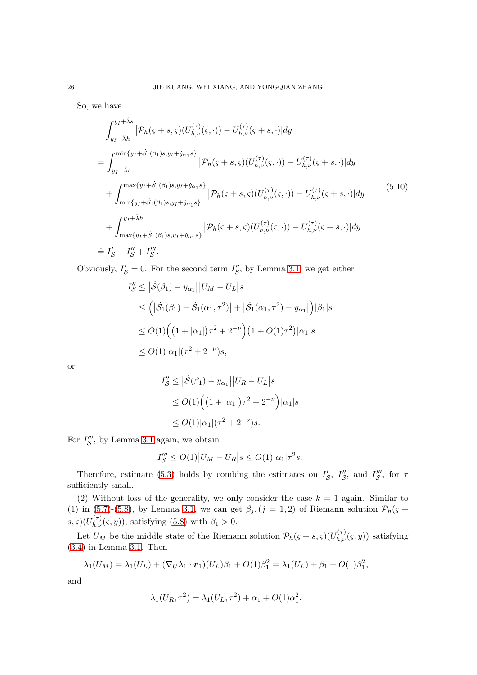So, we have

<span id="page-25-0"></span>
$$
\int_{y_I - \hat{\lambda}h}^{y_I + \hat{\lambda} s} |\mathcal{P}_h(\varsigma + s, \varsigma)(U_{h,\nu}^{(\tau)}(\varsigma, \cdot)) - U_{h,\nu}^{(\tau)}(\varsigma + s, \cdot)| dy
$$
\n
$$
= \int_{y_I - \hat{\lambda}s}^{\min\{y_I + \hat{\mathcal{S}}_1(\beta_1)s, y_I + \hat{y}_{\alpha_1}s\}} |\mathcal{P}_h(\varsigma + s, \varsigma)(U_{h,\nu}^{(\tau)}(\varsigma, \cdot)) - U_{h,\nu}^{(\tau)}(\varsigma + s, \cdot)| dy
$$
\n
$$
+ \int_{\min\{y_I + \hat{\mathcal{S}}_1(\beta_1)s, y_I + \hat{y}_{\alpha_1}s\}}^{\max\{y_I + \hat{\mathcal{S}}_1(\beta_1)s, y_I + \hat{y}_{\alpha_1}s\}} |\mathcal{P}_h(\varsigma + s, \varsigma)(U_{h,\nu}^{(\tau)}(\varsigma, \cdot)) - U_{h,\nu}^{(\tau)}(\varsigma + s, \cdot)| dy
$$
\n
$$
+ \int_{\max\{y_I + \hat{\mathcal{S}}_1(\beta_1)s, y_I + \hat{y}_{\alpha_1}s\}}^{\min\{y_I + \hat{\mathcal{S}}_1(\beta_1)s, y_I + \hat{y}_{\alpha_1}s\}} |\mathcal{P}_h(\varsigma + s, \varsigma)(U_{h,\nu}^{(\tau)}(\varsigma, \cdot)) - U_{h,\nu}^{(\tau)}(\varsigma + s, \cdot)| dy
$$
\n
$$
= I'_{\mathcal{S}} + I''_{\mathcal{S}} + I''_{\mathcal{S}}.
$$
\n(5.10)

Obviously,  $I'_{\mathcal{S}} = 0$ . For the second term  $I''_{\mathcal{S}}$ , by Lemma [3.1,](#page-12-2) we get either

$$
I''_{\mathcal{S}} \leq |\dot{\mathcal{S}}(\beta_1) - \dot{y}_{\alpha_1}||U_M - U_L|s
$$
  
\n
$$
\leq (|\dot{\mathcal{S}}_1(\beta_1) - \dot{\mathcal{S}}_1(\alpha_1, \tau^2)| + |\dot{\mathcal{S}}_1(\alpha_1, \tau^2) - \dot{y}_{\alpha_1}|)|\beta_1|s
$$
  
\n
$$
\leq O(1) \Big( (1 + |\alpha_1|)\tau^2 + 2^{-\nu} \Big) (1 + O(1)\tau^2)|\alpha_1|s
$$
  
\n
$$
\leq O(1)|\alpha_1|(\tau^2 + 2^{-\nu})s,
$$

or

$$
I''_{\mathcal{S}} \leq |\dot{\mathcal{S}}(\beta_1) - \dot{y}_{\alpha_1}||U_R - U_L|s
$$
  
\n
$$
\leq O(1) \Big( \big(1 + |\alpha_1|\big)\tau^2 + 2^{-\nu} \Big) |\alpha_1|s
$$
  
\n
$$
\leq O(1) |\alpha_1| (\tau^2 + 2^{-\nu})s.
$$

For  $I''_S$ , by Lemma [3.1](#page-12-2) again, we obtain

$$
I''_{\mathcal{S}} \le O(1) |U_M - U_R| s \le O(1) |\alpha_1| \tau^2 s.
$$

Therefore, estimate [\(5.3\)](#page-23-2) holds by combing the estimates on  $I'_{\mathcal{S}}$ ,  $I''_{\mathcal{S}}$ , and  $I'''_{\mathcal{S}}$ , for  $\tau$ sufficiently small.

(2) Without loss of the generality, we only consider the case  $k = 1$  again. Similar to (1) in [\(5.7\)](#page-23-1)-[\(5.8\)](#page-24-1), by Lemma [3.1,](#page-12-2) we can get  $\beta_j$ ,  $(j = 1, 2)$  of Riemann solution  $\mathcal{P}_h(\varsigma +$  $(s, \zeta)(U_{h,\nu}^{(\tau)}(\zeta, y))$ , satisfying [\(5.8\)](#page-24-1) with  $\beta_1 > 0$ .

Let  $U_M$  be the middle state of the Riemann solution  $\mathcal{P}_h(\varsigma + s, \varsigma)(U_{h,\nu}^{(\tau)}(\varsigma, y))$  satisfying [\(3.4\)](#page-12-6) in Lemma [3.1.](#page-12-2) Then

$$
\lambda_1(U_M) = \lambda_1(U_L) + (\nabla_U \lambda_1 \cdot \mathbf{r}_1)(U_L)\beta_1 + O(1)\beta_1^2 = \lambda_1(U_L) + \beta_1 + O(1)\beta_1^2,
$$

and

$$
\lambda_1(U_R, \tau^2) = \lambda_1(U_L, \tau^2) + \alpha_1 + O(1)\alpha_1^2.
$$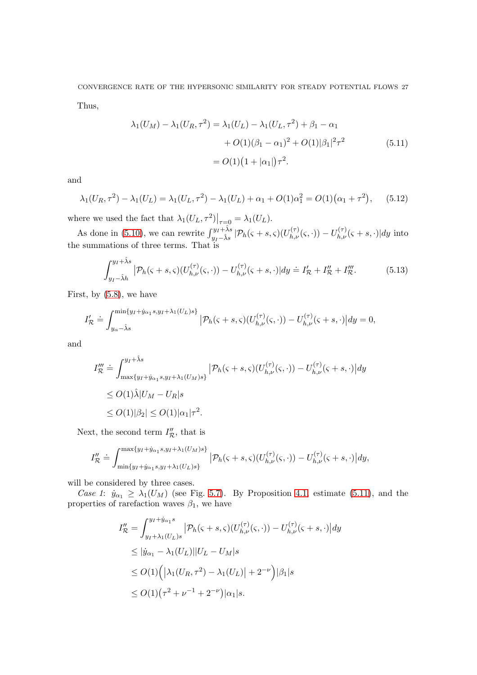CONVERGENCE RATE OF THE HYPERSONIC SIMILARITY FOR STEADY POTENTIAL FLOWS 27 Thus,

<span id="page-26-0"></span>
$$
\lambda_1(U_M) - \lambda_1(U_R, \tau^2) = \lambda_1(U_L) - \lambda_1(U_L, \tau^2) + \beta_1 - \alpha_1
$$
  
+  $O(1)(\beta_1 - \alpha_1)^2 + O(1)|\beta_1|^2 \tau^2$  (5.11)  
=  $O(1)(1 + |\alpha_1|)\tau^2$ .

and

<span id="page-26-1"></span>
$$
\lambda_1(U_R, \tau^2) - \lambda_1(U_L) = \lambda_1(U_L, \tau^2) - \lambda_1(U_L) + \alpha_1 + O(1)\alpha_1^2 = O(1)(\alpha_1 + \tau^2), \quad (5.12)
$$

where we used the fact that  $\lambda_1(U_L, \tau^2)|_{\tau=0} = \lambda_1(U_L)$ .

As done in [\(5.10\)](#page-25-0), we can rewrite  $\int_{y_I-\hat{\lambda}s}^{y_I+\hat{\lambda}s} |\mathcal{P}_h(\varsigma+s,\varsigma)(U_{h,\nu}^{(\tau)}(\varsigma,\cdot)) - U_{h,\nu}^{(\tau)}(\varsigma+s,\cdot)| dy$  into the summations of three terms. That is

$$
\int_{y_I - \hat{\lambda}h}^{y_I + \hat{\lambda}s} |\mathcal{P}_h(\varsigma + s, \varsigma)(U_{h,\nu}^{(\tau)}(\varsigma, \cdot)) - U_{h,\nu}^{(\tau)}(\varsigma + s, \cdot)| dy \doteq I_{\mathcal{R}}' + I_{\mathcal{R}}'' + I_{\mathcal{R}}'''.
$$
(5.13)

First, by [\(5.8\)](#page-24-1), we have

$$
I'_{\mathcal{R}} \doteq \int_{y_{\alpha}-\hat{\lambda}s}^{\min\{y_I+\hat{y}_{\alpha_1}s,y_I+\lambda_1(U_L)s\}} |\mathcal{P}_h(\varsigma+s,\varsigma)(U_{h,\nu}^{(\tau)}(\varsigma,\cdot)) - U_{h,\nu}^{(\tau)}(\varsigma+s,\cdot)| dy = 0,
$$

and

$$
I''_{\mathcal{R}} \doteq \int_{\max\{y_I + \hat{y}_{\alpha_1} s, y_I + \lambda_1(U_M)s\}}^{y_I + \hat{\lambda}s} |\mathcal{P}_h(\varsigma + s, \varsigma)(U_{h,\nu}^{(\tau)}(\varsigma, \cdot)) - U_{h,\nu}^{(\tau)}(\varsigma + s, \cdot)| dy
$$
  
\n
$$
\leq O(1)\hat{\lambda}|U_M - U_R|s
$$
  
\n
$$
\leq O(1)|\beta_2| \leq O(1)|\alpha_1|\tau^2.
$$

Next, the second term  $I''_{\mathcal{R}}$ , that is

$$
I''_{\mathcal{R}} \doteq \int_{\min\{y_I + \dot{y}_{\alpha_1}s, y_I + \lambda_1(U_L)s\}}^{\max\{y_I + \dot{y}_{\alpha_1}s, y_I + \lambda_1(U_M)s\}} |\mathcal{P}_h(\varsigma + s, \varsigma)(U_{h,\nu}^{(\tau)}(\varsigma, \cdot)) - U_{h,\nu}^{(\tau)}(\varsigma + s, \cdot)| dy,
$$

will be considered by three cases.

Case 1:  $\dot{y}_{\alpha_1} \geq \dot{\lambda_1}(U_M)$  (see Fig. [5.7\)](#page-27-0). By Proposition [4.1,](#page-20-1) estimate [\(5.11\)](#page-26-0), and the properties of rarefaction waves  $\beta_1$ , we have

$$
I''_{\mathcal{R}} = \int_{y_I + \lambda_1(U_L)s}^{y_I + \dot{y}_{\alpha_1}s} |\mathcal{P}_h(\varsigma + s, \varsigma)(U_{h,\nu}^{(\tau)}(\varsigma, \cdot)) - U_{h,\nu}^{(\tau)}(\varsigma + s, \cdot)| dy
$$
  
\n
$$
\leq |\dot{y}_{\alpha_1} - \lambda_1(U_L)||U_L - U_M|s
$$
  
\n
$$
\leq O(1) (|\lambda_1(U_R, \tau^2) - \lambda_1(U_L)| + 2^{-\nu})|\beta_1|s
$$
  
\n
$$
\leq O(1)(\tau^2 + \nu^{-1} + 2^{-\nu})|\alpha_1|s.
$$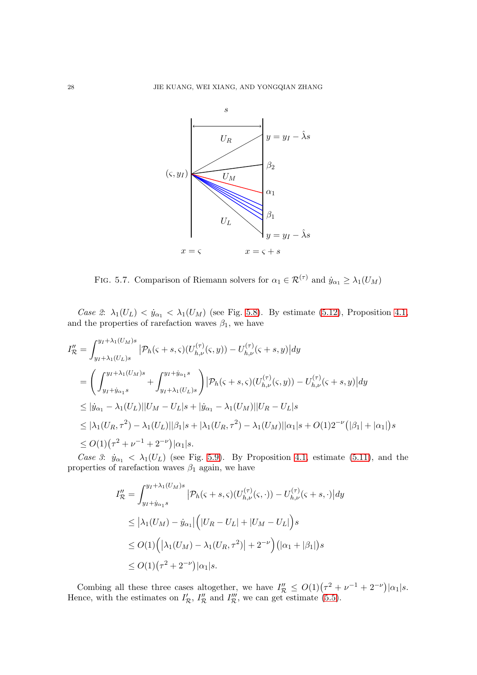

<span id="page-27-0"></span>FIG. 5.7. Comparison of Riemann solvers for  $\alpha_1 \in \mathcal{R}^{(\tau)}$  and  $\dot{y}_{\alpha_1} \geq \lambda_1(U_M)$ 

Case 2:  $\lambda_1(U_L) < \dot{y}_{\alpha_1} < \lambda_1(U_M)$  (see Fig. [5.8\)](#page-28-0). By estimate [\(5.12\)](#page-26-1), Proposition [4.1,](#page-20-1) and the properties of rarefaction waves  $\beta_1$ , we have

$$
I''_{\mathcal{R}} = \int_{y_I + \lambda_1(U_M)s}^{y_I + \lambda_1(U_M)s} |\mathcal{P}_h(\varsigma + s, \varsigma)(U_{h,\nu}^{(\tau)}(\varsigma, y)) - U_{h,\nu}^{(\tau)}(\varsigma + s, y)| dy
$$
  
\n
$$
= \left( \int_{y_I + \dot{y}_{\alpha_1}s}^{y_I + \lambda_1(U_M)s} + \int_{y_I + \lambda_1(U_L)s}^{y_I + \dot{y}_{\alpha_1}s} \right) |\mathcal{P}_h(\varsigma + s, \varsigma)(U_{h,\nu}^{(\tau)}(\varsigma, y)) - U_{h,\nu}^{(\tau)}(\varsigma + s, y)| dy
$$
  
\n
$$
\leq |\dot{y}_{\alpha_1} - \lambda_1(U_L)||U_M - U_L|s + |\dot{y}_{\alpha_1} - \lambda_1(U_M)||U_R - U_L|s
$$
  
\n
$$
\leq |\lambda_1(U_R, \tau^2) - \lambda_1(U_L)||\beta_1|s + |\lambda_1(U_R, \tau^2) - \lambda_1(U_M)||\alpha_1|s + O(1)2^{-\nu} (|\beta_1| + |\alpha_1|)s
$$
  
\n
$$
\leq O(1)(\tau^2 + \nu^{-1} + 2^{-\nu})|\alpha_1|s.
$$

Case 3:  $\dot{y}_{\alpha_1} < \lambda_1(U_L)$  (see Fig. [5.9\)](#page-28-1). By Proposition [4.1,](#page-20-1) estimate [\(5.11\)](#page-26-0), and the properties of rarefaction waves  $\beta_1$  again, we have

$$
I''_{\mathcal{R}} = \int_{y_I + \dot{y}_{\alpha_1} s}^{y_I + \lambda_1(U_M)s} |\mathcal{P}_h(\varsigma + s, \varsigma)(U_{h,\nu}^{(\tau)}(\varsigma, \cdot)) - U_{h,\nu}^{(\tau)}(\varsigma + s, \cdot)| dy
$$
  
\n
$$
\leq |\lambda_1(U_M) - \dot{y}_{\alpha_1}| (|U_R - U_L| + |U_M - U_L|) s
$$
  
\n
$$
\leq O(1) (|\lambda_1(U_M) - \lambda_1(U_R, \tau^2)| + 2^{-\nu}) (|\alpha_1 + |\beta_1|) s
$$
  
\n
$$
\leq O(1) (\tau^2 + 2^{-\nu}) |\alpha_1| s.
$$

Combing all these three cases altogether, we have  $I''_{\mathcal{R}} \leq O(1)(\tau^2 + \nu^{-1} + 2^{-\nu}) |\alpha_1| s$ . Hence, with the estimates on  $I'_{\mathcal{R}}$ ,  $I''_{\mathcal{R}}$  and  $I'''_{\mathcal{R}}$ , we can get estimate [\(5.5\)](#page-23-3).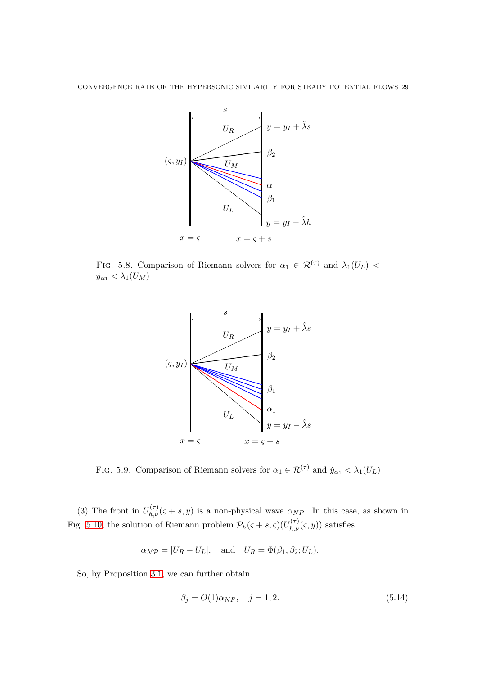

FIG. 5.8. Comparison of Riemann solvers for  $\alpha_1 \in \mathcal{R}^{(\tau)}$  and  $\lambda_1(U_L)$  <  $\dot{y}_{\alpha_1} < \lambda_1(U_M)$ 

<span id="page-28-0"></span>

<span id="page-28-1"></span>FIG. 5.9. Comparison of Riemann solvers for  $\alpha_1 \in \mathcal{R}^{(\tau)}$  and  $\dot{y}_{\alpha_1} < \lambda_1(U_L)$ 

(3) The front in  $U_{h,\nu}^{(\tau)}(\varsigma + s, y)$  is a non-physical wave  $\alpha_{NP}$ . In this case, as shown in Fig. [5.10,](#page-29-0) the solution of Riemann problem  $\mathcal{P}_h(\varsigma + s, \varsigma)(U_{h,\nu}^{(\tau)}(\varsigma, y))$  satisfies

$$
\alpha_{\mathcal{N}\mathcal{P}} = |U_R - U_L|
$$
, and  $U_R = \Phi(\beta_1, \beta_2; U_L)$ .

So, by Proposition [3.1,](#page-12-5) we can further obtain

<span id="page-28-2"></span>
$$
\beta_j = O(1)\alpha_{NP}, \quad j = 1, 2. \tag{5.14}
$$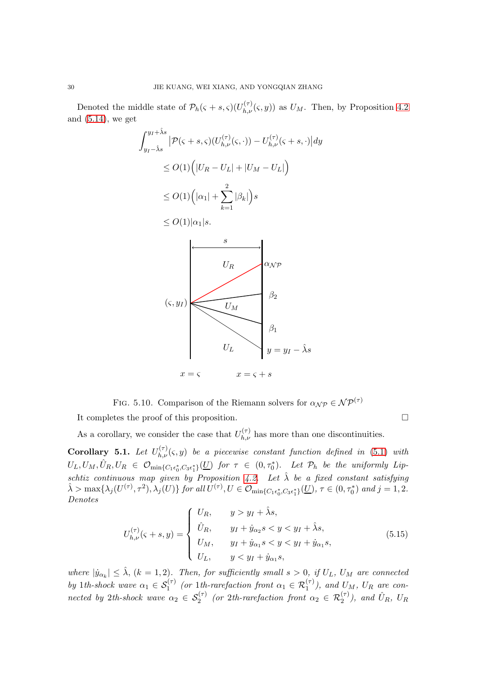Denoted the middle state of  $\mathcal{P}_h(\varsigma + s, \varsigma)$  $(U_{h,\nu}^{(\tau)}(\varsigma, y))$  as  $U_M$ . Then, by Proposition [4.2](#page-21-0) and  $(5.14)$ , we get

$$
\int_{y_I - \hat{\lambda}s}^{y_I + \hat{\lambda}s} |\mathcal{P}(\varsigma + s, \varsigma)(U_{h,\nu}^{(\tau)}(\varsigma, \cdot)) - U_{h,\nu}^{(\tau)}(\varsigma + s, \cdot)| dy
$$
  
\n
$$
\leq O(1) (|U_R - U_L| + |U_M - U_L|)
$$
  
\n
$$
\leq O(1) (|\alpha_1| + \sum_{k=1}^2 |\beta_k|) s
$$
  
\n
$$
\leq O(1) |\alpha_1| s.
$$
  
\n
$$
U_R
$$
  
\n
$$
U_R
$$
  
\n
$$
\alpha_{\mathcal{NP}}
$$
  
\n
$$
\beta_2
$$
  
\n
$$
\beta_1
$$
  
\n
$$
\beta_1
$$
  
\n
$$
\beta_2
$$
  
\n
$$
\beta_1
$$
  
\n
$$
\beta_2
$$
  
\n
$$
\beta_2
$$
  
\n
$$
\beta_1
$$
  
\n
$$
\beta_2
$$
  
\n
$$
\beta_2
$$
  
\n
$$
\beta_1
$$
  
\n
$$
\beta_2
$$
  
\n
$$
\beta_2
$$
  
\n
$$
\beta_1
$$
  
\n
$$
\beta_2
$$
  
\n
$$
\beta_2
$$
  
\n
$$
\beta_1
$$
  
\n
$$
\beta_2
$$
  
\n
$$
\beta_2
$$
  
\n
$$
\beta_1
$$
  
\n
$$
\beta_2
$$
  
\n
$$
\beta_2
$$
  
\n
$$
\beta_1
$$
  
\n
$$
\beta_2
$$
  
\n
$$
\beta_2
$$
  
\n
$$
\beta_1
$$
  
\n
$$
\beta_2
$$
  
\n
$$
\beta_2
$$
  
\n
$$
\beta_1
$$
  
\n
$$
\beta_2
$$
  
\n
$$
\beta_2
$$
  
\n
$$
\beta_2
$$
  
\n
$$
\beta_1
$$
  
\n
$$
\beta_2
$$
  
\n
$$
\beta_2
$$
  
\n
$$
\beta_
$$

<span id="page-29-0"></span>FIG. 5.10. Comparison of the Riemann solvers for  $\alpha_{\mathcal{NP}} \in \mathcal{NP}^{(\tau)}$ 

It completes the proof of this proposition.

As a corollary, we consider the case that  $U_{h,\nu}^{(\tau)}$  has more than one discontinuities.

<span id="page-29-1"></span>**Corollary 5.1.** Let  $U_{h,\nu}^{(\tau)}(\varsigma, y)$  be a piecewise constant function defined in [\(5.1\)](#page-23-4) with  $U_L, U_M, \hat{U}_R, U_R \in \mathcal{O}_{\min\{C_1\epsilon_0^*, C_3\epsilon_1^*\}}(\underline{U})$  for  $\tau \in (0, \tau_0^*)$ . Let  $\mathcal{P}_h$  be the uniformly Lip-schtiz continuous map given by Proposition [4.2.](#page-21-0) Let  $\hat{\lambda}$  be a fixed constant satisfying  $\hat{\lambda} > \max\{\lambda_j(U^{(\tau)}, \tau^2), \lambda_j(U)\}\$  for all  $U^{(\tau)}, U \in \mathcal{O}_{\min\{C_1 \epsilon_0^*, C_3 \epsilon_1^*\}}(\underline{U}), \tau \in (0, \tau_0^*)$  and  $j = 1, 2$ . Denotes

$$
U_{h,\nu}^{(\tau)}(\varsigma + s, y) = \begin{cases} U_R, & y > y_I + \hat{\lambda}s, \\ \hat{U}_R, & y_I + \hat{y}_{\alpha_2}s < y < y_I + \hat{\lambda}s, \\ U_M, & y_I + \hat{y}_{\alpha_1}s < y < y_I + \hat{y}_{\alpha_1}s, \\ U_L, & y < y_I + \hat{y}_{\alpha_1}s, \end{cases} \tag{5.15}
$$

where  $|\dot{y}_{\alpha_k}| \leq \hat{\lambda}, (k=1,2)$ . Then, for sufficiently small  $s > 0$ , if  $U_L$ ,  $U_M$  are connected by 1th-shock wave  $\alpha_1 \in S_1^{(\tau)}$  (or 1th-rarefaction front  $\alpha_1 \in \mathcal{R}_1^{(\tau)}$ ), and  $U_M$ ,  $U_R$  are connected by 2th-shock wave  $\alpha_2 \in S_2^{(\tau)}$  (or 2th-rarefaction front  $\alpha_2 \in \mathcal{R}_2^{(\tau)}$ ), and  $\hat{U}_R$ ,  $U_R$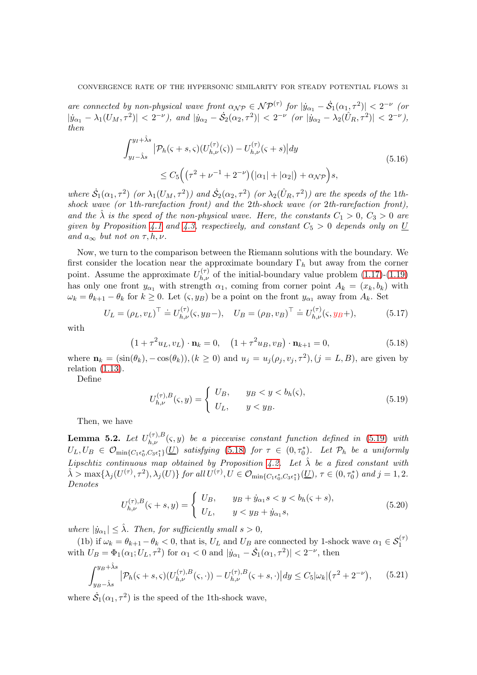are connected by non-physical wave front  $\alpha_{\mathcal{NP}} \in \mathcal{NP}^{(\tau)}$  for  $|\dot{y}_{\alpha_1} - \dot{S}_1(\alpha_1, \tau^2)| < 2^{-\nu}$  (or  $|\dot{y}_{\alpha_1} - \lambda_1(U_M, \tau^2)| < 2^{-\nu}$ , and  $|\dot{y}_{\alpha_2} - \dot{S}_2(\alpha_2, \tau^2)| < 2^{-\nu}$  (or  $|\dot{y}_{\alpha_2} - \lambda_2(\hat{U}_R, \tau^2)| < 2^{-\nu}$ ), then

$$
\int_{y_I - \hat{\lambda}s}^{y_I + \hat{\lambda}s} |\mathcal{P}_h(\varsigma + s, \varsigma)(U_{h,\nu}^{(\tau)}(\varsigma)) - U_{h,\nu}^{(\tau)}(\varsigma + s)| dy
$$
\n
$$
\leq C_5 \Big( \big( \tau^2 + \nu^{-1} + 2^{-\nu} \big) \big( |\alpha_1| + |\alpha_2| \big) + \alpha_{\mathcal{NP}} \Big) s,
$$
\n(5.16)

where  $\dot{S}_1(\alpha_1,\tau^2)$  (or  $\lambda_1(U_M,\tau^2)$ ) and  $\dot{S}_2(\alpha_2,\tau^2)$  (or  $\lambda_2(\hat{U}_R,\tau^2)$ ) are the speeds of the 1thshock wave (or 1th-rarefaction front) and the 2th-shock wave (or 2th-rarefaction front), and the  $\hat{\lambda}$  is the speed of the non-physical wave. Here, the constants  $C_1 > 0$ ,  $C_3 > 0$  are given by Proposition [4.1](#page-20-1) and [4.3,](#page-21-1) respectively, and constant  $C_5 > 0$  depends only on U and  $a_{\infty}$  but not on  $\tau, h, \nu$ .

Now, we turn to the comparison between the Riemann solutions with the boundary. We first consider the location near the approximate boundary  $\Gamma_h$  but away from the corner point. Assume the approximate  $U_{h,\nu}^{(\tau)}$  of the initial-boundary value problem [\(1.17\)](#page-3-4)-[\(1.19\)](#page-3-5) has only one front  $y_{\alpha_1}$  with strength  $\alpha_1$ , coming from corner point  $A_k = (x_k, b_k)$  with  $\omega_k = \theta_{k+1} - \theta_k$  for  $k \ge 0$ . Let  $(\varsigma, y_B)$  be a point on the front  $y_{\alpha_1}$  away from  $A_k$ . Set

$$
U_L = (\rho_L, v_L)^\top \doteq U_{h,\nu}^{(\tau)}(\varsigma, y_B -), \quad U_B = (\rho_B, v_B)^\top \doteq U_{h,\nu}^{(\tau)}(\varsigma, y_B +), \tag{5.17}
$$

with

<span id="page-30-2"></span>
$$
(1 + \tau^2 u_L, v_L) \cdot \mathbf{n}_k = 0, \quad (1 + \tau^2 u_B, v_B) \cdot \mathbf{n}_{k+1} = 0,
$$
\n(5.18)

where  $\mathbf{n}_k = (\sin(\theta_k), -\cos(\theta_k)), (k \ge 0)$  and  $u_j = u_j(\rho_j, v_j, \tau^2), (j = L, B)$ , are given by relation  $(1.13)$ .

Define

<span id="page-30-1"></span>
$$
U_{h,\nu}^{(\tau),B}(\varsigma,y) = \begin{cases} U_B, & y \le y < b_h(\varsigma), \\ U_L, & y < y_B. \end{cases} \tag{5.19}
$$

Then, we have

<span id="page-30-0"></span>**Lemma 5.2.** Let  $U_{h,\nu}^{(\tau),B}(\varsigma,y)$  be a piecewise constant function defined in [\(5.19\)](#page-30-1) with  $U_L, U_B \in \mathcal{O}_{\text{min}\{C_1\epsilon_0^*, C_3\epsilon_1^*\}}(\underline{U})$  satisfying [\(5.18\)](#page-30-2) for  $\tau \in (0, \tau_0^*)$ . Let  $\mathcal{P}_h$  be a uniformly Lipschtiz continuous map obtained by Proposition [4.2.](#page-21-0) Let  $\hat{\lambda}$  be a fixed constant with  $\hat{\lambda} > \max\{\lambda_j(U^{(\tau)}, \tau^2), \lambda_j(U)\}\$  for all  $U^{(\tau)}, U \in \mathcal{O}_{\min\{C_1 \epsilon_0^*, C_3 \epsilon_1^*\}}(\underline{U}), \tau \in (0, \tau_0^*)$  and  $j = 1, 2$ . Denotes

$$
U_{h,\nu}^{(\tau),B}(\zeta+s,y) = \begin{cases} U_B, & y_B + \dot{y}_{\alpha_1} s < y < b_h(\zeta+s), \\ U_L, & y < y_B + \dot{y}_{\alpha_1} s, \end{cases} \tag{5.20}
$$

where  $|\dot{y}_{\alpha_1}| \leq \hat{\lambda}$ . Then, for sufficiently small  $s > 0$ ,

(1b) if  $\omega_k = \theta_{k+1} - \theta_k < 0$ , that is,  $U_L$  and  $U_B$  are connected by 1-shock wave  $\alpha_1 \in S_1^{(\tau)}$ with  $U_B = \Phi_1(\alpha_1; U_L, \tau^2)$  for  $\alpha_1 < 0$  and  $|\dot{y}_{\alpha_1} - \dot{S}_1(\alpha_1, \tau^2)| < 2^{-\nu}$ , then

<span id="page-30-3"></span>
$$
\int_{y_B - \hat{\lambda}s}^{y_B + \hat{\lambda}s} \left| \mathcal{P}_h(\varsigma + s, \varsigma) (U_{h,\nu}^{(\tau),B}(\varsigma, \cdot)) - U_{h,\nu}^{(\tau),B}(\varsigma + s, \cdot) \right| dy \le C_5 |\omega_k| (\tau^2 + 2^{-\nu}), \qquad (5.21)
$$

where  $\dot{S}_1(\alpha_1, \tau^2)$  is the speed of the 1th-shock wave,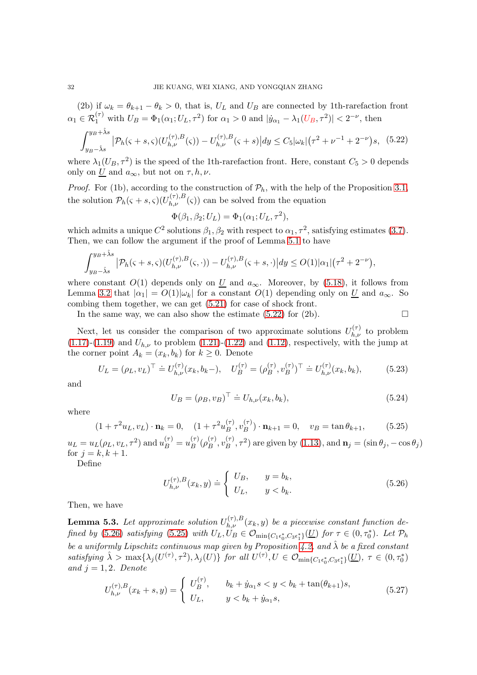(2b) if  $\omega_k = \theta_{k+1} - \theta_k > 0$ , that is,  $U_L$  and  $U_B$  are connected by 1th-rarefaction front  $\alpha_1 \in \mathcal{R}_1^{(\tau)}$  with  $U_B = \Phi_1(\alpha_1; U_L, \tau^2)$  for  $\alpha_1 > 0$  and  $|\dot{y}_{\alpha_1} - \lambda_1(U_B, \tau^2)| < 2^{-\nu}$ , then

<span id="page-31-0"></span>
$$
\int_{y_B-\hat{\lambda}s}^{y_B+\hat{\lambda}s} |\mathcal{P}_h(\varsigma+s,\varsigma)(U_{h,\nu}^{(\tau),B}(\varsigma)) - U_{h,\nu}^{(\tau),B}(\varsigma+s)| dy \le C_5 |\omega_k| (\tau^2 + \nu^{-1} + 2^{-\nu})s, \tag{5.22}
$$

where  $\lambda_1(U_B, \tau^2)$  is the speed of the 1<sup>th</sup>-rarefaction front. Here, constant  $C_5 > 0$  depends only on U and  $a_{\infty}$ , but not on  $\tau, h, \nu$ .

*Proof.* For (1b), according to the construction of  $\mathcal{P}_h$ , with the help of the Proposition [3.1,](#page-12-5) the solution  $P_h(\varsigma + s, \varsigma)$  $(U_{h,\nu}^{(\tau),B}(\varsigma))$  can be solved from the equation

$$
\Phi(\beta_1, \beta_2; U_L) = \Phi_1(\alpha_1; U_L, \tau^2),
$$

which admits a unique  $C^2$  solutions  $\beta_1, \beta_2$  with respect to  $\alpha_1, \tau^2$ , satisfying estimates [\(3.7\)](#page-12-3). Then, we can follow the argument if the proof of Lemma [5.1](#page-23-5) to have

$$
\int_{y_B-\hat{\lambda}s}^{y_B+\hat{\lambda}s} |\mathcal{P}_h(\varsigma+s,\varsigma)(U_{h,\nu}^{(\tau),B}(\varsigma,\cdot)) - U_{h,\nu}^{(\tau),B}(\varsigma+s,\cdot)| dy \le O(1)|\alpha_1|(\tau^2+2^{-\nu}),
$$

where constant  $O(1)$  depends only on  $\underline{U}$  and  $a_{\infty}$ . Moreover, by [\(5.18\)](#page-30-2), it follows from Lemma [3.2](#page-15-2) that  $|\alpha_1| = O(1)|\omega_k|$  for a constant  $O(1)$  depending only on U and  $a_{\infty}$ . So combing them together, we can get [\(5.21\)](#page-30-3) for case of shock front.

In the same way, we can also show the estimate [\(5.22\)](#page-31-0) for (2b).  $\Box$ 

Next, let us consider the comparison of two approximate solutions  $U_{h,\nu}^{(\tau)}$  to problem [\(1.17\)](#page-3-4)-[\(1.19\)](#page-3-5) and  $U_{h,\nu}$  to problem [\(1.21\)](#page-3-6)-[\(1.22\)](#page-4-0) and [\(1.12\)](#page-3-1), respectively, with the jump at the corner point  $A_k = (x_k, b_k)$  for  $k \geq 0$ . Denote

$$
U_L = (\rho_L, v_L)^\top \doteq U_{h,\nu}^{(\tau)}(x_k, b_k -), \quad U_B^{(\tau)} = (\rho_B^{(\tau)}, v_B^{(\tau)})^\top \doteq U_{h,\nu}^{(\tau)}(x_k, b_k), \tag{5.23}
$$

and

$$
U_B = (\rho_B, v_B)^\top \doteq U_{h,\nu}(x_k, b_k),\tag{5.24}
$$

where

<span id="page-31-2"></span>
$$
(1 + \tau^2 u_L, v_L) \cdot \mathbf{n}_k = 0, \quad (1 + \tau^2 u_B^{(\tau)}, v_B^{(\tau)}) \cdot \mathbf{n}_{k+1} = 0, \quad v_B = \tan \theta_{k+1}, \tag{5.25}
$$

 $u_L = u_L(\rho_L, v_L, \tau^2)$  and  $u_B^{(\tau)} = u_B^{(\tau)}$  $\overset{(\tau)}{B}(\rho_B^{(\tau)}$  $\stackrel{(\tau)}{B},v^{(\tau)}_B$  $\binom{\tau}{B}, \tau^2$  are given by [\(1.13\)](#page-3-0), and  $\mathbf{n}_j = (\sin \theta_j, -\cos \theta_j)$ for  $j = k, k + 1$ .

Define

<span id="page-31-1"></span>
$$
U_{h,\nu}^{(\tau),B}(x_k, y) \doteq \begin{cases} U_B, & y = b_k, \\ U_L, & y < b_k. \end{cases} \tag{5.26}
$$

Then, we have

<span id="page-31-3"></span>**Lemma 5.3.** Let approximate solution  $U_{h,\nu}^{(\tau),B}(x_k, y)$  be a piecewise constant function de-fined by [\(5.26\)](#page-31-1) satisfying [\(5.25\)](#page-31-2) with  $U_L, U_B \in \mathcal{O}_{min{C_1\epsilon_0^*, C_3\epsilon_1^*}}(\underline{U})$  for  $\tau \in (0, \tau_0^*)$ . Let  $\mathcal{P}_h$ be a uniformly Lipschitz continuous map given by Proposition [4.2,](#page-21-0) and  $\hat{\lambda}$  be a fixed constant satisfying  $\hat{\lambda} > \max\{\lambda_j(U^{(\tau)}, \tau^2), \lambda_j(U)\}\$  for all  $U^{(\tau)}, U \in \mathcal{O}_{\min\{C_1 \epsilon_0^*, C_3 \epsilon_1^*\}}(\underline{U}), \tau \in (0, \tau_0^*)$ and  $j = 1, 2$ . Denote

$$
U_{h,\nu}^{(\tau),B}(x_k+s,y) = \begin{cases} U_B^{(\tau)}, & b_k + \dot{y}_{\alpha_1} s < y < b_k + \tan(\theta_{k+1})s, \\ U_L, & y < b_k + \dot{y}_{\alpha_1}s, \end{cases}
$$
(5.27)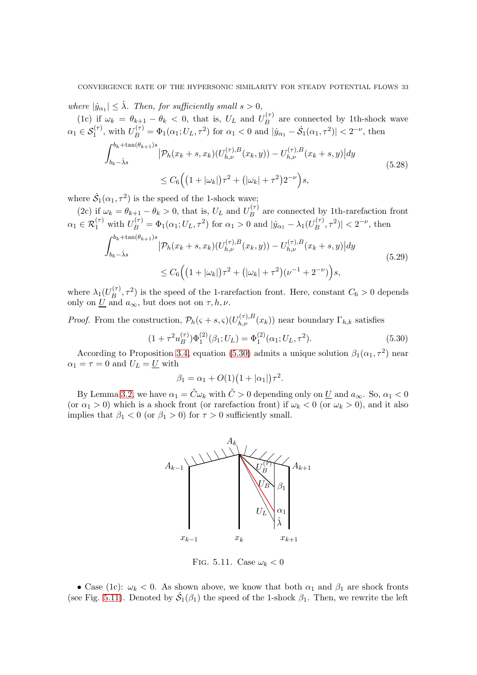where  $|\dot{y}_{\alpha_1}| \leq \hat{\lambda}$ . Then, for sufficiently small  $s > 0$ ,

(1c) if  $\omega_k = \theta_{k+1} - \theta_k < 0$ , that is,  $U_L$  and  $U_B^{(\tau)}$  $B$ <sup>(1)</sup> are connected by 1<sup>th</sup>-shock wave  $\alpha_1 \in S_1^{(\tau)}$ , with  $U_B^{(\tau)} = \Phi_1(\alpha_1; U_L, \tau^2)$  for  $\alpha_1 < 0$  and  $|\dot{y}_{\alpha_1} - \dot{S}_1(\alpha_1, \tau^2)| < 2^{-\nu}$ , then

<span id="page-32-2"></span>
$$
\int_{b_k - \hat{\lambda}s}^{b_k + \tan(\theta_{k+1})s} \left| \mathcal{P}_h(x_k + s, x_k)(U_{h,\nu}^{(\tau),B}(x_k, y)) - U_{h,\nu}^{(\tau),B}(x_k + s, y) \right| dy
$$
\n
$$
\leq C_6 \Big( \left( 1 + |\omega_k| \right) \tau^2 + \left( |\omega_k| + \tau^2 \right) 2^{-\nu} \Big) s,
$$
\n(5.28)

where  $\dot{\mathcal{S}}_1(\alpha_1, \tau^2)$  is the speed of the 1-shock wave;

(2c) if  $\omega_k = \theta_{k+1} - \theta_k > 0$ , that is,  $U_L$  and  $U_B^{(\tau)}$  $B$ <sup> $(y)$ </sup> are connected by 1<sup>th</sup>-rarefaction front  $\alpha_1 \in \mathcal{R}_1^{(\tau)}$  with  $U_B^{(\tau)} = \Phi_1(\alpha_1; U_L, \tau^2)$  for  $\alpha_1 > 0$  and  $|\dot{y}_{\alpha_1} - \lambda_1(U_B^{(\tau)})|$  $|\mathcal{F}_{B}^{(\tau)}, \tau^{2})| < 2^{-\nu}$ , then

<span id="page-32-3"></span>
$$
\int_{b_k - \hat{\lambda}s}^{b_k + \tan(\theta_{k+1})s} \left| \mathcal{P}_h(x_k + s, x_k)(U_{h,\nu}^{(\tau),B}(x_k, y)) - U_{h,\nu}^{(\tau),B}(x_k + s, y) \right| dy
$$
\n
$$
\leq C_6 \Big( \left( 1 + |\omega_k| \right) \tau^2 + \left( |\omega_k| + \tau^2 \right) (\nu^{-1} + 2^{-\nu}) \Big) s,
$$
\n(5.29)

where  $\lambda_1(U_B^{(\tau)}$  $B(B^{(\tau)}, \tau^2)$  is the speed of the 1-rarefaction front. Here, constant  $C_6 > 0$  depends only on  $\underline{U}$  and  $a_{\infty}$ , but does not on  $\tau, h, \nu$ .

*Proof.* From the construction,  $\mathcal{P}_h(\varsigma + s, \varsigma)(U_{h,\nu}^{(\tau),B}(x_k))$  near boundary  $\Gamma_{h,k}$  satisfies

<span id="page-32-0"></span>
$$
(1 + \tau^2 u_B^{(\tau)}) \Phi_1^{(2)}(\beta_1; U_L) = \Phi_1^{(2)}(\alpha_1; U_L, \tau^2). \tag{5.30}
$$

According to Proposition [3.4,](#page-17-2) equation [\(5.30\)](#page-32-0) admits a unique solution  $\beta_1(\alpha_1, \tau^2)$  near  $\alpha_1 = \tau = 0$  and  $U_L = U$  with

$$
\beta_1 = \alpha_1 + O(1)(1 + |\alpha_1|)\tau^2.
$$

By Lemma [3.2,](#page-15-2) we have  $\alpha_1 = \tilde{C}\omega_k$  with  $\tilde{C} > 0$  depending only on  $\underline{U}$  and  $a_{\infty}$ . So,  $\alpha_1 < 0$ (or  $\alpha_1 > 0$ ) which is a shock front (or rarefaction front) if  $\omega_k < 0$  (or  $\omega_k > 0$ ), and it also implies that  $\beta_1 < 0$  (or  $\beta_1 > 0$ ) for  $\tau > 0$  sufficiently small.



<span id="page-32-1"></span>FIG. 5.11. Case  $\omega_k < 0$ 

• Case (1c):  $\omega_k < 0$ . As shown above, we know that both  $\alpha_1$  and  $\beta_1$  are shock fronts (see Fig. [5.11\)](#page-32-1). Denoted by  $\dot{\mathcal{S}}_1(\beta_1)$  the speed of the 1-shock  $\beta_1$ . Then, we rewrite the left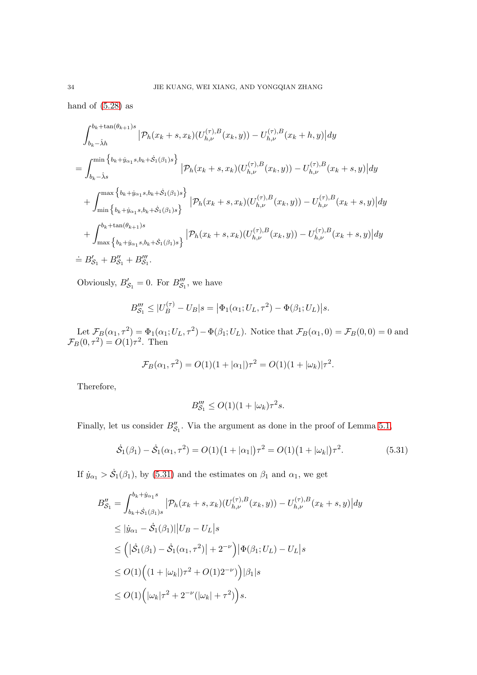hand of  $(5.28)$  as

$$
\int_{b_k - \hat{\lambda}h}^{b_k + \tan(\theta_{k+1})s} |\mathcal{P}_h(x_k + s, x_k)(U_{h,\nu}^{(\tau),B}(x_k, y)) - U_{h,\nu}^{(\tau),B}(x_k + h, y)| dy
$$
\n
$$
= \int_{b_k - \hat{\lambda}s}^{\min\left\{b_k + \hat{y}_{\alpha_1}s, b_k + \hat{S}_1(\beta_1)s\right\}} |\mathcal{P}_h(x_k + s, x_k)(U_{h,\nu}^{(\tau),B}(x_k, y)) - U_{h,\nu}^{(\tau),B}(x_k + s, y)| dy
$$
\n
$$
+ \int_{\min\left\{b_k + \hat{y}_{\alpha_1}s, b_k + \hat{S}_1(\beta_1)s\right\}}^{\max\left\{b_k + \hat{y}_{\alpha_1}s, b_k + \hat{S}_1(\beta_1)s\right\}} |\mathcal{P}_h(x_k + s, x_k)(U_{h,\nu}^{(\tau),B}(x_k, y)) - U_{h,\nu}^{(\tau),B}(x_k + s, y)| dy
$$
\n
$$
+ \int_{\max\left\{b_k + \hat{y}_{\alpha_1}s, b_k + \hat{S}_1(\beta_1)s\right\}}^{\max\left\{b_k + \hat{y}_{\alpha_1}s, b_k + \hat{S}_1(\beta_1)s\right\}} |\mathcal{P}_h(x_k + s, x_k)(U_{h,\nu}^{(\tau),B}(x_k, y)) - U_{h,\nu}^{(\tau),B}(x_k + s, y)| dy
$$
\n
$$
\doteq B'_{S_1} + B''_{S_1} + B'''_{S_1}.
$$

Obviously,  $B'_{\mathcal{S}_1} = 0$ . For  $B'''_{\mathcal{S}_1}$ , we have

$$
B_{\mathcal{S}_1}''' \le |U_B^{(\tau)} - U_B|s = |\Phi_1(\alpha_1; U_L, \tau^2) - \Phi(\beta_1; U_L)|s.
$$

Let  $\mathcal{F}_B(\alpha_1, \tau^2) = \Phi_1(\alpha_1; U_L, \tau^2) - \Phi(\beta_1; U_L)$ . Notice that  $\mathcal{F}_B(\alpha_1, 0) = \mathcal{F}_B(0, 0) = 0$  and  $\mathcal{F}_B(0,\tau^2) = O(1)\tau^2$ . Then

$$
\mathcal{F}_B(\alpha_1, \tau^2) = O(1)(1 + |\alpha_1|)\tau^2 = O(1)(1 + |\omega_k|)\tau^2.
$$

Therefore,

$$
B'''_{\mathcal{S}_1} \le O(1)(1+|\omega_k)\tau^2 s.
$$

Finally, let us consider  $B''_{S_1}$ . Via the argument as done in the proof of Lemma [5.1,](#page-23-5)

<span id="page-33-0"></span>
$$
\dot{S}_1(\beta_1) - \dot{S}_1(\alpha_1, \tau^2) = O(1)\left(1 + |\alpha_1|\right)\tau^2 = O(1)\left(1 + |\omega_k|\right)\tau^2.
$$
\n(5.31)

If  $\dot{y}_{\alpha_1} > \dot{S}_1(\beta_1)$ , by [\(5.31\)](#page-33-0) and the estimates on  $\beta_1$  and  $\alpha_1$ , we get

$$
B_{\mathcal{S}_1}'' = \int_{b_k + \dot{S}_1(\beta_1)s}^{b_k + \dot{y}_{\alpha_1}s} |\mathcal{P}_h(x_k + s, x_k)(U_{h,\nu}^{(\tau),B}(x_k, y)) - U_{h,\nu}^{(\tau),B}(x_k + s, y)| dy
$$
  
\n
$$
\leq |\dot{y}_{\alpha_1} - \dot{S}_1(\beta_1)||U_B - U_L|s
$$
  
\n
$$
\leq (|\dot{S}_1(\beta_1) - \dot{S}_1(\alpha_1, \tau^2)| + 2^{-\nu}) |\Phi(\beta_1; U_L) - U_L|s
$$
  
\n
$$
\leq O(1) ((1 + |\omega_k|)\tau^2 + O(1)2^{-\nu})) |\beta_1|s
$$
  
\n
$$
\leq O(1) (|\omega_k|\tau^2 + 2^{-\nu}(|\omega_k| + \tau^2))s.
$$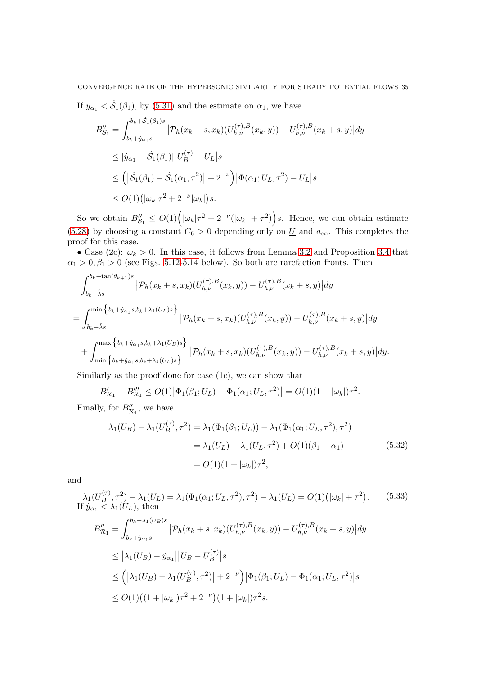## CONVERGENCE RATE OF THE HYPERSONIC SIMILARITY FOR STEADY POTENTIAL FLOWS 35

If  $\dot{y}_{\alpha_1} < \dot{S}_1(\beta_1)$ , by [\(5.31\)](#page-33-0) and the estimate on  $\alpha_1$ , we have

$$
B''_{\mathcal{S}_1} = \int_{b_k + \dot{S}_1(\beta_1)s}^{b_k + \dot{S}_1(\beta_1)s} |\mathcal{P}_h(x_k + s, x_k)(U_{h,\nu}^{(\tau),B}(x_k, y)) - U_{h,\nu}^{(\tau),B}(x_k + s, y)| dy
$$
  
\n
$$
\leq |\dot{y}_{\alpha_1} - \dot{S}_1(\beta_1)||U_B^{(\tau)} - U_L|s
$$
  
\n
$$
\leq (|\dot{S}_1(\beta_1) - \dot{S}_1(\alpha_1, \tau^2)| + 2^{-\nu}) |\Phi(\alpha_1; U_L, \tau^2) - U_L|s
$$
  
\n
$$
\leq O(1) (|\omega_k|\tau^2 + 2^{-\nu}|\omega_k|)s.
$$

So we obtain  $B''_{\mathcal{S}_1} \leq O(1) \Big( |\omega_k| \tau^2 + 2^{-\nu} (|\omega_k| + \tau^2) \Big) s$ . Hence, we can obtain estimate [\(5.28\)](#page-32-2) by choosing a constant  $C_6 > 0$  depending only on  $\underline{U}$  and  $a_{\infty}$ . This completes the proof for this case.

• Case (2c):  $\omega_k > 0$ . In this case, it follows from Lemma [3.2](#page-15-2) and Proposition [3.4](#page-17-2) that  $\alpha_1 > 0, \beta_1 > 0$  (see Figs. [5.12](#page-35-0)[-5.14](#page-36-0) below). So both are rarefaction fronts. Then

$$
\int_{b_k - \hat{\lambda}s}^{b_k + \tan(\theta_{k+1})s} \left| \mathcal{P}_h(x_k + s, x_k)(U_{h,\nu}^{(\tau),B}(x_k, y)) - U_{h,\nu}^{(\tau),B}(x_k + s, y) \right| dy
$$
\n
$$
= \int_{b_k - \hat{\lambda}s}^{\min\left\{b_k + \hat{y}_{\alpha_1}s, b_k + \lambda_1(U_L)s\right\}} \left| \mathcal{P}_h(x_k + s, x_k)(U_{h,\nu}^{(\tau),B}(x_k, y)) - U_{h,\nu}^{(\tau),B}(x_k + s, y) \right| dy
$$
\n
$$
+ \int_{\min\left\{b_k + \hat{y}_{\alpha_1}s, b_k + \lambda_1(U_L)s\right\}}^{\max\left\{b_k + \hat{y}_{\alpha_1}s, b_k + \lambda_1(U_L)s\right\}} \left| \mathcal{P}_h(x_k + s, x_k)(U_{h,\nu}^{(\tau),B}(x_k, y)) - U_{h,\nu}^{(\tau),B}(x_k + s, y) \right| dy.
$$

Similarly as the proof done for case (1c), we can show that

$$
B'_{\mathcal{R}_1} + B''_{\mathcal{R}_1} \le O(1) |\Phi_1(\beta_1; U_L) - \Phi_1(\alpha_1; U_L, \tau^2)| = O(1)(1 + |\omega_k|)\tau^2.
$$

Finally, for  $B''_{\mathcal{R}_1}$ , we have

$$
\lambda_1(U_B) - \lambda_1(U_B^{(\tau)}, \tau^2) = \lambda_1(\Phi_1(\beta_1; U_L)) - \lambda_1(\Phi_1(\alpha_1; U_L, \tau^2), \tau^2)
$$
  
=  $\lambda_1(U_L) - \lambda_1(U_L, \tau^2) + O(1)(\beta_1 - \alpha_1)$  (5.32)  
=  $O(1)(1 + |\omega_k|)\tau^2$ ,

and

$$
\lambda_1(U_B^{(\tau)}, \tau^2) - \lambda_1(U_L) = \lambda_1(\Phi_1(\alpha_1; U_L, \tau^2), \tau^2) - \lambda_1(U_L) = O(1) \left( |\omega_k| + \tau^2 \right).
$$
 (5.33)  
If  $\dot{y}_{\alpha_1} < \lambda_1(U_L)$ , then

$$
B''_{\mathcal{R}_1} = \int_{b_k + \dot{y}_{\alpha_1} s}^{b_k + \lambda_1(U_B)s} |\mathcal{P}_h(x_k + s, x_k)(U_{h,\nu}^{(\tau),B}(x_k, y)) - U_{h,\nu}^{(\tau),B}(x_k + s, y)| dy
$$
  
\n
$$
\leq |\lambda_1(U_B) - \dot{y}_{\alpha_1}| |U_B - U_B^{(\tau)}| s
$$
  
\n
$$
\leq (|\lambda_1(U_B) - \lambda_1(U_B^{(\tau)}, \tau^2)| + 2^{-\nu}) |\Phi_1(\beta_1; U_L) - \Phi_1(\alpha_1; U_L, \tau^2)| s
$$
  
\n
$$
\leq O(1)((1 + |\omega_k|)\tau^2 + 2^{-\nu})(1 + |\omega_k|)\tau^2 s.
$$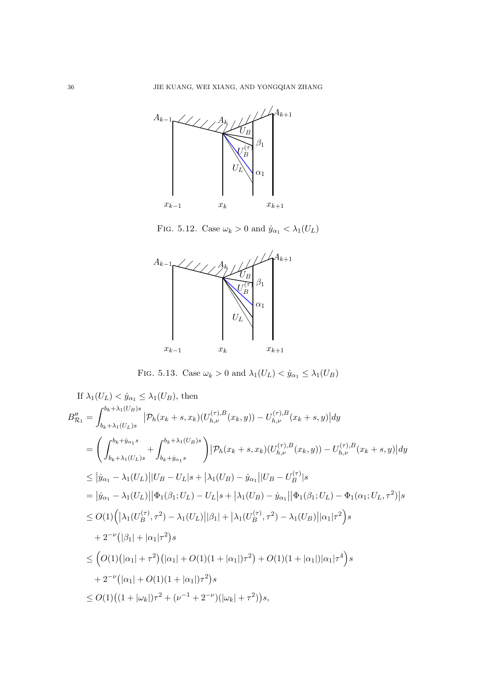

<span id="page-35-0"></span>FIG. 5.12. Case  $\omega_k > 0$  and  $\dot{y}_{\alpha_1} < \lambda_1(U_L)$ 



FIG. 5.13. Case  $\omega_k > 0$  and  $\lambda_1(U_L) < \dot{y}_{\alpha_1} \leq \lambda_1(U_B)$ 

If 
$$
\lambda_1(U_L) < \dot{y}_{\alpha_1} \leq \lambda_1(U_B)
$$
, then  
\n
$$
B''_{\mathcal{R}_1} = \int_{b_k + \lambda_1(U_B)s}^{b_k + \lambda_1(U_B)s} |\mathcal{P}_h(x_k + s, x_k)(U_{h,\nu}^{(\tau),B}(x_k, y)) - U_{h,\nu}^{(\tau),B}(x_k + s, y)| dy
$$
\n
$$
= \left( \int_{b_k + \lambda_1(U_L)s}^{b_k + \lambda_1(U_L)s} + \int_{b_k + \dot{y}_{\alpha_1}s}^{b_k + \lambda_1(U_B)s} \right) |\mathcal{P}_h(x_k + s, x_k)(U_{h,\nu}^{(\tau),B}(x_k, y)) - U_{h,\nu}^{(\tau),B}(x_k + s, y)| dy
$$
\n
$$
\leq |\dot{y}_{\alpha_1} - \lambda_1(U_L)| |U_B - U_L|s + |\lambda_1(U_B) - \dot{y}_{\alpha_1}| |U_B - U_B^{(\tau)}|s
$$
\n
$$
= |\dot{y}_{\alpha_1} - \lambda_1(U_L)| |\Phi_1(\beta_1; U_L) - U_L|s + |\lambda_1(U_B) - \dot{y}_{\alpha_1}| |\Phi_1(\beta_1; U_L) - \Phi_1(\alpha_1; U_L, \tau^2)|s
$$
\n
$$
\leq O(1) (|\lambda_1(U_B^{(\tau)}, \tau^2) - \lambda_1(U_L)| |\beta_1| + |\lambda_1(U_B^{(\tau)}, \tau^2) - \lambda_1(U_B)| |\alpha_1|\tau^2) s
$$
\n
$$
+ 2^{-\nu} (|\beta_1| + |\alpha_1|\tau^2) s
$$
\n
$$
\leq (O(1) (|\alpha_1| + \tau^2) (|\alpha_1| + O(1)(1 + |\alpha_1|)\tau^2) + O(1)(1 + |\alpha_1|)|\alpha_1|\tau^4) s
$$
\n
$$
+ 2^{-\nu} (|\alpha_1| + O(1)(1 + |\alpha_1|)\tau^2) s
$$
\n
$$
\leq O(1) ((1 + |\omega_k|)\tau^2 + (\nu^{-1} + 2^{-\nu})(|\omega_k| + \tau^2)) s,
$$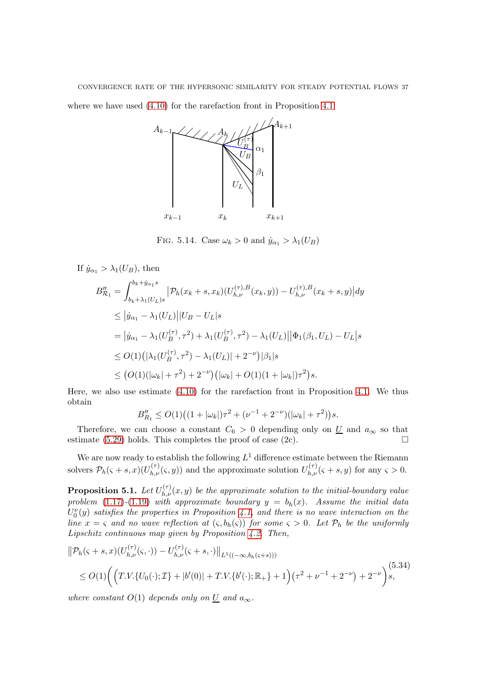CONVERGENCE RATE OF THE HYPERSONIC SIMILARITY FOR STEADY POTENTIAL FLOWS 37 where we have used  $(4.10)$  for the rarefaction front in Proposition [4.1.](#page-20-1)



<span id="page-36-0"></span>FIG. 5.14. Case  $\omega_k > 0$  and  $\dot{y}_{\alpha_1} > \lambda_1(U_B)$ 

If  $\dot{y}_{\alpha_1} > \lambda_1(U_B)$ , then

$$
B''_{\mathcal{R}_1} = \int_{b_k + \lambda_1(U_L)s}^{b_k + \dot{y}_{\alpha_1}s} \left| \mathcal{P}_h(x_k + s, x_k)(U_{h,\nu}^{(\tau),B}(x_k, y)) - U_{h,\nu}^{(\tau),B}(x_k + s, y) \right| dy
$$
  
\n
$$
\leq |\dot{y}_{\alpha_1} - \lambda_1(U_L)| |U_B - U_L|s
$$
  
\n
$$
= |\dot{y}_{\alpha_1} - \lambda_1(U_B^{(\tau)}, \tau^2) + \lambda_1(U_B^{(\tau)}, \tau^2) - \lambda_1(U_L)| |\Phi_1(\beta_1, U_L) - U_L|s
$$
  
\n
$$
\leq O(1) (|\lambda_1(U_B^{(\tau)}, \tau^2) - \lambda_1(U_L)| + 2^{-\nu}) |\beta_1|s
$$
  
\n
$$
\leq (O(1) (|\omega_k| + \tau^2) + 2^{-\nu}) (|\omega_k| + O(1)(1 + |\omega_k|)\tau^2)s.
$$

Here, we also use estimate [\(4.10\)](#page-20-3) for the rarefaction front in Proposition [4.1.](#page-20-1) We thus obtain

$$
B''_{R_1} \le O(1)\big((1+|\omega_k|)\tau^2+(\nu^{-1}+2^{-\nu})(|\omega_k|+\tau^2)\big)s.
$$

Therefore, we can choose a constant  $C_6 > 0$  depending only on U and  $a_{\infty}$  so that estimate [\(5.29\)](#page-32-3) holds. This completes the proof of case (2c).  $\Box$ 

We are now ready to establish the following  $L^1$  difference estimate between the Riemann solvers  $\mathcal{P}_h(\varsigma + s, x)(U_{h,\nu}^{(\tau)}(\varsigma, y))$  and the approximate solution  $U_{h,\nu}^{(\tau)}(\varsigma + s, y)$  for any  $\varsigma > 0$ .

<span id="page-36-2"></span>**Proposition 5.1.** Let  $U_{h,\nu}^{(\tau)}(x,y)$  be the approximate solution to the initial-boundary value problem [\(1.17\)](#page-3-4)-[\(1.19\)](#page-3-5) with approximate boundary  $y = b<sub>h</sub>(x)$ . Assume the initial data  $U_0^{\nu}(y)$  satisfies the properties in Proposition [4.1,](#page-20-1) and there is no wave interaction on the line  $x = \varsigma$  and no wave reflection at  $(\varsigma, b_h(\varsigma))$  for some  $\varsigma > 0$ . Let  $\mathcal{P}_h$  be the uniformly Lipschitz continuous map given by Proposition [4.2.](#page-21-0) Then,

<span id="page-36-1"></span>
$$
\|\mathcal{P}_h(\varsigma+s,x)(U_{h,\nu}^{(\tau)}(\varsigma,\cdot)) - U_{h,\nu}^{(\tau)}(\varsigma+s,\cdot)\|_{L^1((-\infty,b_h(\varsigma+s)))}
$$
  
 
$$
\leq O(1) \bigg( \Big( T.V.\{U_0(\cdot); \mathcal{I}\} + |b'(0)| + T.V.\{b'(\cdot); \mathbb{R}_+\} + 1 \Big) \big( \tau^2 + \nu^{-1} + 2^{-\nu} \big) + 2^{-\nu} \bigg) \Big\vert s,
$$
 (5.34)

where constant  $O(1)$  depends only on  $\underline{U}$  and  $a_{\infty}$ .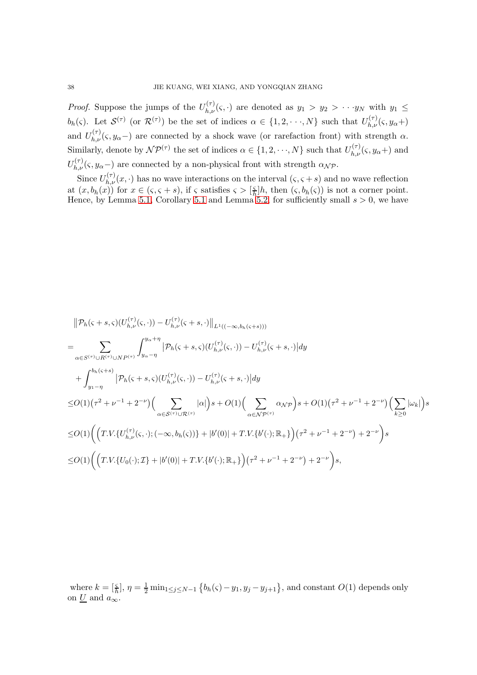*Proof.* Suppose the jumps of the  $U_{h,\nu}^{(\tau)}(\varsigma,\cdot)$  are denoted as  $y_1 > y_2 > \cdots y_N$  with  $y_1 \leq$ b<sub>h</sub>(ς). Let  $\mathcal{S}^{(\tau)}$  (or  $\mathcal{R}^{(\tau)}$ ) be the set of indices  $\alpha \in \{1, 2, \dots, N\}$  such that  $U_{h,\nu}^{(\tau)}(\varsigma, y_{\alpha}+)$ and  $U_{h,\nu}^{(\tau)}(\varsigma,y_{\alpha}-)$  are connected by a shock wave (or rarefaction front) with strength  $\alpha$ . Similarly, denote by  $\mathcal{NP}^{(\tau)}$  the set of indices  $\alpha \in \{1, 2, \dots, N\}$  such that  $U_{h,\nu}^{(\tau)}(\varsigma, y_{\alpha}+)$  and  $U_{h,\nu}^{(\tau)}(\varsigma,y_{\alpha}-)$  are connected by a non-physical front with strength  $\alpha_{\mathcal{N}}\mathcal{P}$ .

Since  $U_{h,\nu}^{(\tau)}(x,\cdot)$  has no wave interactions on the interval  $(\zeta,\zeta+s)$  and no wave reflection at  $(x, b_h(x))$  for  $x \in (\varsigma, \varsigma + s)$ , if  $\varsigma$  satisfies  $\varsigma > [\frac{\varsigma}{h}]$  $\frac{\varsigma}{h}$ ]*h*, then  $(\varsigma, b_h(\varsigma))$  is not a corner point. Hence, by Lemma [5.1,](#page-23-5) Corollary [5.1](#page-29-1) and Lemma [5.2,](#page-30-0) for sufficiently small  $s > 0$ , we have

$$
\|P_h(\varsigma+s,\varsigma)(U_{h,\nu}^{(\tau)}(\varsigma,\cdot)) - U_{h,\nu}^{(\tau)}(\varsigma+s,\cdot)\|_{L^1((-\infty,b_h(\varsigma+s)))}
$$
\n
$$
= \sum_{\alpha\in S^{(\tau)}\cup R^{(\tau)}\cup N^{p(\tau)}} \int_{y_{\alpha}-\eta}^{y_{\alpha}+\eta} |P_h(\varsigma+s,\varsigma)(U_{h,\nu}^{(\tau)}(\varsigma,\cdot)) - U_{h,\nu}^{(\tau)}(\varsigma+s,\cdot)| dy
$$
\n
$$
+ \int_{y_1-\eta}^{b_h(\varsigma+s)} |P_h(\varsigma+s,\varsigma)(U_{h,\nu}^{(\tau)}(\varsigma,\cdot)) - U_{h,\nu}^{(\tau)}(\varsigma+s,\cdot)| dy
$$
\n
$$
\leq O(1)(\tau^2+\nu^{-1}+2^{-\nu}) \Big( \sum_{\alpha\in S^{(\tau)}\cup \mathcal{R}^{(\tau)}} |\alpha|\Big) s + O(1) \Big( \sum_{\alpha\in N^{p(\tau)}} \alpha_{N^{p}} \Big) s + O(1)(\tau^2+\nu^{-1}+2^{-\nu}) \Big( \sum_{k\geq 0} |\omega_{k}|\Big) s
$$
\n
$$
\leq O(1) \Big( \Big( T.V. \{U_{h,\nu}^{(\tau)}(\varsigma,\cdot); (-\infty,b_h(\varsigma))\} + |b'(0)| + T.V. \{b'(\cdot); \mathbb{R}_{+}\} \Big) (\tau^2+\nu^{-1}+2^{-\nu}) + 2^{-\nu} \Big) s
$$
\n
$$
\leq O(1) \Big( \Big( T.V. \{U_{0}(\cdot); \mathcal{I}\} + |b'(0)| + T.V. \{b'(\cdot); \mathbb{R}_{+}\} \Big) (\tau^2+\nu^{-1}+2^{-\nu}) + 2^{-\nu} \Big) s,
$$

where  $k = \left[\frac{\varsigma}{h}\right], \eta = \frac{1}{2} \min_{1 \leq j \leq N-1} \left\{ b_h(\varsigma) - y_1, y_j - y_{j+1} \right\}$ , and constant  $O(1)$  depends only on  $\underline{U}$  and  $\overline{a_{\infty}}$ .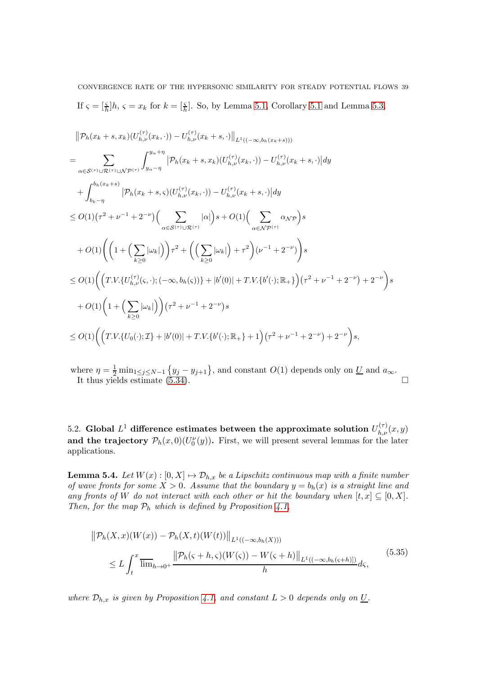CONVERGENCE RATE OF THE HYPERSONIC SIMILARITY FOR STEADY POTENTIAL FLOWS 39 If  $\zeta = \left[\frac{\zeta}{h}\right]h$ ,  $\zeta = x_k$  for  $k = \left[\frac{\zeta}{h}\right]$ . So, by Lemma [5.1,](#page-23-5) Corollary [5.1](#page-29-1) and Lemma [5.3,](#page-31-3)

$$
\begin{split}\n&\|\mathcal{P}_h(x_k+s,x_k)(U_{h,\nu}^{(\tau)}(x_k,\cdot)) - U_{h,\nu}^{(\tau)}(x_k+s,\cdot)\|_{L^1((-\infty,b_h(x_k+s)))} \\
&= \sum_{\alpha \in S^{(\tau)} \cup \mathcal{R}^{(\tau)} \cup \mathcal{N} \mathcal{P}^{(\tau)}} \left| \mathcal{P}_h(x_k+s,x_k)(U_{h,\nu}^{(\tau)}(x_k,\cdot)) - U_{h,\nu}^{(\tau)}(x_k+s,\cdot) \right| dy \\
&+ \int_{b_k-\eta}^{b_h(x_k+s)} \left| \mathcal{P}_h(x_k+s,\varsigma)(U_{h,\nu}^{(\tau)}(x_k,\cdot)) - U_{h,\nu}^{(\tau)}(x_k+s,\cdot) \right| dy \\
&\leq O(1)(\tau^2 + \nu^{-1} + 2^{-\nu}) \Big( \sum_{\alpha \in S^{(\tau)} \cup \mathcal{R}^{(\tau)}} |\alpha| \Big) s + O(1) \Big( \sum_{\alpha \in \mathcal{N} \mathcal{P}^{(\tau)}} \alpha_{\mathcal{N} \mathcal{P}} \Big) s \\
&+ O(1) \Big( \Big( 1 + \Big( \sum_{k \geq 0} |\omega_k| \Big) \Big) \tau^2 + \Big( \Big( \sum_{k \geq 0} |\omega_k| \Big) + \tau^2 \Big) (\nu^{-1} + 2^{-\nu}) \Big) s \\
&\leq O(1) \Big( \Big( T.V. \{ U_{h,\nu}^{(\tau)}(\varsigma,\cdot); (-\infty,b_h(\varsigma)) \} + |b'(0)| + T.V. \{ b'(\cdot); \mathbb{R}_+ \} \Big) \Big( \tau^2 + \nu^{-1} + 2^{-\nu} \Big) + 2^{-\nu} \Big) s \\
&+ O(1) \Big( 1 + \Big( \sum_{k \geq 0} |\omega_k| \Big) \Big) \Big( \tau^2 + \nu^{-1} + 2^{-\nu} \Big) s \\
&\leq O(1) \Big( \Big( T.V. \{ U_0(\cdot); \mathcal{I} \} + |b'(0)| + T.V. \{ b'(\cdot); \mathbb{R}_+ \} + 1 \Big) \Big( \tau^2 + \nu^{-1} + 2^{-\nu} \Big) + 2^{-\nu} \Big) s, \n\end{split}
$$

where  $\eta = \frac{1}{2} \min_{1 \leq j \leq N-1} \{y_j - y_{j+1}\}\$ , and constant  $O(1)$  depends only on  $\underline{U}$  and  $a_{\infty}$ . It thus yields estimate  $(5.34)$ .

5.2. Global  $L^1$  difference estimates between the approximate solution  $U_{h,\nu}^{(\tau)}(x,y)$ and the trajectory  $\mathcal{P}_h(x,0)(U_0^{\nu}(y))$ . First, we will present several lemmas for the later applications.

**Lemma 5.4.** Let  $W(x): [0, X] \mapsto \mathcal{D}_{h,x}$  be a Lipschitz continuous map with a finite number of wave fronts for some  $\overline{X} > 0$ . Assume that the boundary  $y = b_h(x)$  is a straight line and any fronts of W do not interact with each other or hit the boundary when  $[t, x] \subseteq [0, X]$ . Then, for the map  $P_h$  which is defined by Proposition [4.1,](#page-20-1)

<span id="page-38-0"></span>
$$
\|\mathcal{P}_h(X,x)(W(x)) - \mathcal{P}_h(X,t)(W(t))\|_{L^1((-\infty,b_h(X)))}
$$
  
\n
$$
\leq L \int_t^x \overline{\lim}_{h \to 0^+} \frac{\|\mathcal{P}_h(\varsigma + h, \varsigma)(W(\varsigma)) - W(\varsigma + h)\|_{L^1((-\infty,b_h(\varsigma + h)])}}{h} d\varsigma,
$$
\n(5.35)

where  $\mathcal{D}_{h,x}$  is given by Proposition [4.1,](#page-20-1) and constant  $L > 0$  depends only on  $\underline{U}$ .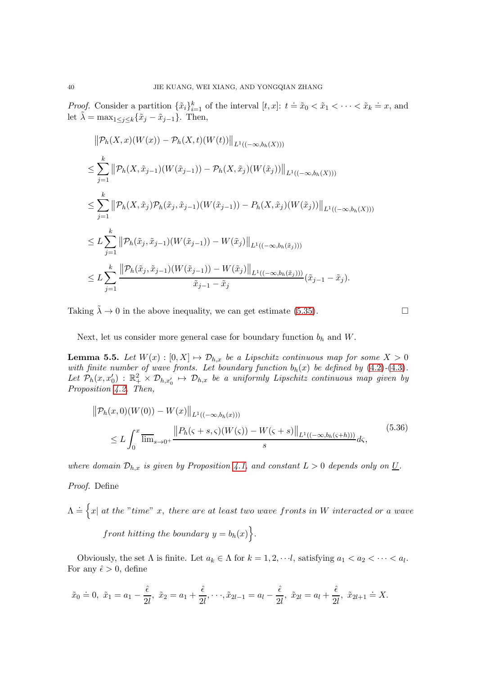*Proof.* Consider a partition  $\{\tilde{x}_i\}_{i=1}^k$  of the interval  $[t, x]$ :  $t = \tilde{x}_0 < \tilde{x}_1 < \cdots < \tilde{x}_k = x$ , and let  $\lambda = \max_{1 \leq j \leq k} {\tilde{x}_j - \tilde{x}_{j-1}}$ . Then,

$$
\|P_h(X, x)(W(x)) - P_h(X, t)(W(t))\|_{L^1((-\infty, b_h(X)))}
$$
  
\n
$$
\leq \sum_{j=1}^k \|\mathcal{P}_h(X, \tilde{x}_{j-1})(W(\tilde{x}_{j-1})) - \mathcal{P}_h(X, \tilde{x}_j)(W(\tilde{x}_j))\|_{L^1((-\infty, b_h(X)))}
$$
  
\n
$$
\leq \sum_{j=1}^k \|\mathcal{P}_h(X, \tilde{x}_j)\mathcal{P}_h(\tilde{x}_j, \tilde{x}_{j-1})(W(\tilde{x}_{j-1})) - P_h(X, \tilde{x}_j)(W(\tilde{x}_j))\|_{L^1((-\infty, b_h(X)))}
$$
  
\n
$$
\leq L \sum_{j=1}^k \|\mathcal{P}_h(\tilde{x}_j, \tilde{x}_{j-1})(W(\tilde{x}_{j-1})) - W(\tilde{x}_j)\|_{L^1((-\infty, b_h(\tilde{x}_j)))}
$$
  
\n
$$
\leq L \sum_{j=1}^k \frac{\|\mathcal{P}_h(\tilde{x}_j, \tilde{x}_{j-1})(W(\tilde{x}_{j-1})) - W(\tilde{x}_j)\|_{L^1((-\infty, b_h(\tilde{x}_j)))}}{\tilde{x}_{j-1} - \tilde{x}_j}(\tilde{x}_{j-1} - \tilde{x}_j).
$$

Taking  $\tilde{\lambda} \to 0$  in the above inequality, we can get estimate [\(5.35\)](#page-38-0).

$$
\Box
$$

Next, let us consider more general case for boundary function  $b_h$  and W.

<span id="page-39-0"></span>**Lemma 5.5.** Let  $W(x) : [0, X] \mapsto \mathcal{D}_{h,x}$  be a Lipschitz continuous map for some  $X > 0$ with finite number of wave fronts. Let boundary function  $b_h(x)$  be defined by  $(4.2)-(4.3)$  $(4.2)-(4.3)$  $(4.2)-(4.3)$ . Let  $\mathcal{P}_h(x, x_0') : \mathbb{R}_+^2 \times \mathcal{D}_{h,x_0'} \mapsto \mathcal{D}_{h,x}$  be a uniformly Lipschitz continuous map given by Proposition [4.2.](#page-21-0) Then,

$$
\|\mathcal{P}_h(x,0)(W(0)) - W(x)\|_{L^1((-\infty,b_h(x)))}
$$
  
\n
$$
\leq L \int_0^x \overline{\lim}_{s \to 0^+} \frac{\|P_h(\varsigma + s,\varsigma)(W(\varsigma)) - W(\varsigma + s)\|_{L^1((-\infty,b_h(\varsigma + h)))}}{s} d\varsigma,
$$
\n(5.36)

where domain  $\mathcal{D}_{h,x}$  is given by Proposition [4.1,](#page-20-1) and constant  $L > 0$  depends only on  $\underline{U}$ .

# Proof. Define

 $\Lambda \doteq \Big\{ x | \; at \; the\; "time" \; x, \; there \; are \; at \; least \; two \; wave \; fronts \; in \; W \; interacted \; or \; a \; wave \; of \; the \; time \; at \; the \; true \; at \; least \; two \; wave \; from \; the \; true \; at \; the \; true \; at \; the \; true \; at \; the \; true \; at \; the \; true \; at \; the \; true \; at \; the \; true \; at \; the \; true \; at \; the \; true \; at \; the \; true \; at \; the \; true \; at \; the \; true \; at \; the \; true \; at \; the$ 

front hitting the boundary  $y = b_h(x)$ .

Obviously, the set  $\Lambda$  is finite. Let  $a_k \in \Lambda$  for  $k = 1, 2, \dots, l$ , satisfying  $a_1 < a_2 < \dots < a_l$ . For any  $\hat{\epsilon} > 0$ , define

$$
\tilde{x}_0 \doteq 0, \ \tilde{x}_1 = a_1 - \frac{\hat{\epsilon}}{2l}, \ \tilde{x}_2 = a_1 + \frac{\hat{\epsilon}}{2l}, \cdots, \tilde{x}_{2l-1} = a_l - \frac{\hat{\epsilon}}{2l}, \ \tilde{x}_{2l} = a_l + \frac{\hat{\epsilon}}{2l}, \ \tilde{x}_{2l+1} \doteq X.
$$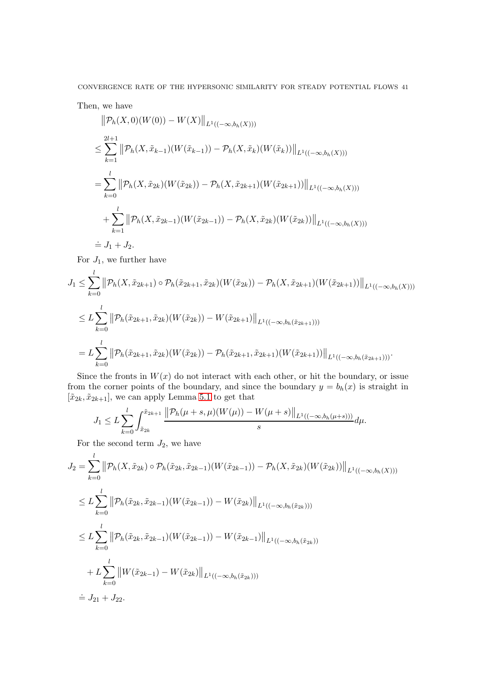CONVERGENCE RATE OF THE HYPERSONIC SIMILARITY FOR STEADY POTENTIAL FLOWS 41

Then, we have

$$
\|\mathcal{P}_h(X,0)(W(0)) - W(X)\|_{L^1((-\infty,b_h(X)))}
$$
  
\n
$$
\leq \sum_{k=1}^{2l+1} \|\mathcal{P}_h(X,\tilde{x}_{k-1})(W(\tilde{x}_{k-1})) - \mathcal{P}_h(X,\tilde{x}_k)(W(\tilde{x}_k))\|_{L^1((-\infty,b_h(X)))}
$$
  
\n
$$
= \sum_{k=0}^l \|\mathcal{P}_h(X,\tilde{x}_{2k})(W(\tilde{x}_{2k})) - \mathcal{P}_h(X,\tilde{x}_{2k+1})(W(\tilde{x}_{2k+1}))\|_{L^1((-\infty,b_h(X)))}
$$
  
\n
$$
+ \sum_{k=1}^l \|\mathcal{P}_h(X,\tilde{x}_{2k-1})(W(\tilde{x}_{2k-1})) - \mathcal{P}_h(X,\tilde{x}_{2k})(W(\tilde{x}_{2k}))\|_{L^1((-\infty,b_h(X)))}
$$
  
\n
$$
= J_1 + J_2.
$$

For  $J_1$ , we further have

$$
J_1 \leq \sum_{k=0}^l \|\mathcal{P}_h(X, \tilde{x}_{2k+1}) \circ \mathcal{P}_h(\tilde{x}_{2k+1}, \tilde{x}_{2k}) (W(\tilde{x}_{2k})) - \mathcal{P}_h(X, \tilde{x}_{2k+1}) (W(\tilde{x}_{2k+1}))\|_{L^1((-\infty, b_h(X)))}
$$
  

$$
\leq L \sum_{k=0}^l \|\mathcal{P}_h(\tilde{x}_{2k+1}, \tilde{x}_{2k}) (W(\tilde{x}_{2k})) - W(\tilde{x}_{2k+1})\|_{L^1((-\infty, b_h(\tilde{x}_{2k+1})))}
$$
  

$$
= L \sum_{k=0}^l \|\mathcal{P}_h(\tilde{x}_{2k+1}, \tilde{x}_{2k}) (W(\tilde{x}_{2k})) - \mathcal{P}_h(\tilde{x}_{2k+1}, \tilde{x}_{2k+1}) (W(\tilde{x}_{2k+1}))\|_{L^1((-\infty, b_h(\tilde{x}_{2k+1})))}.
$$

Since the fronts in  $W(x)$  do not interact with each other, or hit the boundary, or issue from the corner points of the boundary, and since the boundary  $y = b<sub>h</sub>(x)$  is straight in  $[\tilde{x}_{2k}, \tilde{x}_{2k+1}]$ , we can apply Lemma [5.1](#page-23-5) to get that

$$
J_1 \leq L \sum_{k=0}^l \int_{\tilde{x}_{2k}}^{\tilde{x}_{2k+1}} \frac{\left\|\mathcal{P}_h(\mu+s,\mu)(W(\mu)) - W(\mu+s)\right\|_{L^1((-\infty,b_h(\mu+s)))}}{s} d\mu.
$$

For the second term  $J_2$ , we have

$$
J_2 = \sum_{k=0}^{l} \left\| \mathcal{P}_h(X, \tilde{x}_{2k}) \circ \mathcal{P}_h(\tilde{x}_{2k}, \tilde{x}_{2k-1}) (W(\tilde{x}_{2k-1})) - \mathcal{P}_h(X, \tilde{x}_{2k}) (W(\tilde{x}_{2k})) \right\|_{L^1((-\infty, b_h(X)))}
$$
  
\n
$$
\leq L \sum_{k=0}^{l} \left\| \mathcal{P}_h(\tilde{x}_{2k}, \tilde{x}_{2k-1}) (W(\tilde{x}_{2k-1})) - W(\tilde{x}_{2k}) \right\|_{L^1((-\infty, b_h(\tilde{x}_{2k})))}
$$
  
\n
$$
\leq L \sum_{k=0}^{l} \left\| \mathcal{P}_h(\tilde{x}_{2k}, \tilde{x}_{2k-1}) (W(\tilde{x}_{2k-1})) - W(\tilde{x}_{2k-1}) \right\|_{L^1((-\infty, b_h(\tilde{x}_{2k})))}
$$
  
\n
$$
+ L \sum_{k=0}^{l} \left\| W(\tilde{x}_{2k-1}) - W(\tilde{x}_{2k}) \right\|_{L^1((-\infty, b_h(\tilde{x}_{2k})))}
$$
  
\n
$$
\leq J_{21} + J_{22}.
$$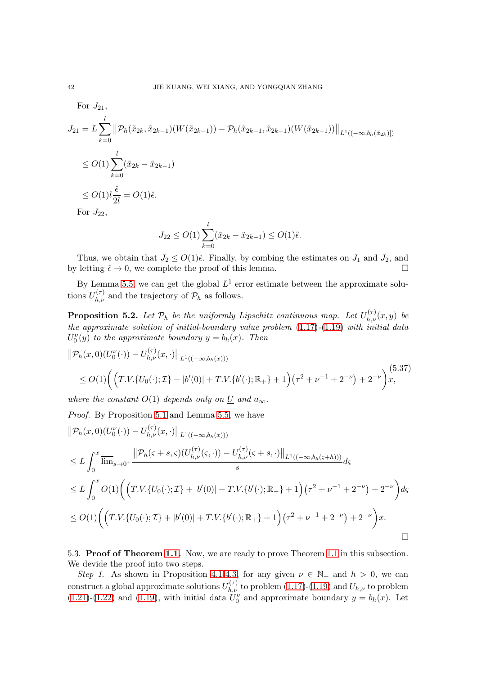For 
$$
J_{21}
$$
,  
\n
$$
J_{21} = L \sum_{k=0}^{l} ||\mathcal{P}_h(\tilde{x}_{2k}, \tilde{x}_{2k-1})(W(\tilde{x}_{2k-1})) - \mathcal{P}_h(\tilde{x}_{2k-1}, \tilde{x}_{2k-1})(W(\tilde{x}_{2k-1}))||_{L^1((-\infty, b_h(\tilde{x}_{2k})])}
$$
\n
$$
\leq O(1) \sum_{k=0}^{l} (\tilde{x}_{2k} - \tilde{x}_{2k-1})
$$
\n
$$
\leq O(1) l \frac{\hat{\epsilon}}{2l} = O(1) \hat{\epsilon}.
$$
\nFor  $J_{22}$ ,

$$
J_{22} \le O(1) \sum_{k=0}^{l} (\tilde{x}_{2k} - \tilde{x}_{2k-1}) \le O(1)\hat{\epsilon}.
$$

Thus, we obtain that  $J_2 \leq O(1)\hat{\epsilon}$ . Finally, by combing the estimates on  $J_1$  and  $J_2$ , and letting  $\hat{\epsilon} \to 0$ , we complete the proof of this lemma. by letting  $\hat{\epsilon} \to 0$ , we complete the proof of this lemma.

By Lemma [5.5,](#page-39-0) we can get the global  $L^1$  error estimate between the approximate solutions  $U_{h,\nu}^{(\tau)}$  and the trajectory of  $\mathcal{P}_h$  as follows.

<span id="page-41-0"></span>**Proposition 5.2.** Let  $\mathcal{P}_h$  be the uniformly Lipschitz continuous map. Let  $U_{h,\nu}^{(\tau)}(x,y)$  be the approximate solution of initial-boundary value problem [\(1.17\)](#page-3-4)-[\(1.19\)](#page-3-5) with initial data  $U_0^{\nu}(y)$  to the approximate boundary  $y = b_h(x)$ . Then

$$
\|\mathcal{P}_h(x,0)(U_0^{\nu}(\cdot)) - U_{h,\nu}^{(\tau)}(x,\cdot)\|_{L^1((-\infty,b_h(x)))}
$$
  
\n
$$
\leq O(1) \bigg( \Big( T.V.\{U_0(\cdot); \mathcal{I}\} + |b'(0)| + T.V.\{b'(\cdot); \mathbb{R}_+\} + 1 \Big) \big( \tau^2 + \nu^{-1} + 2^{-\nu} \big) + 2^{-\nu} \bigg) x,
$$
  
\nwhere the constant  $O(1)$  depends only on U and  $a_{\infty}$ .

Proof. By Proposition [5.1](#page-36-2) and Lemma [5.5,](#page-39-0) we have

$$
\|\mathcal{P}_h(x,0)(U_0^{\nu}(\cdot)) - U_{h,\nu}^{(\tau)}(x,\cdot)\|_{L^1((-\infty,b_h(x)))}
$$
  
\n
$$
\leq L \int_0^x \overline{\lim}_{s\to 0^+} \frac{\|\mathcal{P}_h(\varsigma+s,\varsigma)(U_{h,\nu}^{(\tau)}(\varsigma,\cdot)) - U_{h,\nu}^{(\tau)}(\varsigma+s,\cdot)\|_{L^1((-\infty,b_h(\varsigma+h)))}}{s} d\varsigma
$$
  
\n
$$
\leq L \int_0^x O(1) \Biggl( \Bigl( T.V.\{U_0(\cdot); \mathcal{I}\} + |b'(0)| + T.V.\{b'(\cdot); \mathbb{R}_+\} + 1 \Bigr) \Bigl( \tau^2 + \nu^{-1} + 2^{-\nu} \Bigr) + 2^{-\nu} \Biggr) d\varsigma
$$
  
\n
$$
\leq O(1) \Biggl( \Bigl( T.V.\{U_0(\cdot); \mathcal{I}\} + |b'(0)| + T.V.\{b'(\cdot); \mathbb{R}_+\} + 1 \Bigr) \Bigl( \tau^2 + \nu^{-1} + 2^{-\nu} \Bigr) + 2^{-\nu} \Biggr) x.
$$

5.3. Proof of Theorem [1.1.](#page-4-1) Now, we are ready to prove Theorem [1.1](#page-4-1) in this subsection. We devide the proof into two steps.

Step 1. As shown in Proposition [4.1-](#page-20-1)[4.3,](#page-21-1) for any given  $\nu \in \mathbb{N}_+$  and  $h > 0$ , we can construct a global approximate solutions  $U_{h,\nu}^{(\tau)}$  to problem [\(1.17\)](#page-3-4)-[\(1.19\)](#page-3-5) and  $U_{h,\nu}$  to problem [\(1.21\)](#page-3-6)-[\(1.22\)](#page-4-0) and [\(1.19\)](#page-3-5), with initial data  $U_0^{\nu}$  and approximate boundary  $y = b_h(x)$ . Let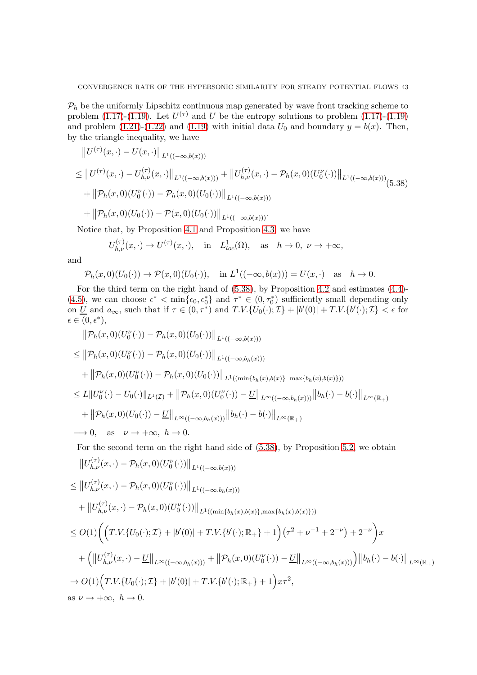$P_h$  be the uniformly Lipschitz continuous map generated by wave front tracking scheme to problem [\(1.17\)](#page-3-4)-[\(1.19\)](#page-3-5). Let  $U^{(\tau)}$  and U be the entropy solutions to problem (1.17)-(1.19) and problem  $(1.21)-(1.22)$  $(1.21)-(1.22)$  and  $(1.19)$  with initial data  $U_0$  and boundary  $y=b(x)$ . Then, by the triangle inequality, we have

<span id="page-42-0"></span>
$$
\|U^{(\tau)}(x,\cdot)-U(x,\cdot)\|_{L^{1}((-\infty,b(x)))}
$$
\n
$$
\leq \|U^{(\tau)}(x,\cdot)-U^{(\tau)}_{h,\nu}(x,\cdot)\|_{L^{1}((-\infty,b(x)))} + \|U^{(\tau)}_{h,\nu}(x,\cdot)-\mathcal{P}_h(x,0)(U^{V}_{0}(\cdot))\|_{L^{1}((-\infty,b(x)))}
$$
\n
$$
+ \|\mathcal{P}_h(x,0)(U^{V}_{0}(\cdot)) - \mathcal{P}_h(x,0)(U_{0}(\cdot))\|_{L^{1}((-\infty,b(x)))}
$$
\n
$$
+ \|\mathcal{P}_h(x,0)(U_{0}(\cdot)) - \mathcal{P}(x,0)(U_{0}(\cdot))\|_{L^{1}((-\infty,b(x)))}.
$$

Notice that, by Proposition [4.1](#page-20-1) and Proposition [4.3,](#page-21-1) we have

$$
U_{h,\nu}^{(\tau)}(x,\cdot) \to U^{(\tau)}(x,\cdot), \quad \text{in} \quad L_{loc}^{1}(\Omega), \quad \text{as} \quad h \to 0, \ \nu \to +\infty,
$$

and

$$
\mathcal{P}_h(x,0)(U_0(\cdot)) \to \mathcal{P}(x,0)(U_0(\cdot)), \quad \text{in } L^1((-\infty,b(x))) = U(x,\cdot) \quad \text{as} \quad h \to 0.
$$

For the third term on the right hand of [\(5.38\)](#page-42-0), by Proposition [4.2](#page-21-0) and estimates [\(4.4\)](#page-18-2)- [\(4.5\)](#page-18-3), we can choose  $\epsilon^* < \min\{\epsilon_0, \epsilon_0^*\}$  and  $\tau^* \in (0, \tau_0^*)$  sufficiently small depending only on  $\underline{U}$  and  $a_{\infty}$ , such that if  $\tau \in (0, \tau^*)$  and  $T.V. \{U_0(\cdot); \mathcal{I}\} + |b'(0)| + T.V. \{b'(\cdot); \mathcal{I}\} < \epsilon$  for  $\epsilon\in(0,\epsilon^*),$ 

$$
\|\mathcal{P}_h(x,0)(U_0^{\nu}(\cdot)) - \mathcal{P}_h(x,0)(U_0(\cdot))\|_{L^1((-\infty,b(x)))}
$$
\n
$$
\leq \|\mathcal{P}_h(x,0)(U_0^{\nu}(\cdot)) - \mathcal{P}_h(x,0)(U_0(\cdot))\|_{L^1((-\infty,b_h(x)))}
$$
\n
$$
+ \|\mathcal{P}_h(x,0)(U_0^{\nu}(\cdot)) - \mathcal{P}_h(x,0)(U_0(\cdot))\|_{L^1((\min\{b_h(x),b(x)\}\max\{b_h(x),b(x)\}))}
$$
\n
$$
\leq L\|U_0^{\nu}(\cdot) - U_0(\cdot)\|_{L^1(\mathcal{I})} + \|\mathcal{P}_h(x,0)(U_0^{\nu}(\cdot)) - \underline{U}\|_{L^{\infty}((-\infty,b_h(x)))}\|b_h(\cdot) - b(\cdot)\|_{L^{\infty}(\mathbb{R}_+)}
$$
\n
$$
+ \|\mathcal{P}_h(x,0)(U_0(\cdot)) - \underline{U}\|_{L^{\infty}((-\infty,b_h(x)))}\|b_h(\cdot) - b(\cdot)\|_{L^{\infty}(\mathbb{R}_+)}
$$
\n
$$
\longrightarrow 0, \text{ as } \nu \to +\infty, h \to 0.
$$

For the second term on the right hand side of [\(5.38\)](#page-42-0), by Proposition [5.2,](#page-41-0) we obtain

$$
||U_{h,\nu}^{(\tau)}(x,\cdot)-\mathcal{P}_h(x,0)(U_0^{\nu}(\cdot))||_{L^1((-\infty,b(x)))}
$$
  
\n
$$
\leq ||U_{h,\nu}^{(\tau)}(x,\cdot)-\mathcal{P}_h(x,0)(U_0^{\nu}(\cdot))||_{L^1((-\infty,b_h(x)))}
$$
  
\n
$$
+ ||U_{h,\nu}^{(\tau)}(x,\cdot)-\mathcal{P}_h(x,0)(U_0^{\nu}(\cdot))||_{L^1((\min\{b_h(x),b(x)\},\max\{b_h(x),b(x)\}))})
$$
  
\n
$$
\leq O(1)\Biggl(\Bigl(T.V.\{U_0(\cdot); \mathcal{I}\}+|b'(0)|+T.V.\{b'(\cdot); \mathbb{R}_+\}+1\Bigr)(\tau^2+\nu^{-1}+2^{-\nu})+2^{-\nu}\Bigr)x
$$
  
\n
$$
+ \Bigl(\Bigl||U_{h,\nu}^{(\tau)}(x,\cdot)-\underline{U}\Bigr||_{L^{\infty}((-\infty,b_h(x)))}+\Bigl||\mathcal{P}_h(x,0)(U_0^{\nu}(\cdot))- \underline{U}\Bigr||_{L^{\infty}((-\infty,b_h(x)))}\Bigr) \Bigl||b_h(\cdot)-b(\cdot)\Bigr||_{L^{\infty}(\mathbb{R}_+)} \Biggr)
$$
  
\n
$$
\to O(1)\Bigl(T.V.\{U_0(\cdot); \mathcal{I}\}+|b'(0)|+T.V.\{b'(\cdot); \mathbb{R}_+\}+1\Bigr)x\tau^2,
$$
  
\nas  $\nu \to +\infty$ ,  $h \to 0$ .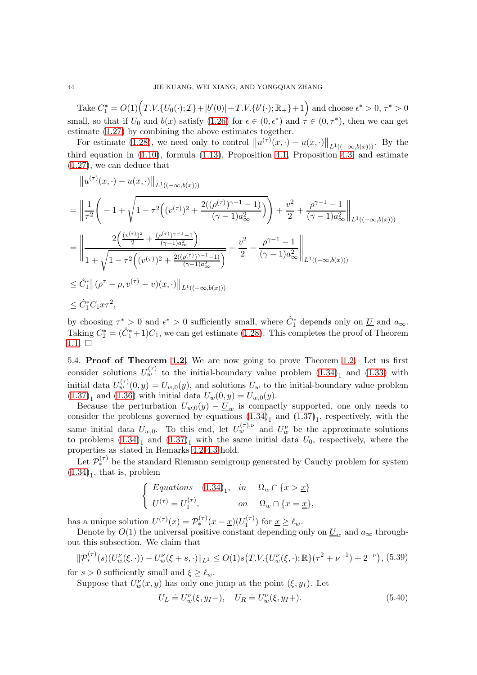Take  $C_1^* = O(1) (T.V. \{U_0(\cdot); \mathcal{I}\} + |b'(0)| + T.V. \{b'(\cdot); \mathbb{R}_+\} + 1)$  and choose  $\epsilon^* > 0, \tau^* > 0$ small, so that if  $U_0$  and  $b(x)$  satisfy  $(1.26)$  for  $\epsilon \in (0, \epsilon^*)$  and  $\tau \in (0, \tau^*)$ , then we can get estimate [\(1.27\)](#page-4-2) by combining the above estimates together.

For estimate [\(1.28\)](#page-5-3), we need only to control  $||u^{(\tau)}(x, \cdot) - u(x, \cdot)||_{L^1((-\infty, b(x)))}$ . By the third equation in  $(1.10)$ , formula  $(1.13)$ , Proposition [4.1,](#page-20-1) Proposition [4.3,](#page-21-1) and estimate [\(1.27\)](#page-4-2), we can deduce that

$$
||u^{(\tau)}(x,\cdot)-u(x,\cdot)||_{L^{1}((-\infty,b(x)))}
$$
\n
$$
= \left\|\frac{1}{\tau^{2}}\left(-1+\sqrt{1-\tau^{2}\left((v^{(\tau)})^{2}+\frac{2((\rho^{(\tau)})^{\gamma-1}-1)}{(\gamma-1)a_{\infty}^{2}}\right)}\right)+\frac{v^{2}}{2}+\frac{\rho^{\gamma-1}-1}{(\gamma-1)a_{\infty}^{2}}\right\|_{L^{1}((-\infty,b(x)))}
$$
\n
$$
= \left\|\frac{2\left(\frac{(v^{(\tau)})^{2}}{2}+\frac{(\rho^{(\tau)})^{\gamma-1}-1}{(\gamma-1)a_{\infty}^{2}}\right)}{1+\sqrt{1-\tau^{2}\left((v^{(\tau)})^{2}+\frac{2((\rho^{(\tau)})^{\gamma-1}-1)}{(\gamma-1)a_{\infty}^{2}}\right)}}-\frac{v^{2}}{2}-\frac{\rho^{\gamma-1}-1}{(\gamma-1)a_{\infty}^{2}}\right\|_{L^{1}((-\infty,b(x)))}
$$
\n
$$
\leq \hat{C}_{1}^{*}||(\rho^{\tau}-\rho,v^{(\tau)}-v)(x,\cdot)||_{L^{1}((-\infty,b(x)))}
$$
\n
$$
\leq \hat{C}_{1}^{*}C_{1}x\tau^{2},
$$

by choosing  $\tau^* > 0$  and  $\epsilon^* > 0$  sufficiently small, where  $\hat{C}_1^*$  depends only on  $\underline{U}$  and  $a_{\infty}$ . Taking  $C_2^* = (\hat{C}_1^* + 1)C_1$ , we can get estimate [\(1.28\)](#page-5-3). This completes the proof of Theorem  $1.1. \square$  $1.1. \square$ 

5.4. Proof of Theorem [1.2.](#page-7-0) We are now going to prove Theorem [1.2.](#page-7-0) Let us first consider solutions  $U_w^{(\tau)}$  to the initial-boundary value problem  $(1.34)_1$  and  $(1.33)$  with initial data  $U_w^{(\tau)}(0, y) = U_{w,0}(y)$ , and solutions  $U_w$  to the initial-boundary value problem  $(1.37)<sub>1</sub>$  $(1.37)<sub>1</sub>$  and  $(1.36)$  with initial data  $U_w(0, y) = U_{w,0}(y)$ .

Because the perturbation  $U_{w,0}(y) - U_w$  is compactly supported, one only needs to consider the problems governed by equations  $(1.34)<sub>1</sub>$  and  $(1.37)<sub>1</sub>$ , respectively, with the same initial data  $U_{w,0}$ . To this end, let  $U_w^{(\tau),\nu}$  and  $U_w^{\nu}$  be the approximate solutions to problems  $(1.34)<sub>1</sub>$  and  $(1.37)<sub>1</sub>$  with the same initial data  $U<sub>0</sub>$ , respectively, where the properties as stated in Remarks [4.2-](#page-20-2)[4.3](#page-22-0) hold.

Let  $\mathcal{P}_{*}^{(\tau)}$  be the standard Riemann semigroup generated by Cauchy problem for system  $(1.34)<sub>1</sub>$  $(1.34)<sub>1</sub>$ , that is, problem

$$
\begin{cases}\nEquations \quad (1.34)_1, & in \quad \Omega_w \cap \{x > \underline{x}\} \\
U^{(\tau)} = U_1^{(\tau)}, & on \quad \Omega_w \cap \{x = \underline{x}\},\n\end{cases}
$$

has a unique solution  $U^{(\tau)}(x) = \mathcal{P}_{*}^{(\tau)}(x - \underline{x})(U_1^{(\tau)})$  $\binom{(\tau)}{1}$  for  $\underline{x} \geq \ell_w$ .

Denote by  $O(1)$  the universal positive constant depending only on  $\underline{U}_w$  and  $a_{\infty}$  throughout this subsection. We claim that

<span id="page-43-0"></span>
$$
\|\mathcal{P}_*^{(\tau)}(s)(U_w^{\nu}(\xi,\cdot)) - U_w^{\nu}(\xi+s,\cdot)\|_{L^1} \le O(1)s\big(T.V.\{U_w^{\nu}(\xi,\cdot);\mathbb{R}\}(\tau^2+\nu^{-1}) + 2^{-\nu}\big),\tag{5.39}
$$

for  $s > 0$  sufficiently small and  $\xi \geq \ell_w$ .

Suppose that  $U_w^{\nu}(x, y)$  has only one jump at the point  $(\xi, y)$ . Let

$$
U_L \doteq U_w^{\nu}(\xi, y_I -), \quad U_R \doteq U_w^{\nu}(\xi, y_I +).
$$
 (5.40)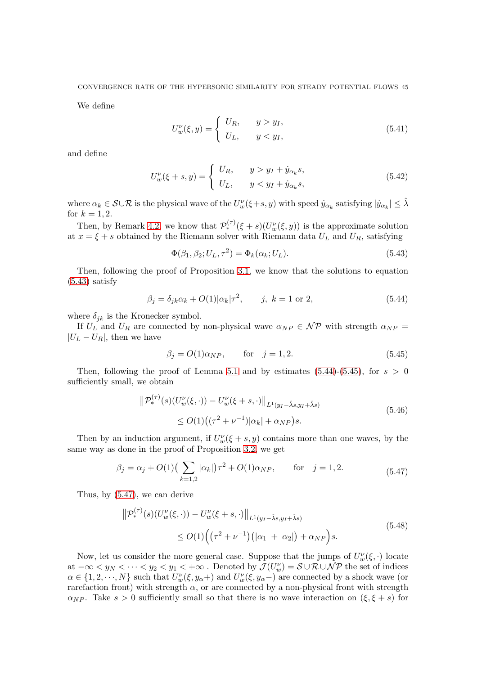CONVERGENCE RATE OF THE HYPERSONIC SIMILARITY FOR STEADY POTENTIAL FLOWS 45

We define

$$
U_w^{\nu}(\xi, y) = \begin{cases} U_R, & y > y_I, \\ U_L, & y < y_I, \end{cases}
$$
\n(5.41)

and define

$$
U_w^{\nu}(\xi+s,y) = \begin{cases} U_R, & y > y_I + \dot{y}_{\alpha_k}s, \\ U_L, & y < y_I + \dot{y}_{\alpha_k}s, \end{cases}
$$
(5.42)

where  $\alpha_k \in \mathcal{S} \cup \mathcal{R}$  is the physical wave of the  $U_w^{\nu}(\xi + s, y)$  with speed  $\dot{y}_{\alpha_k}$  satisfying  $|\dot{y}_{\alpha_k}| \leq \hat{\lambda}$ for  $k = 1, 2$ .

Then, by Remark [4.2,](#page-20-2) we know that  $\mathcal{P}_{*}^{(\tau)}(\xi+s)(U_{w}^{\nu}(\xi,y))$  is the approximate solution at  $x = \xi + s$  obtained by the Riemann solver with Riemann data  $U_L$  and  $U_R$ , satisfying

<span id="page-44-0"></span>
$$
\Phi(\beta_1, \beta_2; U_L, \tau^2) = \Phi_k(\alpha_k; U_L). \tag{5.43}
$$

Then, following the proof of Proposition [3.1,](#page-12-5) we know that the solutions to equation  $(5.43)$  satisfy

<span id="page-44-1"></span>
$$
\beta_j = \delta_{jk}\alpha_k + O(1)|\alpha_k|\tau^2, \qquad j, \ k = 1 \text{ or } 2,
$$
\n
$$
(5.44)
$$

where  $\delta_{ik}$  is the Kronecker symbol.

If  $U_L$  and  $U_R$  are connected by non-physical wave  $\alpha_{NP} \in \mathcal{NP}$  with strength  $\alpha_{NP} =$  $|U_L - U_R|$ , then we have

<span id="page-44-2"></span>
$$
\beta_j = O(1)\alpha_{NP}, \qquad \text{for} \quad j = 1, 2. \tag{5.45}
$$

Then, following the proof of Lemma [5.1](#page-23-5) and by estimates  $(5.44)-(5.45)$  $(5.44)-(5.45)$ , for  $s > 0$ sufficiently small, we obtain

<span id="page-44-4"></span>
$$
\|\mathcal{P}_*^{(\tau)}(s)(U_w^{\nu}(\xi,\cdot)) - U_w^{\nu}(\xi+s,\cdot)\|_{L^1(y_I-\hat{\lambda}s,y_I+\hat{\lambda}s)}\le O(1)\left((\tau^2+\nu^{-1})|\alpha_k|+\alpha_{NP}\right)s.
$$
\n(5.46)

Then by an induction argument, if  $U_w^{\nu}(\xi + s, y)$  contains more than one waves, by the same way as done in the proof of Proposition [3.2,](#page-13-6) we get

<span id="page-44-3"></span>
$$
\beta_j = \alpha_j + O(1) \left( \sum_{k=1,2} |\alpha_k| \right) \tau^2 + O(1) \alpha_{NP}, \qquad \text{for} \quad j = 1,2. \tag{5.47}
$$

Thus, by [\(5.47\)](#page-44-3), we can derive

<span id="page-44-5"></span>
$$
\|\mathcal{P}_{*}^{(\tau)}(s)(U_{w}^{\nu}(\xi,\cdot)) - U_{w}^{\nu}(\xi+s,\cdot)\|_{L^{1}(y_{I}-\hat{\lambda}s,y_{I}+\hat{\lambda}s)} \leq O(1)\Big((\tau^{2}+\nu^{-1})(|\alpha_{1}|+|\alpha_{2}|)+\alpha_{NP}\Big)s.
$$
\n(5.48)

Now, let us consider the more general case. Suppose that the jumps of  $U_w^{\nu}(\xi, \cdot)$  locate at  $-\infty < y_N < \cdots < y_2 < y_1 < +\infty$ . Denoted by  $\mathcal{J}(U_w^{\nu}) = \mathcal{S} \cup \mathcal{R} \cup \mathcal{NP}$  the set of indices  $\alpha \in \{1, 2, \dots, N\}$  such that  $U_w^{\nu}(\xi, y_{\alpha})$  and  $U_w^{\nu}(\xi, y_{\alpha})$  are connected by a shock wave (or rarefaction front) with strength  $\alpha$ , or are connected by a non-physical front with strength  $\alpha_{NP}$ . Take  $s > 0$  sufficiently small so that there is no wave interaction on  $(\xi, \xi + s)$  for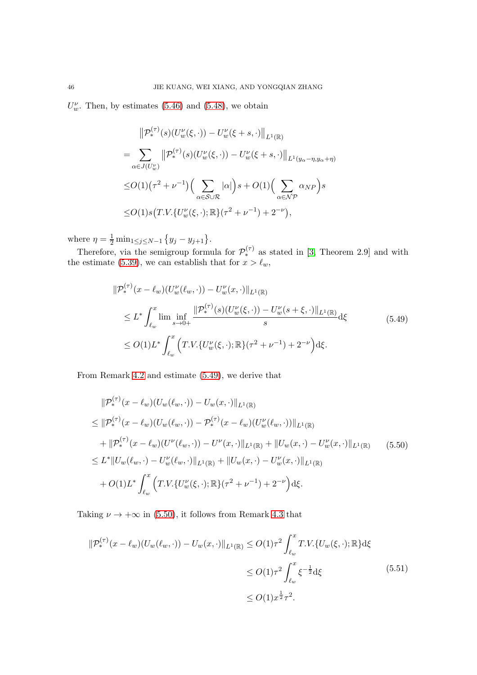$U^{\nu}_{w}$ . Then, by estimates [\(5.46\)](#page-44-4) and [\(5.48\)](#page-44-5), we obtain

$$
\|\mathcal{P}_{*}^{(\tau)}(s)(U_{w}^{\nu}(\xi,\cdot)) - U_{w}^{\nu}(\xi+s,\cdot)\|_{L^{1}(\mathbb{R})}
$$
\n
$$
= \sum_{\alpha \in J(U_{w}^{\nu})} \|\mathcal{P}_{*}^{(\tau)}(s)(U_{w}^{\nu}(\xi,\cdot)) - U_{w}^{\nu}(\xi+s,\cdot)\|_{L^{1}(y_{\alpha}-\eta,y_{\alpha}+\eta)}
$$
\n
$$
\leq O(1)(\tau^{2}+\nu^{-1}) \Big(\sum_{\alpha \in S \cup \mathcal{R}} |\alpha|\Big)s + O(1) \Big(\sum_{\alpha \in \mathcal{NP}} \alpha_{NP}\Big)s
$$
\n
$$
\leq O(1)s\big(T.V.\{U_{w}^{\nu}(\xi,\cdot);\mathbb{R}\}(\tau^{2}+\nu^{-1})+2^{-\nu}\big),
$$

where  $\eta = \frac{1}{2} \min_{1 \le j \le N-1} \{y_j - y_{j+1}\}.$ 

Therefore, via the semigroup formula for  $\mathcal{P}_{*}^{(\tau)}$  as stated in [\[3,](#page-48-8) Theorem 2.9] and with the estimate [\(5.39\)](#page-43-0), we can establish that for  $x > \ell_w$ ,

<span id="page-45-0"></span>
$$
\|\mathcal{P}_{*}^{(\tau)}(x-\ell_{w})(U_{w}^{\nu}(\ell_{w},\cdot)) - U_{w}^{\nu}(x,\cdot)\|_{L^{1}(\mathbb{R})}
$$
\n
$$
\leq L^{*} \int_{\ell_{w}}^{x} \lim \inf_{s \to 0+} \frac{\|\mathcal{P}_{*}^{(\tau)}(s)(U_{w}^{\nu}(\xi,\cdot)) - U_{w}^{\nu}(s+\xi,\cdot)\|_{L^{1}(\mathbb{R})}}{s} d\xi
$$
\n
$$
\leq O(1)L^{*} \int_{\ell_{w}}^{x} \left(T.V.\{U_{w}^{\nu}(\xi,\cdot);\mathbb{R}\}(\tau^{2}+\nu^{-1}) + 2^{-\nu}\right) d\xi.
$$
\n(5.49)

From Remark [4.2](#page-20-2) and estimate [\(5.49\)](#page-45-0), we derive that

<span id="page-45-1"></span>
$$
\|\mathcal{P}_{*}^{(\tau)}(x-\ell_{w})(U_{w}(\ell_{w},\cdot))-U_{w}(x,\cdot)\|_{L^{1}(\mathbb{R})}
$$
\n
$$
\leq \|\mathcal{P}_{*}^{(\tau)}(x-\ell_{w})(U_{w}(\ell_{w},\cdot))- \mathcal{P}_{*}^{(\tau)}(x-\ell_{w})(U_{w}^{V}(\ell_{w},\cdot))\|_{L^{1}(\mathbb{R})}
$$
\n
$$
+\|\mathcal{P}_{*}^{(\tau)}(x-\ell_{w})(U^{V}(\ell_{w},\cdot))-U^{V}(x,\cdot)\|_{L^{1}(\mathbb{R})}+\|U_{w}(x,\cdot)-U_{w}^{V}(x,\cdot)\|_{L^{1}(\mathbb{R})}
$$
\n
$$
\leq L^{*}\|U_{w}(\ell_{w},\cdot)-U_{w}^{V}(\ell_{w},\cdot)\|_{L^{1}(\mathbb{R})}+\|U_{w}(x,\cdot)-U_{w}^{V}(x,\cdot)\|_{L^{1}(\mathbb{R})}
$$
\n
$$
+O(1)L^{*}\int_{\ell_{w}}^{x}\left(T.V.\{U_{w}^{V}(\xi,\cdot);\mathbb{R}\}(\tau^{2}+\nu^{-1})+2^{-\nu}\right)d\xi.
$$
\n(5.50)

Taking  $\nu \rightarrow +\infty$  in [\(5.50\)](#page-45-1), it follows from Remark [4.3](#page-22-0) that

$$
\|\mathcal{P}_{*}^{(\tau)}(x-\ell_{w})(U_{w}(\ell_{w},\cdot)) - U_{w}(x,\cdot)\|_{L^{1}(\mathbb{R})} \leq O(1)\tau^{2} \int_{\ell_{w}}^{x} T.V.\{U_{w}(\xi,\cdot);\mathbb{R}\}d\xi
$$
  

$$
\leq O(1)\tau^{2} \int_{\ell_{w}}^{x} \xi^{-\frac{1}{2}}d\xi
$$
  

$$
\leq O(1)x^{\frac{1}{2}}\tau^{2}.
$$
 (5.51)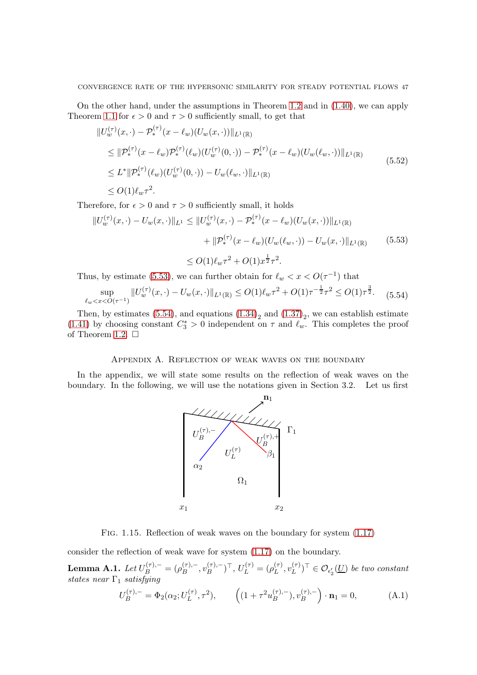On the other hand, under the assumptions in Theorem [1.2](#page-7-0) and in [\(1.40\)](#page-7-1), we can apply Theorem [1.1](#page-4-1) for  $\epsilon > 0$  and  $\tau > 0$  sufficiently small, to get that

$$
\|U_w^{(\tau)}(x,\cdot) - \mathcal{P}_*^{(\tau)}(x - \ell_w)(U_w(x,\cdot))\|_{L^1(\mathbb{R})}
$$
\n
$$
\leq \|\mathcal{P}_*^{(\tau)}(x - \ell_w)\mathcal{P}_*^{(\tau)}(\ell_w)(U_w^{(\tau)}(0,\cdot)) - \mathcal{P}_*^{(\tau)}(x - \ell_w)(U_w(\ell_w,\cdot))\|_{L^1(\mathbb{R})}
$$
\n
$$
\leq L^* \|\mathcal{P}_*^{(\tau)}(\ell_w)(U_w^{(\tau)}(0,\cdot)) - U_w(\ell_w,\cdot)\|_{L^1(\mathbb{R})}
$$
\n
$$
\leq O(1)\ell_w \tau^2.
$$
\n(5.52)

Therefore, for  $\epsilon > 0$  and  $\tau > 0$  sufficiently small, it holds

<span id="page-46-1"></span>
$$
||U_w^{(\tau)}(x, \cdot) - U_w(x, \cdot)||_{L^1} \le ||U_w^{(\tau)}(x, \cdot) - \mathcal{P}_*^{(\tau)}(x - \ell_w)(U_w(x, \cdot))||_{L^1(\mathbb{R})}
$$
  
+ 
$$
||\mathcal{P}_*^{(\tau)}(x - \ell_w)(U_w(\ell_w, \cdot)) - U_w(x, \cdot)||_{L^1(\mathbb{R})}
$$
(5.53)  

$$
\le O(1)\ell_w \tau^2 + O(1)x^{\frac{1}{2}} \tau^2.
$$

Thus, by estimate [\(5.53\)](#page-46-1), we can further obtain for  $\ell_w < x < O(\tau^{-1})$  that

<span id="page-46-2"></span>
$$
\sup_{\ell_w < x < O(\tau^{-1})} \| U_w^{(\tau)}(x, \cdot) - U_w(x, \cdot) \|_{L^1(\mathbb{R})} \le O(1) \ell_w \tau^2 + O(1) \tau^{-\frac{1}{2}} \tau^2 \le O(1) \tau^{\frac{3}{2}}. \tag{5.54}
$$

Then, by estimates [\(5.54\)](#page-46-2), and equations  $(1.34)_{2}$  and  $(1.37)_{2}$ , we can establish estimate [\(1.41\)](#page-7-2) by choosing constant  $C_3^* > 0$  independent on  $\tau$  and  $\ell_w$ . This completes the proof of Theorem [1.2.](#page-7-0)  $\Box$ 

### Appendix A. Reflection of weak waves on the boundary

In the appendix, we will state some results on the reflection of weak waves on the boundary. In the following, we will use the notations given in Section 3.2. Let us first



Fig. 1.15. Reflection of weak waves on the boundary for system [\(1.17\)](#page-3-4)

consider the reflection of weak wave for system [\(1.17\)](#page-3-4) on the boundary.

<span id="page-46-0"></span>Lemma A.1.  $Let U_B^{(\tau),-} = (\rho_B^{(\tau),-})$  $B^{(\tau),-},v_B^{(\tau),-}$  $\binom{(\tau),-}{B}^{\top}, U_L^{(\tau)} = (\rho_L^{(\tau)})$  $_L^{(\tau)},v_L^{(\tau)}$  $(L^{(\tau)})^{\top} \in \mathcal{O}_{\epsilon'_2}(\underline{U})$  be two constant states near  $\Gamma_1$  satisfying

<span id="page-46-3"></span>
$$
U_B^{(\tau),-} = \Phi_2(\alpha_2; U_L^{(\tau)}, \tau^2), \qquad \left( (1 + \tau^2 u_B^{(\tau),-}), v_B^{(\tau),-} \right) \cdot \mathbf{n}_1 = 0, \tag{A.1}
$$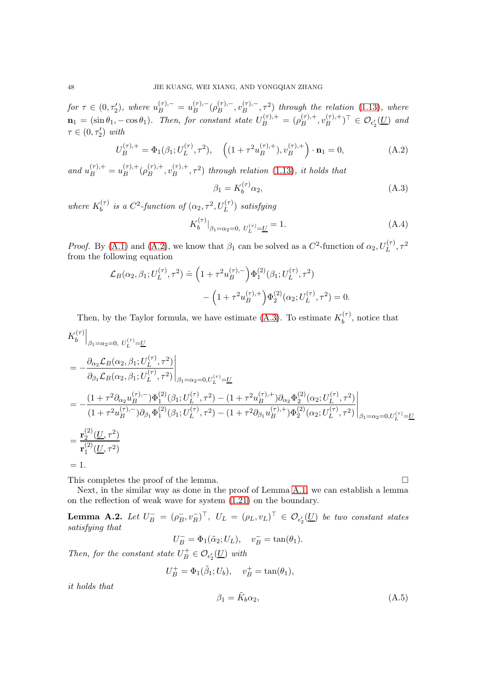for  $\tau \in (0, \tau_2')$ , where  $u_B^{(\tau),-} = u_B^{(\tau),-}$  $\overset{(\tau),-}{B}(\rho_B^{(\tau),-}$  $v_B^{(\tau),-}, v_B^{(\tau),-}$  $\mathcal{L}_{B}^{(\tau),-}, \tau^2$ ) through the relation [\(1.13\)](#page-3-0), where  $\mathbf{n}_1 = (\sin \theta_1, -\cos \theta_1)$ . Then, for constant state  $U_B^{(\tau),+} = (\rho_B^{(\tau),+})$  $\binom{(\tau),+}{B}, v_B^{(\tau),+}$  $(B^{(\tau),+})^{\top} \in \mathcal{O}_{\epsilon'_2}(\underline{U})$  and  $\tau \in (0, \tau_2')$  with

<span id="page-47-1"></span>
$$
U_B^{(\tau),+} = \Phi_1(\beta_1; U_L^{(\tau)}, \tau^2), \quad \left( (1 + \tau^2 u_B^{(\tau),+}), v_B^{(\tau),+} \right) \cdot \mathbf{n}_1 = 0,
$$
 (A.2)

and  $u_B^{(\tau),+} = u_B^{(\tau),+}$  $\binom{(\tau),+}{B} (\rho_B^{(\tau),+}$  $B^{(\tau),+},v_B^{(\tau),+}$  $\binom{(\tau),+}{B}, \tau^2$  through relation [\(1.13\)](#page-3-0), it holds that

<span id="page-47-2"></span>
$$
\beta_1 = K_b^{(\tau)} \alpha_2,\tag{A.3}
$$

where  $K_h^{(\tau)}$  $\delta_b^{(\tau)}$  is a C<sup>2</sup>-function of  $(\alpha_2, \tau^2, U_L^{(\tau)})$  satisfying

$$
K_b^{(\tau)}|_{\beta_1 = \alpha_2 = 0, U_L^{(\tau)} = \underline{U}} = 1.
$$
\n(A.4)

*Proof.* By [\(A.1\)](#page-46-3) and [\(A.2\)](#page-47-1), we know that  $\beta_1$  can be solved as a  $C^2$ -function of  $\alpha_2, U_L^{(\tau)}, \tau^2$ from the following equation

$$
\mathcal{L}_B(\alpha_2, \beta_1; U_L^{(\tau)}, \tau^2) \doteq \left(1 + \tau^2 u_B^{(\tau), -}\right) \Phi_1^{(2)}(\beta_1; U_L^{(\tau)}, \tau^2) - \left(1 + \tau^2 u_B^{(\tau), +}\right) \Phi_2^{(2)}(\alpha_2; U_L^{(\tau)}, \tau^2) = 0.
$$

Then, by the Taylor formula, we have estimate [\(A.3\)](#page-47-2). To estimate  $K_b^{(\tau)}$  $b^{(1)}$ , notice that

$$
\begin{split}\nK_b^{(\tau)}\Big|_{\beta_1=\alpha_2=0,\ U_L^{(\tau)}=\underline{U}} \\
&= -\frac{\partial_{\alpha_2} \mathcal{L}_B(\alpha_2, \beta_1; U_L^{(\tau)}, \tau^2)}{\partial_{\beta_1} \mathcal{L}_B(\alpha_2, \beta_1; U_L^{(\tau)}, \tau^2)} \Big|_{\beta_1=\alpha_2=0, U_L^{(\tau)}=\underline{U}} \\
&= -\frac{(1+\tau^2 \partial_{\alpha_2} u_B^{(\tau), -}) \Phi_1^{(2)}(\beta_1; U_L^{(\tau)}, \tau^2) - (1+\tau^2 u_B^{(\tau), +}) \partial_{\alpha_2} \Phi_2^{(2)}(\alpha_2; U_L^{(\tau)}, \tau^2)}{(1+\tau^2 u_B^{(\tau), -}) \partial_{\beta_1} \Phi_1^{(2)}(\beta_1; U_L^{(\tau)}, \tau^2) - (1+\tau^2 \partial_{\beta_1} u_B^{(\tau), +}) \Phi_2^{(2)}(\alpha_2; U_L^{(\tau)}, \tau^2)} \Big|_{\beta_1=\alpha_2=0, U_L^{(\tau)}=\underline{U}} \\
&= \frac{\mathbf{r}_2^{(2)}(\underline{U}, \tau^2)}{\mathbf{r}_1^{(2)}(\underline{U}, \tau^2)} \\
&= 1.\n\end{split}
$$

This completes the proof of the lemma.  $\Box$ 

Next, in the similar way as done in the proof of Lemma [A.1,](#page-46-0) we can establish a lemma on the reflection of weak wave for system [\(1.21\)](#page-3-6) on the boundary.

<span id="page-47-0"></span>**Lemma A.2.** Let  $U_B^- = (\rho_B^-, v_B^-)^T$ ,  $U_L = (\rho_L, v_L)^T \in \mathcal{O}_{\epsilon'_2}(\underline{U})$  be two constant states satisfying that

$$
U_B^- = \Phi_1(\tilde{\alpha}_2; U_L), \quad v_B^- = \tan(\theta_1).
$$

Then, for the constant state  $U_B^+ \in \mathcal{O}_{\epsilon'_2}(\underline{U})$  with

$$
U_B^+ = \Phi_1(\tilde{\beta}_1; U_b), \quad v_B^+ = \tan(\theta_1),
$$

it holds that

$$
\beta_1 = \tilde{K}_b \alpha_2,\tag{A.5}
$$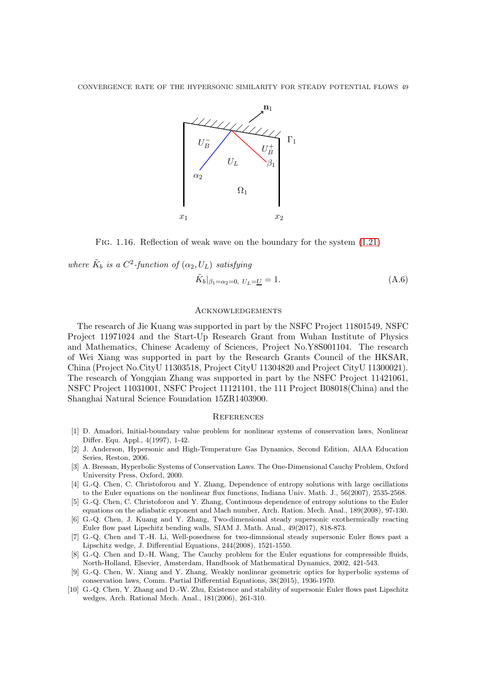

Fig. 1.16. Reflection of weak wave on the boundary for the system [\(1.21\)](#page-3-6)

where  $\tilde{K}_b$  is a  $C^2$ -function of  $(\alpha_2, U_L)$  satisfying

$$
\tilde{K}_b|_{\beta_1 = \alpha_2 = 0, \ U_L = \underline{U}} = 1.
$$
\n(A.6)

# **ACKNOWLEDGEMENTS**

The research of Jie Kuang was supported in part by the NSFC Project 11801549, NSFC Project 11971024 and the Start-Up Research Grant from Wuhan Institute of Physics and Mathematics, Chinese Academy of Sciences, Project No.Y8S001104. The research of Wei Xiang was supported in part by the Research Grants Council of the HKSAR, China (Project No.CityU 11303518, Project CityU 11304820 and Project CityU 11300021). The research of Yongqian Zhang was supported in part by the NSFC Project 11421061, NSFC Project 11031001, NSFC Project 11121101, the 111 Project B08018(China) and the Shanghai Natural Science Foundation 15ZR1403900.

#### **REFERENCES**

- <span id="page-48-9"></span>[1] D. Amadori, Initial-boundary value problem for nonlinear systems of conservation laws, Nonlinear Differ. Equ. Appl., 4(1997), 1-42.
- <span id="page-48-0"></span>[2] J. Anderson, Hypersonic and High-Temperature Gas Dynamics, Second Edition, AIAA Education Series, Reston, 2006.
- <span id="page-48-8"></span>[3] A. Bressan, Hyperbolic Systems of Conservation Laws. The One-Dimensional Cauchy Problem, Oxford University Press, Oxford, 2000.
- <span id="page-48-1"></span>[4] G.-Q. Chen, C. Christoforou and Y. Zhang, Dependence of entropy solutions with large oscillations to the Euler equations on the nonlinear flux functions, Indiana Univ. Math. J., 56(2007), 2535-2568.
- <span id="page-48-2"></span>[5] G.-Q. Chen, C. Christoforou and Y. Zhang, Continuous dependence of entropy solutions to the Euler equations on the adiabatic exponent and Mach number, Arch. Ration. Mech. Anal., 189(2008), 97-130.
- <span id="page-48-4"></span>[6] G.-Q. Chen, J. Kuang and Y. Zhang, Two-dimensional steady supersonic exothermically reacting Euler flow past Lipschitz bending walls, SIAM J. Math. Anal., 49(2017), 818-873.
- <span id="page-48-5"></span>[7] G.-Q. Chen and T.-H. Li, Well-posedness for two-dimnsional steady supersonic Euler flows past a Lipschitz wedge, J. Differential Equations, 244(2008), 1521-1550.
- <span id="page-48-7"></span>[8] G.-Q. Chen and D.-H. Wang, The Cauchy problem for the Euler equations for compressible fluids, North-Holland, Elsevier, Amsterdam, Handbook of Mathematical Dynamics, 2002, 421-543.
- <span id="page-48-3"></span>[9] G.-Q. Chen, W. Xiang and Y. Zhang, Weakly nonlinear geometric optics for hyperbolic systems of conservation laws, Comm. Partial Differential Equations, 38(2015), 1936-1970.
- <span id="page-48-6"></span>[10] G.-Q. Chen, Y. Zhang and D.-W. Zhu, Existence and stability of supersonic Euler flows past Lipschitz wedges, Arch. Rational Mech. Anal., 181(2006), 261-310.